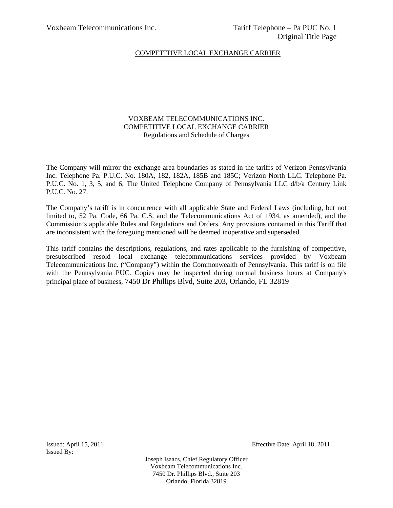## VOXBEAM TELECOMMUNICATIONS INC. COMPETITIVE LOCAL EXCHANGE CARRIER Regulations and Schedule of Charges

The Company will mirror the exchange area boundaries as stated in the tariffs of Verizon Pennsylvania Inc. Telephone Pa. P.U.C. No. 180A, 182, 182A, 185B and 185C; Verizon North LLC. Telephone Pa. P.U.C. No. 1, 3, 5, and 6; The United Telephone Company of Pennsylvania LLC  $d/b/a$  Century Link P.U.C. No. 27.

The Company's tariff is in concurrence with all applicable State and Federal Laws (including, but not limited to, 52 Pa. Code, 66 Pa. C.S. and the Telecommunications Act of 1934, as amended), and the Commission's applicable Rules and Regulations and Orders. Any provisions contained in this Tariff that are inconsistent with the foregoing mentioned will be deemed inoperative and superseded.

This tariff contains the descriptions, regulations, and rates applicable to the furnishing of competitive, presubscribed resold local exchange telecommunications services provided by Voxbeam Telecommunications Inc. ("Company") within the Commonwealth of Pennsylvania. This tariff is on file with the Pennsylvania PUC. Copies may be inspected during normal business hours at Company's principal place of business, 7450 Dr Phillips Blvd, Suite 203, Orlando, FL 32819

Issued By:

Issued: April 15, 2011 Effective Date: April 18, 2011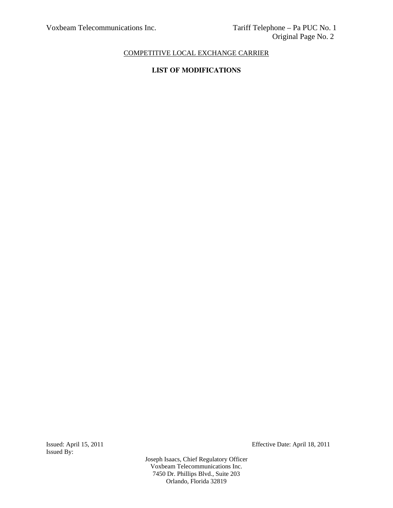# **LIST OF MODIFICATIONS**

Issued By:

Issued: April 15, 2011 Effective Date: April 18, 2011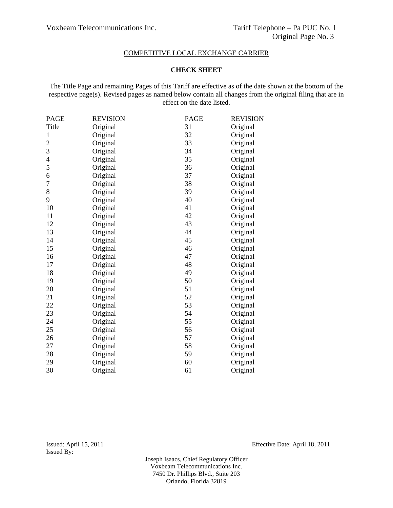### **CHECK SHEET**

The Title Page and remaining Pages of this Tariff are effective as of the date shown at the bottom of the respective page(s). Revised pages as named below contain all changes from the original filing that are in effect on the date listed.

| <b>PAGE</b>              | <b>REVISION</b> | PAGE | <b>REVISION</b> |
|--------------------------|-----------------|------|-----------------|
| Title                    | Original        | 31   | Original        |
| $\mathbf{1}$             | Original        | 32   | Original        |
| $\overline{c}$           | Original        | 33   | Original        |
| 3                        | Original        | 34   | Original        |
| $\overline{\mathcal{L}}$ | Original        | 35   | Original        |
| 5                        | Original        | 36   | Original        |
| 6                        | Original        | 37   | Original        |
| $\overline{7}$           | Original        | 38   | Original        |
| 8                        | Original        | 39   | Original        |
| 9                        | Original        | 40   | Original        |
| 10                       | Original        | 41   | Original        |
| 11                       | Original        | 42   | Original        |
| 12                       | Original        | 43   | Original        |
| 13                       | Original        | 44   | Original        |
| 14                       | Original        | 45   | Original        |
| 15                       | Original        | 46   | Original        |
| 16                       | Original        | 47   | Original        |
| 17                       | Original        | 48   | Original        |
| 18                       | Original        | 49   | Original        |
| 19                       | Original        | 50   | Original        |
| 20                       | Original        | 51   | Original        |
| 21                       | Original        | 52   | Original        |
| 22                       | Original        | 53   | Original        |
| 23                       | Original        | 54   | Original        |
| 24                       | Original        | 55   | Original        |
| 25                       | Original        | 56   | Original        |
| 26                       | Original        | 57   | Original        |
| 27                       | Original        | 58   | Original        |
| 28                       | Original        | 59   | Original        |
| 29                       | Original        | 60   | Original        |
| 30                       | Original        | 61   | Original        |

Issued: April 15, 2011 Effective Date: April 18, 2011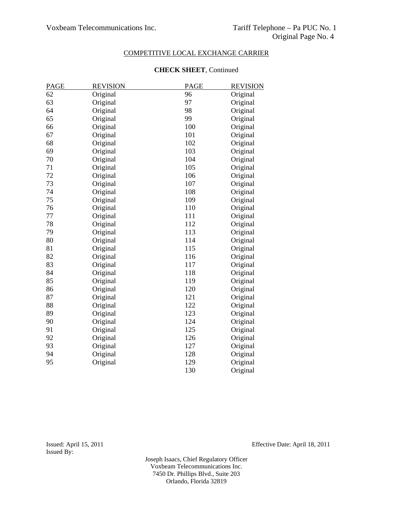| <b>PAGE</b> | <b>REVISION</b> | <b>PAGE</b> | <b>REVISION</b> |
|-------------|-----------------|-------------|-----------------|
| 62          | Original        | 96          | Original        |
| 63          | Original        | 97          | Original        |
| 64          | Original        | 98          | Original        |
| 65          | Original        | 99          | Original        |
| 66          | Original        | 100         | Original        |
| 67          | Original        | 101         | Original        |
| 68          | Original        | 102         | Original        |
| 69          | Original        | 103         | Original        |
| 70          | Original        | 104         | Original        |
| 71          | Original        | 105         | Original        |
| 72          | Original        | 106         | Original        |
| 73          | Original        | 107         | Original        |
| 74          | Original        | 108         | Original        |
| 75          | Original        | 109         | Original        |
| 76          | Original        | 110         | Original        |
| 77          | Original        | 111         | Original        |
| 78          | Original        | 112         | Original        |
| 79          | Original        | 113         | Original        |
| 80          | Original        | 114         | Original        |
| 81          | Original        | 115         | Original        |
| 82          | Original        | 116         | Original        |
| 83          | Original        | 117         | Original        |
| 84          | Original        | 118         | Original        |
| 85          | Original        | 119         | Original        |
| 86          | Original        | 120         | Original        |
| 87          | Original        | 121         | Original        |
| 88          | Original        | 122         | Original        |
| 89          | Original        | 123         | Original        |
| 90          | Original        | 124         | Original        |
| 91          | Original        | 125         | Original        |
| 92          | Original        | 126         | Original        |
| 93          | Original        | 127         | Original        |
| 94          | Original        | 128         | Original        |
| 95          | Original        | 129         | Original        |
|             |                 | 130         | Original        |

### **CHECK SHEET**, Continued

Issued By:

Issued: April 15, 2011 Effective Date: April 18, 2011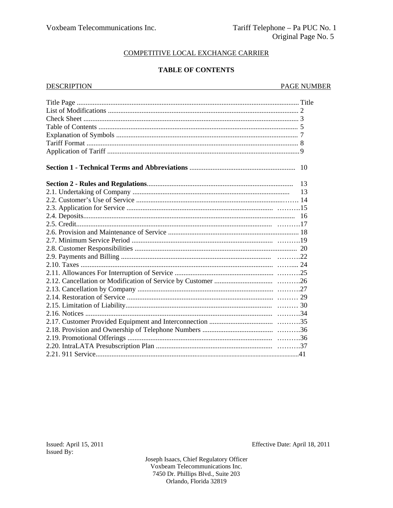## **TABLE OF CONTENTS**

| <b>DESCRIPTION</b> | <b>PAGE NUMBER</b> |
|--------------------|--------------------|
|                    |                    |
|                    |                    |
|                    |                    |
|                    |                    |
|                    |                    |
|                    |                    |
|                    |                    |
|                    |                    |
|                    |                    |
|                    | 13                 |
|                    | 13                 |
|                    |                    |
|                    |                    |
|                    |                    |
|                    |                    |
|                    |                    |
|                    |                    |
|                    |                    |
|                    |                    |
|                    |                    |
|                    |                    |
|                    |                    |
|                    |                    |
|                    |                    |
|                    |                    |
|                    |                    |
|                    |                    |
|                    |                    |
|                    |                    |
|                    |                    |
|                    |                    |

Issued: April 15, 2011 Issued By:

Effective Date: April 18, 2011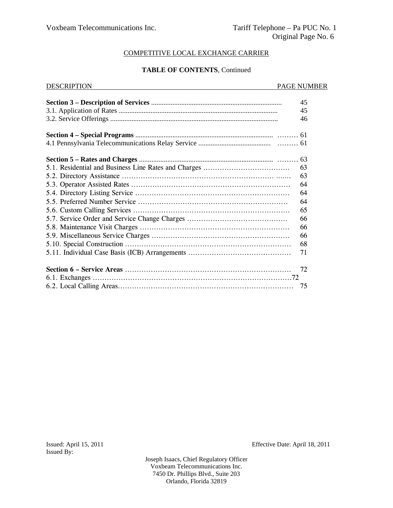## **TABLE OF CONTENTS**, Continued

| <b>DESCRIPTION</b> | PAGE NUMBER |
|--------------------|-------------|
|                    |             |
|                    | 45          |
|                    | 45          |
|                    | 46          |
|                    |             |
|                    |             |
|                    |             |
|                    | 63          |
|                    | 63          |
|                    | 64          |
|                    | 64          |
|                    | 64          |
|                    | 65          |
|                    | 66          |
|                    | 66          |
|                    | 66          |
|                    | 68          |
|                    | 71          |
|                    | 72          |
|                    | 75          |

Issued By:

Issued: April 15, 2011 Effective Date: April 18, 2011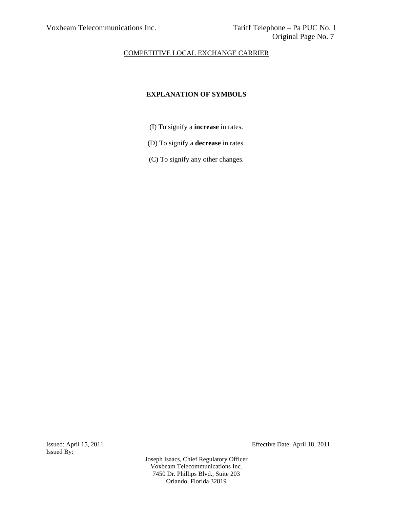# **EXPLANATION OF SYMBOLS**

- (I) To signify a **increase** in rates.
- (D) To signify a **decrease** in rates.
- (C) To signify any other changes.

Issued By:

Issued: April 15, 2011 Effective Date: April 18, 2011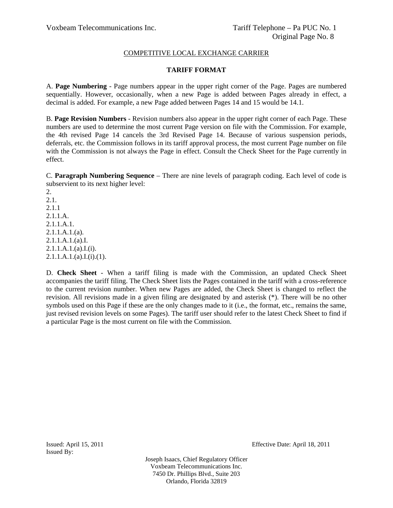## **TARIFF FORMAT**

A. **Page Numbering** - Page numbers appear in the upper right corner of the Page. Pages are numbered sequentially. However, occasionally, when a new Page is added between Pages already in effect, a decimal is added. For example, a new Page added between Pages 14 and 15 would be 14.1.

B. **Page Revision Numbers** - Revision numbers also appear in the upper right corner of each Page. These numbers are used to determine the most current Page version on file with the Commission. For example, the 4th revised Page 14 cancels the 3rd Revised Page 14. Because of various suspension periods, deferrals, etc. the Commission follows in its tariff approval process, the most current Page number on file with the Commission is not always the Page in effect. Consult the Check Sheet for the Page currently in effect.

C. **Paragraph Numbering Sequence** – There are nine levels of paragraph coding. Each level of code is subservient to its next higher level:

2. 2.1. 2.1.1 2.1.1.A. 2.1.1.A.1. 2.1.1.A.1.(a). 2.1.1.A.1.(a).I.  $2.1.1.A.1.(a).I.(i).$  $2.1.1.A.1.(a).I.(i).(1).$ 

D. **Check Sheet** - When a tariff filing is made with the Commission, an updated Check Sheet accompanies the tariff filing. The Check Sheet lists the Pages contained in the tariff with a cross-reference to the current revision number. When new Pages are added, the Check Sheet is changed to reflect the revision. All revisions made in a given filing are designated by and asterisk (\*). There will be no other symbols used on this Page if these are the only changes made to it (i.e., the format, etc., remains the same, just revised revision levels on some Pages). The tariff user should refer to the latest Check Sheet to find if a particular Page is the most current on file with the Commission.

Issued By:

Issued: April 15, 2011 Effective Date: April 18, 2011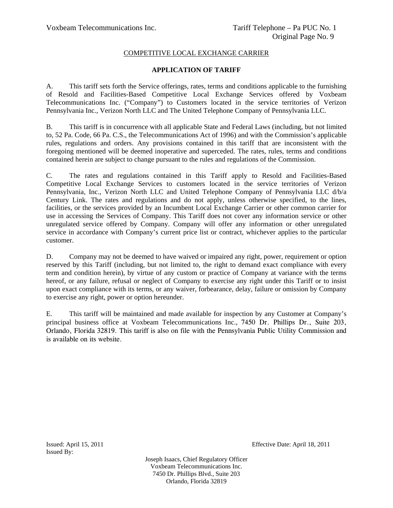## **APPLICATION OF TARIFF**

A. This tariff sets forth the Service offerings, rates, terms and conditions applicable to the furnishing of Resold and Facilities-Based Competitive Local Exchange Services offered by Voxbeam Telecommunications Inc. ("Company") to Customers located in the service territories of Verizon Pennsylvania Inc., Verizon North LLC and The United Telephone Company of Pennsylvania LLC.

B. This tariff is in concurrence with all applicable State and Federal Laws (including, but not limited to, 52 Pa. Code, 66 Pa. C.S., the Telecommunications Act of 1996) and with the Commission's applicable rules, regulations and orders. Any provisions contained in this tariff that are inconsistent with the foregoing mentioned will be deemed inoperative and superceded. The rates, rules, terms and conditions contained herein are subject to change pursuant to the rules and regulations of the Commission.

C. The rates and regulations contained in this Tariff apply to Resold and Facilities-Based Competitive Local Exchange Services to customers located in the service territories of Verizon Pennsylvania, Inc., Verizon North LLC and United Telephone Company of Pennsylvania LLC d/b/a Century Link. The rates and regulations and do not apply, unless otherwise specified, to the lines, facilities, or the services provided by an Incumbent Local Exchange Carrier or other common carrier for use in accessing the Services of Company. This Tariff does not cover any information service or other unregulated service offered by Company. Company will offer any information or other unregulated service in accordance with Company's current price list or contract, whichever applies to the particular customer.

D. Company may not be deemed to have waived or impaired any right, power, requirement or option reserved by this Tariff (including, but not limited to, the right to demand exact compliance with every term and condition herein), by virtue of any custom or practice of Company at variance with the terms hereof, or any failure, refusal or neglect of Company to exercise any right under this Tariff or to insist upon exact compliance with its terms, or any waiver, forbearance, delay, failure or omission by Company to exercise any right, power or option hereunder.

E. This tariff will be maintained and made available for inspection by any Customer at Company's principal business office at Voxbeam Telecommunications Inc., 7450 Dr. Phillips Dr., Suite 203, Orlando, Florida 32819. This tariff is also on file with the Pennsylvania Public Utility Commission and is available on its website.

Issued By:

Issued: April 15, 2011 Effective Date: April 18, 2011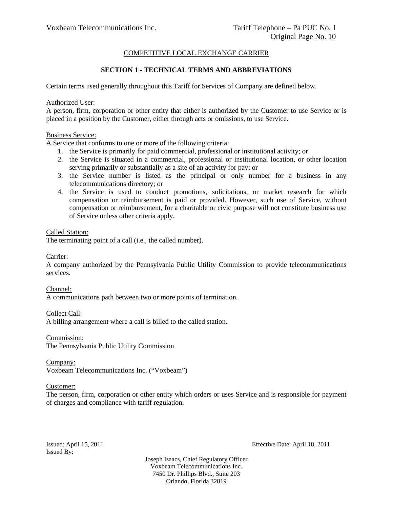## **SECTION 1 - TECHNICAL TERMS AND ABBREVIATIONS**

Certain terms used generally throughout this Tariff for Services of Company are defined below.

Authorized User:

A person, firm, corporation or other entity that either is authorized by the Customer to use Service or is placed in a position by the Customer, either through acts or omissions, to use Service.

Business Service:

A Service that conforms to one or more of the following criteria:

- 1. the Service is primarily for paid commercial, professional or institutional activity; or
- 2. the Service is situated in a commercial, professional or institutional location, or other location serving primarily or substantially as a site of an activity for pay; or
- 3. the Service number is listed as the principal or only number for a business in any telecommunications directory; or
- 4. the Service is used to conduct promotions, solicitations, or market research for which compensation or reimbursement is paid or provided. However, such use of Service, without compensation or reimbursement, for a charitable or civic purpose will not constitute business use of Service unless other criteria apply.

Called Station: The terminating point of a call (i.e., the called number).

Carrier:

A company authorized by the Pennsylvania Public Utility Commission to provide telecommunications services.

Channel: A communications path between two or more points of termination.

Collect Call: A billing arrangement where a call is billed to the called station.

Commission: The Pennsylvania Public Utility Commission

Company:

Voxbeam Telecommunications Inc. ("Voxbeam")

## Customer:

The person, firm, corporation or other entity which orders or uses Service and is responsible for payment of charges and compliance with tariff regulation.

Issued By:

Issued: April 15, 2011 Effective Date: April 18, 2011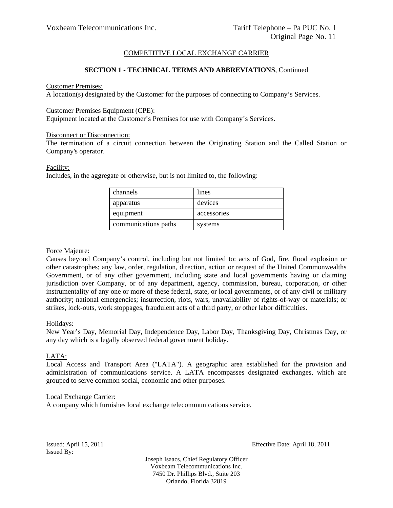## **SECTION 1 - TECHNICAL TERMS AND ABBREVIATIONS**, Continued

#### Customer Premises:

A location(s) designated by the Customer for the purposes of connecting to Company's Services.

#### Customer Premises Equipment (CPE):

Equipment located at the Customer's Premises for use with Company's Services.

#### Disconnect or Disconnection:

The termination of a circuit connection between the Originating Station and the Called Station or Company's operator.

#### Facility:

Includes, in the aggregate or otherwise, but is not limited to, the following:

| channels             | lines       |
|----------------------|-------------|
| apparatus            | devices     |
| equipment            | accessories |
| communications paths | systems     |

## Force Majeure:

Causes beyond Company's control, including but not limited to: acts of God, fire, flood explosion or other catastrophes; any law, order, regulation, direction, action or request of the United Commonwealths Government, or of any other government, including state and local governments having or claiming jurisdiction over Company, or of any department, agency, commission, bureau, corporation, or other instrumentality of any one or more of these federal, state, or local governments, or of any civil or military authority; national emergencies; insurrection, riots, wars, unavailability of rights-of-way or materials; or strikes, lock-outs, work stoppages, fraudulent acts of a third party, or other labor difficulties.

## Holidays:

New Year's Day, Memorial Day, Independence Day, Labor Day, Thanksgiving Day, Christmas Day, or any day which is a legally observed federal government holiday.

## LATA:

Local Access and Transport Area ("LATA"). A geographic area established for the provision and administration of communications service. A LATA encompasses designated exchanges, which are grouped to serve common social, economic and other purposes.

#### Local Exchange Carrier:

A company which furnishes local exchange telecommunications service.

Issued By:

Issued: April 15, 2011 Effective Date: April 18, 2011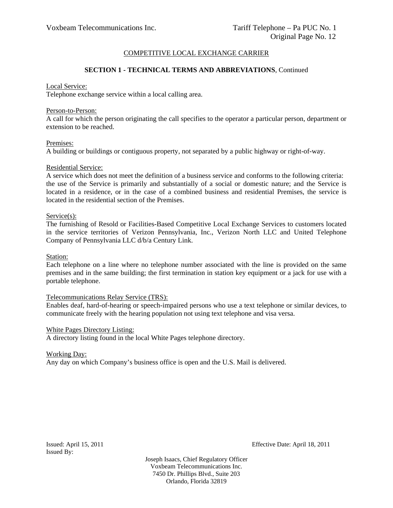## **SECTION 1 - TECHNICAL TERMS AND ABBREVIATIONS**, Continued

#### Local Service:

Telephone exchange service within a local calling area.

#### Person-to-Person:

A call for which the person originating the call specifies to the operator a particular person, department or extension to be reached.

#### Premises:

A building or buildings or contiguous property, not separated by a public highway or right-of-way.

#### Residential Service:

A service which does not meet the definition of a business service and conforms to the following criteria: the use of the Service is primarily and substantially of a social or domestic nature; and the Service is located in a residence, or in the case of a combined business and residential Premises, the service is located in the residential section of the Premises.

#### Service(s):

The furnishing of Resold or Facilities-Based Competitive Local Exchange Services to customers located in the service territories of Verizon Pennsylvania, Inc., Verizon North LLC and United Telephone Company of Pennsylvania LLC d/b/a Century Link.

#### Station:

Each telephone on a line where no telephone number associated with the line is provided on the same premises and in the same building; the first termination in station key equipment or a jack for use with a portable telephone.

#### Telecommunications Relay Service (TRS):

Enables deaf, hard-of-hearing or speech-impaired persons who use a text telephone or similar devices, to communicate freely with the hearing population not using text telephone and visa versa.

#### White Pages Directory Listing:

A directory listing found in the local White Pages telephone directory.

## Working Day:

Any day on which Company's business office is open and the U.S. Mail is delivered.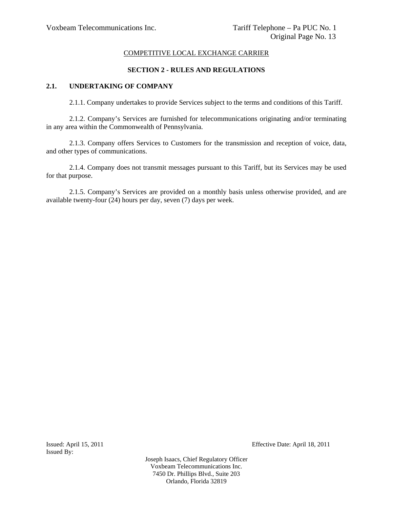## **SECTION 2 - RULES AND REGULATIONS**

## **2.1. UNDERTAKING OF COMPANY**

2.1.1. Company undertakes to provide Services subject to the terms and conditions of this Tariff.

2.1.2. Company's Services are furnished for telecommunications originating and/or terminating in any area within the Commonwealth of Pennsylvania.

2.1.3. Company offers Services to Customers for the transmission and reception of voice, data, and other types of communications.

2.1.4. Company does not transmit messages pursuant to this Tariff, but its Services may be used for that purpose.

2.1.5. Company's Services are provided on a monthly basis unless otherwise provided, and are available twenty-four (24) hours per day, seven (7) days per week.

Issued By:

Issued: April 15, 2011 Effective Date: April 18, 2011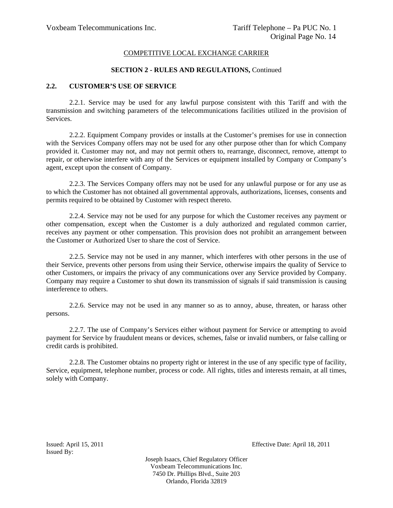#### **SECTION 2 - RULES AND REGULATIONS,** Continued

## **2.2. CUSTOMER'S USE OF SERVICE**

2.2.1. Service may be used for any lawful purpose consistent with this Tariff and with the transmission and switching parameters of the telecommunications facilities utilized in the provision of Services.

2.2.2. Equipment Company provides or installs at the Customer's premises for use in connection with the Services Company offers may not be used for any other purpose other than for which Company provided it. Customer may not, and may not permit others to, rearrange, disconnect, remove, attempt to repair, or otherwise interfere with any of the Services or equipment installed by Company or Company's agent, except upon the consent of Company.

2.2.3. The Services Company offers may not be used for any unlawful purpose or for any use as to which the Customer has not obtained all governmental approvals, authorizations, licenses, consents and permits required to be obtained by Customer with respect thereto.

2.2.4. Service may not be used for any purpose for which the Customer receives any payment or other compensation, except when the Customer is a duly authorized and regulated common carrier, receives any payment or other compensation. This provision does not prohibit an arrangement between the Customer or Authorized User to share the cost of Service.

2.2.5. Service may not be used in any manner, which interferes with other persons in the use of their Service, prevents other persons from using their Service, otherwise impairs the quality of Service to other Customers, or impairs the privacy of any communications over any Service provided by Company. Company may require a Customer to shut down its transmission of signals if said transmission is causing interference to others.

2.2.6. Service may not be used in any manner so as to annoy, abuse, threaten, or harass other persons.

2.2.7. The use of Company's Services either without payment for Service or attempting to avoid payment for Service by fraudulent means or devices, schemes, false or invalid numbers, or false calling or credit cards is prohibited.

2.2.8. The Customer obtains no property right or interest in the use of any specific type of facility, Service, equipment, telephone number, process or code. All rights, titles and interests remain, at all times, solely with Company.

Issued By:

Issued: April 15, 2011 Effective Date: April 18, 2011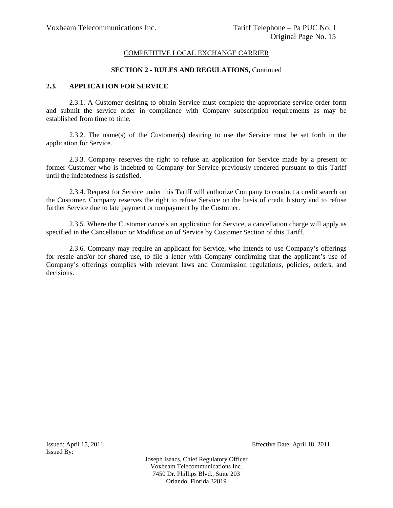#### **SECTION 2 - RULES AND REGULATIONS,** Continued

## **2.3. APPLICATION FOR SERVICE**

2.3.1. A Customer desiring to obtain Service must complete the appropriate service order form and submit the service order in compliance with Company subscription requirements as may be established from time to time.

2.3.2. The name(s) of the Customer(s) desiring to use the Service must be set forth in the application for Service.

2.3.3. Company reserves the right to refuse an application for Service made by a present or former Customer who is indebted to Company for Service previously rendered pursuant to this Tariff until the indebtedness is satisfied.

2.3.4. Request for Service under this Tariff will authorize Company to conduct a credit search on the Customer. Company reserves the right to refuse Service on the basis of credit history and to refuse further Service due to late payment or nonpayment by the Customer.

2.3.5. Where the Customer cancels an application for Service, a cancellation charge will apply as specified in the Cancellation or Modification of Service by Customer Section of this Tariff.

2.3.6. Company may require an applicant for Service, who intends to use Company's offerings for resale and/or for shared use, to file a letter with Company confirming that the applicant's use of Company's offerings complies with relevant laws and Commission regulations, policies, orders, and decisions.

Issued By:

Issued: April 15, 2011 Effective Date: April 18, 2011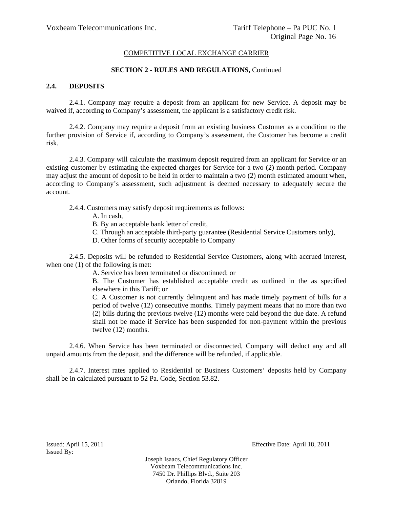#### **SECTION 2 - RULES AND REGULATIONS,** Continued

### **2.4. DEPOSITS**

2.4.1. Company may require a deposit from an applicant for new Service. A deposit may be waived if, according to Company's assessment, the applicant is a satisfactory credit risk.

2.4.2. Company may require a deposit from an existing business Customer as a condition to the further provision of Service if, according to Company's assessment, the Customer has become a credit risk.

2.4.3. Company will calculate the maximum deposit required from an applicant for Service or an existing customer by estimating the expected charges for Service for a two (2) month period. Company may adjust the amount of deposit to be held in order to maintain a two (2) month estimated amount when, according to Company's assessment, such adjustment is deemed necessary to adequately secure the account.

- 2.4.4. Customers may satisfy deposit requirements as follows:
	- A. In cash,
	- B. By an acceptable bank letter of credit,
	- C. Through an acceptable third-party guarantee (Residential Service Customers only),
	- D. Other forms of security acceptable to Company

2.4.5. Deposits will be refunded to Residential Service Customers, along with accrued interest, when one  $(1)$  of the following is met:

A. Service has been terminated or discontinued; or

B. The Customer has established acceptable credit as outlined in the as specified elsewhere in this Tariff; or

C. A Customer is not currently delinquent and has made timely payment of bills for a period of twelve (12) consecutive months. Timely payment means that no more than two (2) bills during the previous twelve (12) months were paid beyond the due date. A refund shall not be made if Service has been suspended for non-payment within the previous twelve (12) months.

2.4.6. When Service has been terminated or disconnected, Company will deduct any and all unpaid amounts from the deposit, and the difference will be refunded, if applicable.

2.4.7. Interest rates applied to Residential or Business Customers' deposits held by Company shall be in calculated pursuant to 52 Pa. Code, Section 53.82.

Issued By:

Issued: April 15, 2011 Effective Date: April 18, 2011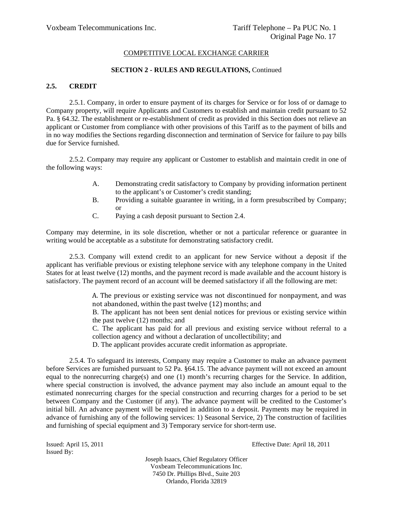#### **SECTION 2 - RULES AND REGULATIONS,** Continued

## **2.5. CREDIT**

2.5.1. Company, in order to ensure payment of its charges for Service or for loss of or damage to Company property, will require Applicants and Customers to establish and maintain credit pursuant to 52 Pa. § 64.32. The establishment or re-establishment of credit as provided in this Section does not relieve an applicant or Customer from compliance with other provisions of this Tariff as to the payment of bills and in no way modifies the Sections regarding disconnection and termination of Service for failure to pay bills due for Service furnished.

2.5.2. Company may require any applicant or Customer to establish and maintain credit in one of the following ways:

- A. Demonstrating credit satisfactory to Company by providing information pertinent to the applicant's or Customer's credit standing;
- B. Providing a suitable guarantee in writing, in a form presubscribed by Company; or
- C. Paying a cash deposit pursuant to Section 2.4.

Company may determine, in its sole discretion, whether or not a particular reference or guarantee in writing would be acceptable as a substitute for demonstrating satisfactory credit.

2.5.3. Company will extend credit to an applicant for new Service without a deposit if the applicant has verifiable previous or existing telephone service with any telephone company in the United States for at least twelve (12) months, and the payment record is made available and the account history is satisfactory. The payment record of an account will be deemed satisfactory if all the following are met:

> A. The previous or existing service was not discontinued for nonpayment, and was not abandoned, within the past twelve (12) months; and

> B. The applicant has not been sent denial notices for previous or existing service within the past twelve (12) months; and

> C. The applicant has paid for all previous and existing service without referral to a collection agency and without a declaration of uncollectibility; and

D. The applicant provides accurate credit information as appropriate.

2.5.4. To safeguard its interests, Company may require a Customer to make an advance payment before Services are furnished pursuant to 52 Pa. §64.15. The advance payment will not exceed an amount equal to the nonrecurring charge(s) and one (1) month's recurring charges for the Service. In addition, where special construction is involved, the advance payment may also include an amount equal to the estimated nonrecurring charges for the special construction and recurring charges for a period to be set between Company and the Customer (if any). The advance payment will be credited to the Customer's initial bill. An advance payment will be required in addition to a deposit. Payments may be required in advance of furnishing any of the following services: 1) Seasonal Service, 2) The construction of facilities and furnishing of special equipment and 3) Temporary service for short-term use.

Issued By:

Issued: April 15, 2011 Effective Date: April 18, 2011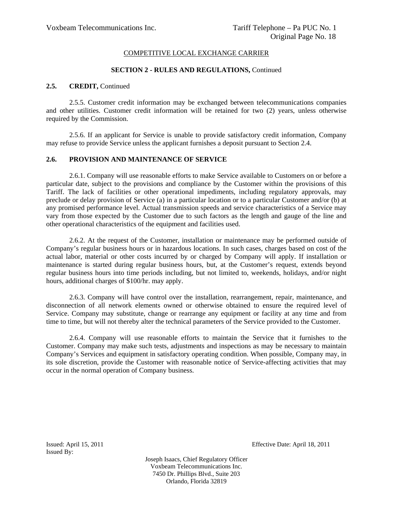#### **SECTION 2 - RULES AND REGULATIONS,** Continued

## 2.5. **CREDIT**, Continued

2.5.5. Customer credit information may be exchanged between telecommunications companies and other utilities. Customer credit information will be retained for two (2) years, unless otherwise required by the Commission.

2.5.6. If an applicant for Service is unable to provide satisfactory credit information, Company may refuse to provide Service unless the applicant furnishes a deposit pursuant to Section 2.4.

#### **2.6. PROVISION AND MAINTENANCE OF SERVICE**

2.6.1. Company will use reasonable efforts to make Service available to Customers on or before a particular date, subject to the provisions and compliance by the Customer within the provisions of this Tariff. The lack of facilities or other operational impediments, including regulatory approvals, may preclude or delay provision of Service (a) in a particular location or to a particular Customer and/or (b) at any promised performance level. Actual transmission speeds and service characteristics of a Service may vary from those expected by the Customer due to such factors as the length and gauge of the line and other operational characteristics of the equipment and facilities used.

2.6.2. At the request of the Customer, installation or maintenance may be performed outside of Company's regular business hours or in hazardous locations. In such cases, charges based on cost of the actual labor, material or other costs incurred by or charged by Company will apply. If installation or maintenance is started during regular business hours, but, at the Customer's request, extends beyond regular business hours into time periods including, but not limited to, weekends, holidays, and/or night hours, additional charges of \$100/hr. may apply.

2.6.3. Company will have control over the installation, rearrangement, repair, maintenance, and disconnection of all network elements owned or otherwise obtained to ensure the required level of Service. Company may substitute, change or rearrange any equipment or facility at any time and from time to time, but will not thereby alter the technical parameters of the Service provided to the Customer.

2.6.4. Company will use reasonable efforts to maintain the Service that it furnishes to the Customer. Company may make such tests, adjustments and inspections as may be necessary to maintain Company's Services and equipment in satisfactory operating condition. When possible, Company may, in its sole discretion, provide the Customer with reasonable notice of Service-affecting activities that may occur in the normal operation of Company business.

Issued By:

Issued: April 15, 2011 Effective Date: April 18, 2011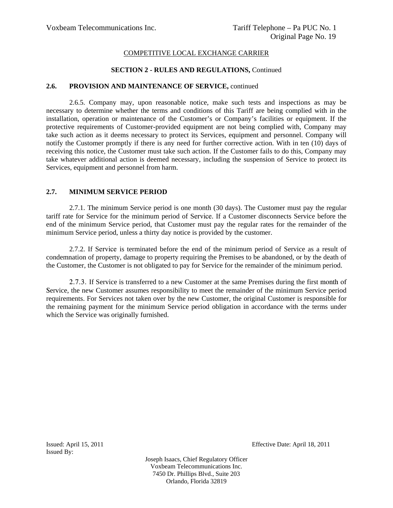### **SECTION 2 - RULES AND REGULATIONS,** Continued

#### **2.6. PROVISION AND MAINTENANCE OF SERVICE,** continued

2.6.5. Company may, upon reasonable notice, make such tests and inspections as may be necessary to determine whether the terms and conditions of this Tariff are being complied with in the installation, operation or maintenance of the Customer's or Company's facilities or equipment. If the protective requirements of Customer-provided equipment are not being complied with, Company may take such action as it deems necessary to protect its Services, equipment and personnel. Company will notify the Customer promptly if there is any need for further corrective action. With in ten (10) days of receiving this notice, the Customer must take such action. If the Customer fails to do this, Company may take whatever additional action is deemed necessary, including the suspension of Service to protect its Services, equipment and personnel from harm.

## **2.7. MINIMUM SERVICE PERIOD**

2.7.1. The minimum Service period is one month (30 days). The Customer must pay the regular tariff rate for Service for the minimum period of Service. If a Customer disconnects Service before the end of the minimum Service period, that Customer must pay the regular rates for the remainder of the minimum Service period, unless a thirty day notice is provided by the customer.

2.7.2. If Service is terminated before the end of the minimum period of Service as a result of condemnation of property, damage to property requiring the Premises to be abandoned, or by the death of the Customer, the Customer is not obligated to pay for Service for the remainder of the minimum period.

2.7.3. If Service is transferred to a new Customer at the same Premises during the first month of Service, the new Customer assumes responsibility to meet the remainder of the minimum Service period requirements. For Services not taken over by the new Customer, the original Customer is responsible for the remaining payment for the minimum Service period obligation in accordance with the terms under which the Service was originally furnished.

Issued By:

Issued: April 15, 2011 Effective Date: April 18, 2011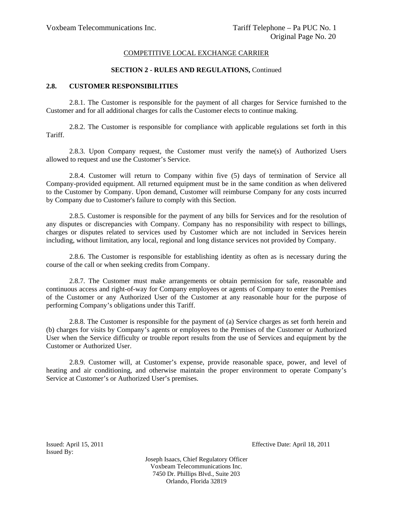#### **SECTION 2 - RULES AND REGULATIONS,** Continued

#### **2.8. CUSTOMER RESPONSIBILITIES**

2.8.1. The Customer is responsible for the payment of all charges for Service furnished to the Customer and for all additional charges for calls the Customer elects to continue making.

2.8.2. The Customer is responsible for compliance with applicable regulations set forth in this Tariff.

2.8.3. Upon Company request, the Customer must verify the name(s) of Authorized Users allowed to request and use the Customer's Service.

2.8.4. Customer will return to Company within five (5) days of termination of Service all Company-provided equipment. All returned equipment must be in the same condition as when delivered to the Customer by Company. Upon demand, Customer will reimburse Company for any costs incurred by Company due to Customer's failure to comply with this Section.

2.8.5. Customer is responsible for the payment of any bills for Services and for the resolution of any disputes or discrepancies with Company. Company has no responsibility with respect to billings, charges or disputes related to services used by Customer which are not included in Services herein including, without limitation, any local, regional and long distance services not provided by Company.

2.8.6. The Customer is responsible for establishing identity as often as is necessary during the course of the call or when seeking credits from Company.

2.8.7. The Customer must make arrangements or obtain permission for safe, reasonable and continuous access and right-of-way for Company employees or agents of Company to enter the Premises of the Customer or any Authorized User of the Customer at any reasonable hour for the purpose of performing Company's obligations under this Tariff.

2.8.8. The Customer is responsible for the payment of (a) Service charges as set forth herein and (b) charges for visits by Company's agents or employees to the Premises of the Customer or Authorized User when the Service difficulty or trouble report results from the use of Services and equipment by the Customer or Authorized User.

2.8.9. Customer will, at Customer's expense, provide reasonable space, power, and level of heating and air conditioning, and otherwise maintain the proper environment to operate Company's Service at Customer's or Authorized User's premises.

Issued By:

Issued: April 15, 2011 Effective Date: April 18, 2011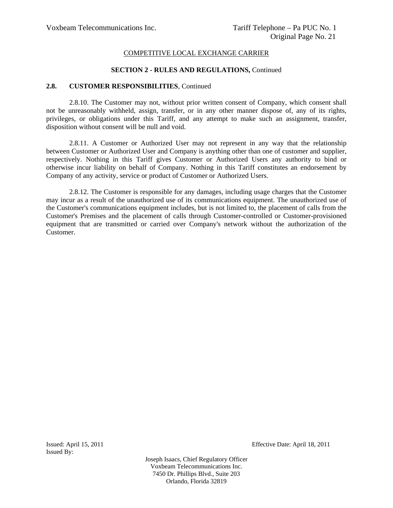#### **SECTION 2 - RULES AND REGULATIONS,** Continued

#### **2.8. CUSTOMER RESPONSIBILITIES**, Continued

2.8.10. The Customer may not, without prior written consent of Company, which consent shall not be unreasonably withheld, assign, transfer, or in any other manner dispose of, any of its rights, privileges, or obligations under this Tariff, and any attempt to make such an assignment, transfer, disposition without consent will be null and void.

2.8.11. A Customer or Authorized User may not represent in any way that the relationship between Customer or Authorized User and Company is anything other than one of customer and supplier, respectively. Nothing in this Tariff gives Customer or Authorized Users any authority to bind or otherwise incur liability on behalf of Company. Nothing in this Tariff constitutes an endorsement by Company of any activity, service or product of Customer or Authorized Users.

2.8.12. The Customer is responsible for any damages, including usage charges that the Customer may incur as a result of the unauthorized use of its communications equipment. The unauthorized use of the Customer's communications equipment includes, but is not limited to, the placement of calls from the Customer's Premises and the placement of calls through Customer-controlled or Customer-provisioned equipment that are transmitted or carried over Company's network without the authorization of the Customer.

Issued By:

Issued: April 15, 2011 Effective Date: April 18, 2011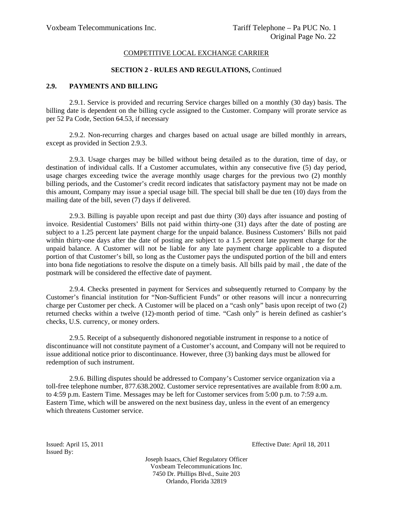#### **SECTION 2 - RULES AND REGULATIONS,** Continued

## **2.9. PAYMENTS AND BILLING**

2.9.1. Service is provided and recurring Service charges billed on a monthly (30 day) basis. The billing date is dependent on the billing cycle assigned to the Customer. Company will prorate service as per 52 Pa Code, Section 64.53, if necessary

2.9.2. Non-recurring charges and charges based on actual usage are billed monthly in arrears, except as provided in Section 2.9.3.

2.9.3. Usage charges may be billed without being detailed as to the duration, time of day, or destination of individual calls. If a Customer accumulates, within any consecutive five (5) day period, usage charges exceeding twice the average monthly usage charges for the previous two (2) monthly billing periods, and the Customer's credit record indicates that satisfactory payment may not be made on this amount, Company may issue a special usage bill. The special bill shall be due ten (10) days from the mailing date of the bill, seven (7) days if delivered.

2.9.3. Billing is payable upon receipt and past due thirty (30) days after issuance and posting of invoice. Residential Customers' Bills not paid within thirty-one (31) days after the date of posting are subject to a 1.25 percent late payment charge for the unpaid balance. Business Customers' Bills not paid within thirty-one days after the date of posting are subject to a 1.5 percent late payment charge for the unpaid balance. A Customer will not be liable for any late payment charge applicable to a disputed portion of that Customer's bill, so long as the Customer pays the undisputed portion of the bill and enters into bona fide negotiations to resolve the dispute on a timely basis. All bills paid by mail , the date of the postmark will be considered the effective date of payment.

2.9.4. Checks presented in payment for Services and subsequently returned to Company by the Customer's financial institution for "Non-Sufficient Funds" or other reasons will incur a nonrecurring charge per Customer per check. A Customer will be placed on a "cash only" basis upon receipt of two (2) returned checks within a twelve (12)-month period of time. "Cash only" is herein defined as cashier's checks, U.S. currency, or money orders.

2.9.5. Receipt of a subsequently dishonored negotiable instrument in response to a notice of discontinuance will not constitute payment of a Customer's account, and Company will not be required to issue additional notice prior to discontinuance. However, three (3) banking days must be allowed for redemption of such instrument.

2.9.6. Billing disputes should be addressed to Company's Customer service organization via a toll-free telephone number, 877.638.2002. Customer service representatives are available from 8:00 a.m. to 4:59 p.m. Eastern Time. Messages may be left for Customer services from 5:00 p.m. to 7:59 a.m. Eastern Time, which will be answered on the next business day, unless in the event of an emergency which threatens Customer service.

Issued By:

Issued: April 15, 2011 Effective Date: April 18, 2011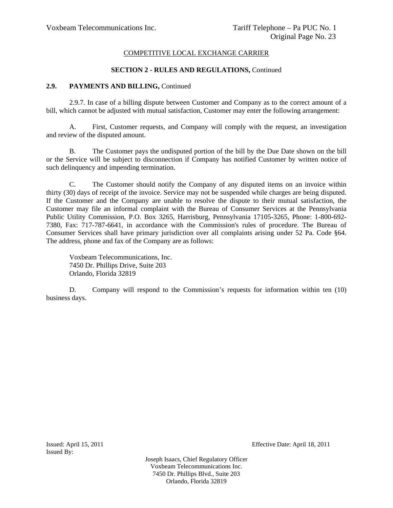### **SECTION 2 - RULES AND REGULATIONS,** Continued

#### 2.9. PAYMENTS AND BILLING, Continued

2.9.7. In case of a billing dispute between Customer and Company as to the correct amount of a bill, which cannot be adjusted with mutual satisfaction, Customer may enter the following arrangement:

A. First, Customer requests, and Company will comply with the request, an investigation and review of the disputed amount.

B. The Customer pays the undisputed portion of the bill by the Due Date shown on the bill or the Service will be subject to disconnection if Company has notified Customer by written notice of such delinquency and impending termination.

C. The Customer should notify the Company of any disputed items on an invoice within thirty (30) days of receipt of the invoice. Service may not be suspended while charges are being disputed. If the Customer and the Company are unable to resolve the dispute to their mutual satisfaction, the Customer may file an informal complaint with the Bureau of Consumer Services at the Pennsylvania Public Utility Commission, P.O. Box 3265, Harrisburg, Pennsylvania 17105-3265, Phone: 1-800-692- 7380, Fax: 717-787-6641, in accordance with the Commission's rules of procedure. The Bureau of Consumer Services shall have primary jurisdiction over all complaints arising under 52 Pa. Code §64. The address, phone and fax of the Company are as follows:

Voxbeam Telecommunications, Inc. 7450 Dr. Phillips Drive, Suite 203 Orlando, Florida 32819

D. Company will respond to the Commission's requests for information within ten (10) business days.

Issued By:

Issued: April 15, 2011 Effective Date: April 18, 2011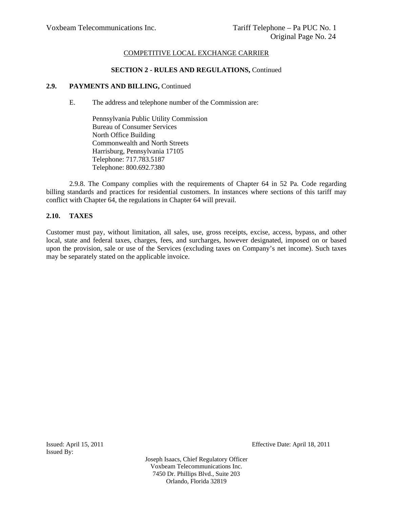#### **SECTION 2 - RULES AND REGULATIONS,** Continued

### 2.9. PAYMENTS AND BILLING, Continued

- E. The address and telephone number of the Commission are:
	- Pennsylvania Public Utility Commission Bureau of Consumer Services North Office Building Commonwealth and North Streets Harrisburg, Pennsylvania 17105 Telephone: 717.783.5187 Telephone: 800.692.7380

2.9.8. The Company complies with the requirements of Chapter 64 in 52 Pa. Code regarding billing standards and practices for residential customers. In instances where sections of this tariff may conflict with Chapter 64, the regulations in Chapter 64 will prevail.

## **2.10. TAXES**

Customer must pay, without limitation, all sales, use, gross receipts, excise, access, bypass, and other local, state and federal taxes, charges, fees, and surcharges, however designated, imposed on or based upon the provision, sale or use of the Services (excluding taxes on Company's net income). Such taxes may be separately stated on the applicable invoice.

Issued: April 15, 2011 Effective Date: April 18, 2011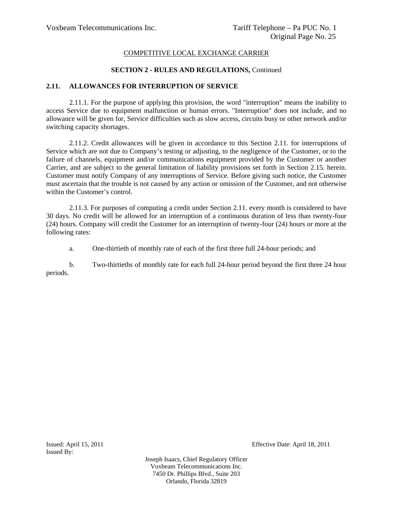### **SECTION 2 - RULES AND REGULATIONS,** Continued

### **2.11. ALLOWANCES FOR INTERRUPTION OF SERVICE**

2.11.1. For the purpose of applying this provision, the word "interruption" means the inability to access Service due to equipment malfunction or human errors. "Interruption" does not include, and no allowance will be given for, Service difficulties such as slow access, circuits busy or other network and/or switching capacity shortages.

2.11.2. Credit allowances will be given in accordance to this Section 2.11. for interruptions of Service which are not due to Company's testing or adjusting, to the negligence of the Customer, or to the failure of channels, equipment and/or communications equipment provided by the Customer or another Carrier, and are subject to the general limitation of liability provisions set forth in Section 2.15. herein. Customer must notify Company of any interruptions of Service. Before giving such notice, the Customer must ascertain that the trouble is not caused by any action or omission of the Customer, and not otherwise within the Customer's control.

2.11.3. For purposes of computing a credit under Section 2.11. every month is considered to have 30 days. No credit will be allowed for an interruption of a continuous duration of less than twenty-four (24) hours. Company will credit the Customer for an interruption of twenty-four (24) hours or more at the following rates:

a. One-thirtieth of monthly rate of each of the first three full 24-hour periods; and

b. Two-thirtieths of monthly rate for each full 24-hour period beyond the first three 24 hour periods.

Issued By:

Issued: April 15, 2011 Effective Date: April 18, 2011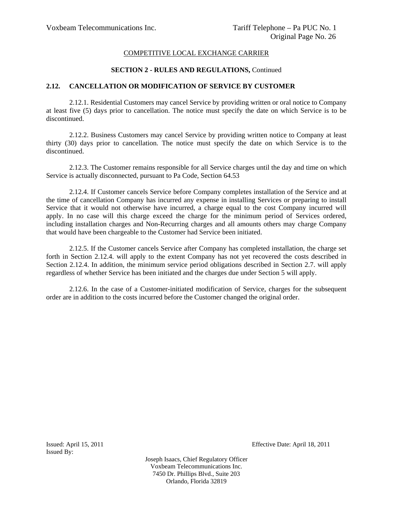#### **SECTION 2 - RULES AND REGULATIONS,** Continued

#### **2.12. CANCELLATION OR MODIFICATION OF SERVICE BY CUSTOMER**

2.12.1. Residential Customers may cancel Service by providing written or oral notice to Company at least five (5) days prior to cancellation. The notice must specify the date on which Service is to be discontinued.

2.12.2. Business Customers may cancel Service by providing written notice to Company at least thirty (30) days prior to cancellation. The notice must specify the date on which Service is to the discontinued.

2.12.3. The Customer remains responsible for all Service charges until the day and time on which Service is actually disconnected, pursuant to Pa Code, Section 64.53

2.12.4. If Customer cancels Service before Company completes installation of the Service and at the time of cancellation Company has incurred any expense in installing Services or preparing to install Service that it would not otherwise have incurred, a charge equal to the cost Company incurred will apply. In no case will this charge exceed the charge for the minimum period of Services ordered, including installation charges and Non-Recurring charges and all amounts others may charge Company that would have been chargeable to the Customer had Service been initiated.

2.12.5. If the Customer cancels Service after Company has completed installation, the charge set forth in Section 2.12.4. will apply to the extent Company has not yet recovered the costs described in Section 2.12.4. In addition, the minimum service period obligations described in Section 2.7. will apply regardless of whether Service has been initiated and the charges due under Section 5 will apply.

2.12.6. In the case of a Customer-initiated modification of Service, charges for the subsequent order are in addition to the costs incurred before the Customer changed the original order.

Issued By:

Issued: April 15, 2011 Effective Date: April 18, 2011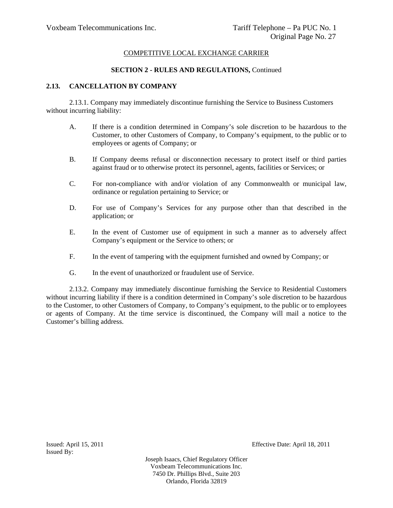### **SECTION 2 - RULES AND REGULATIONS,** Continued

## **2.13. CANCELLATION BY COMPANY**

2.13.1. Company may immediately discontinue furnishing the Service to Business Customers without incurring liability:

- A. If there is a condition determined in Company's sole discretion to be hazardous to the Customer, to other Customers of Company, to Company's equipment, to the public or to employees or agents of Company; or
- B. If Company deems refusal or disconnection necessary to protect itself or third parties against fraud or to otherwise protect its personnel, agents, facilities or Services; or
- C. For non-compliance with and/or violation of any Commonwealth or municipal law, ordinance or regulation pertaining to Service; or
- D. For use of Company's Services for any purpose other than that described in the application; or
- E. In the event of Customer use of equipment in such a manner as to adversely affect Company's equipment or the Service to others; or
- F. In the event of tampering with the equipment furnished and owned by Company; or
- G. In the event of unauthorized or fraudulent use of Service.

2.13.2. Company may immediately discontinue furnishing the Service to Residential Customers without incurring liability if there is a condition determined in Company's sole discretion to be hazardous to the Customer, to other Customers of Company, to Company's equipment, to the public or to employees or agents of Company. At the time service is discontinued, the Company will mail a notice to the Customer's billing address.

Issued By:

Issued: April 15, 2011 Effective Date: April 18, 2011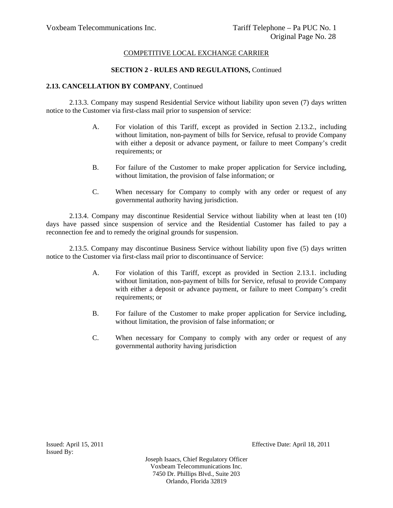### **SECTION 2 - RULES AND REGULATIONS,** Continued

### **2.13. CANCELLATION BY COMPANY**, Continued

2.13.3. Company may suspend Residential Service without liability upon seven (7) days written notice to the Customer via first-class mail prior to suspension of service:

- A. For violation of this Tariff, except as provided in Section 2.13.2., including without limitation, non-payment of bills for Service, refusal to provide Company with either a deposit or advance payment, or failure to meet Company's credit requirements; or
- B. For failure of the Customer to make proper application for Service including, without limitation, the provision of false information; or
- C. When necessary for Company to comply with any order or request of any governmental authority having jurisdiction.

2.13.4. Company may discontinue Residential Service without liability when at least ten (10) days have passed since suspension of service and the Residential Customer has failed to pay a reconnection fee and to remedy the original grounds for suspension.

2.13.5. Company may discontinue Business Service without liability upon five (5) days written notice to the Customer via first-class mail prior to discontinuance of Service:

- A. For violation of this Tariff, except as provided in Section 2.13.1. including without limitation, non-payment of bills for Service, refusal to provide Company with either a deposit or advance payment, or failure to meet Company's credit requirements; or
- B. For failure of the Customer to make proper application for Service including, without limitation, the provision of false information; or
- C. When necessary for Company to comply with any order or request of any governmental authority having jurisdiction

Issued By:

Issued: April 15, 2011 Effective Date: April 18, 2011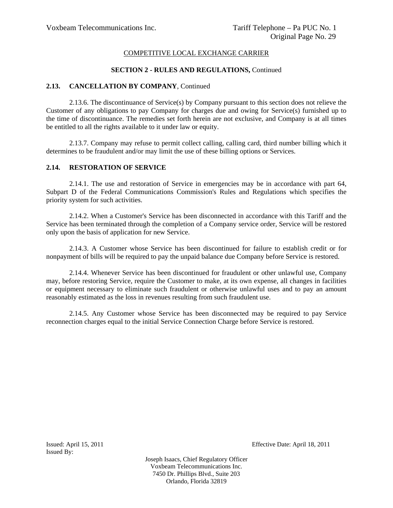## **SECTION 2 - RULES AND REGULATIONS,** Continued

## **2.13. CANCELLATION BY COMPANY**, Continued

2.13.6. The discontinuance of Service(s) by Company pursuant to this section does not relieve the Customer of any obligations to pay Company for charges due and owing for Service(s) furnished up to the time of discontinuance. The remedies set forth herein are not exclusive, and Company is at all times be entitled to all the rights available to it under law or equity.

2.13.7. Company may refuse to permit collect calling, calling card, third number billing which it determines to be fraudulent and/or may limit the use of these billing options or Services.

## **2.14. RESTORATION OF SERVICE**

2.14.1. The use and restoration of Service in emergencies may be in accordance with part 64, Subpart D of the Federal Communications Commission's Rules and Regulations which specifies the priority system for such activities.

2.14.2. When a Customer's Service has been disconnected in accordance with this Tariff and the Service has been terminated through the completion of a Company service order, Service will be restored only upon the basis of application for new Service.

2.14.3. A Customer whose Service has been discontinued for failure to establish credit or for nonpayment of bills will be required to pay the unpaid balance due Company before Service is restored.

2.14.4. Whenever Service has been discontinued for fraudulent or other unlawful use, Company may, before restoring Service, require the Customer to make, at its own expense, all changes in facilities or equipment necessary to eliminate such fraudulent or otherwise unlawful uses and to pay an amount reasonably estimated as the loss in revenues resulting from such fraudulent use.

2.14.5. Any Customer whose Service has been disconnected may be required to pay Service reconnection charges equal to the initial Service Connection Charge before Service is restored.

Issued By:

Issued: April 15, 2011 Effective Date: April 18, 2011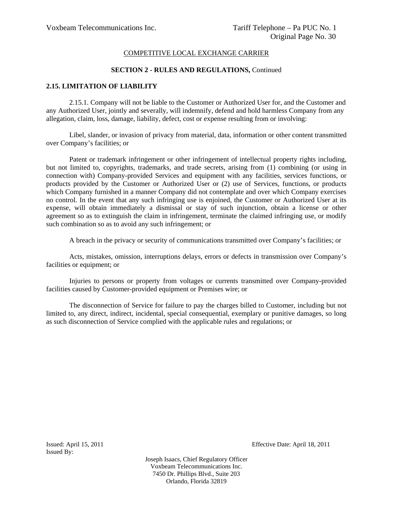#### **SECTION 2 - RULES AND REGULATIONS,** Continued

### **2.15. LIMITATION OF LIABILITY**

2.15.1. Company will not be liable to the Customer or Authorized User for, and the Customer and any Authorized User, jointly and severally, will indemnify, defend and hold harmless Company from any allegation, claim, loss, damage, liability, defect, cost or expense resulting from or involving:

Libel, slander, or invasion of privacy from material, data, information or other content transmitted over Company's facilities; or

Patent or trademark infringement or other infringement of intellectual property rights including, but not limited to, copyrights, trademarks, and trade secrets, arising from (1) combining (or using in connection with) Company-provided Services and equipment with any facilities, services functions, or products provided by the Customer or Authorized User or (2) use of Services, functions, or products which Company furnished in a manner Company did not contemplate and over which Company exercises no control. In the event that any such infringing use is enjoined, the Customer or Authorized User at its expense, will obtain immediately a dismissal or stay of such injunction, obtain a license or other agreement so as to extinguish the claim in infringement, terminate the claimed infringing use, or modify such combination so as to avoid any such infringement; or

A breach in the privacy or security of communications transmitted over Company's facilities; or

Acts, mistakes, omission, interruptions delays, errors or defects in transmission over Company's facilities or equipment; or

Injuries to persons or property from voltages or currents transmitted over Company-provided facilities caused by Customer-provided equipment or Premises wire; or

The disconnection of Service for failure to pay the charges billed to Customer, including but not limited to, any direct, indirect, incidental, special consequential, exemplary or punitive damages, so long as such disconnection of Service complied with the applicable rules and regulations; or

Issued By:

Issued: April 15, 2011 Effective Date: April 18, 2011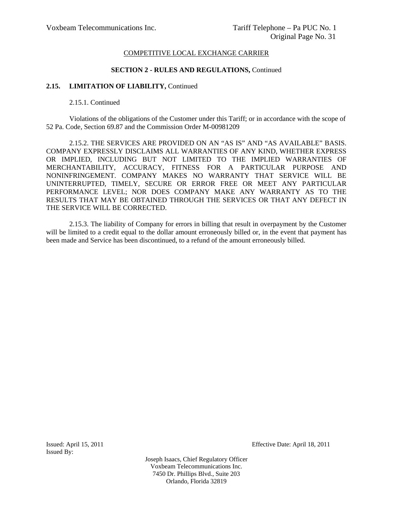#### **SECTION 2 - RULES AND REGULATIONS,** Continued

### 2.15. LIMITATION OF LIABILITY, Continued

2.15.1. Continued

Violations of the obligations of the Customer under this Tariff; or in accordance with the scope of 52 Pa. Code, Section 69.87 and the Commission Order M-00981209

2.15.2. THE SERVICES ARE PROVIDED ON AN "AS IS" AND "AS AVAILABLE" BASIS. COMPANY EXPRESSLY DISCLAIMS ALL WARRANTIES OF ANY KIND, WHETHER EXPRESS OR IMPLIED, INCLUDING BUT NOT LIMITED TO THE IMPLIED WARRANTIES OF MERCHANTABILITY, ACCURACY, FITNESS FOR A PARTICULAR PURPOSE AND NONINFRINGEMENT. COMPANY MAKES NO WARRANTY THAT SERVICE WILL BE UNINTERRUPTED, TIMELY, SECURE OR ERROR FREE OR MEET ANY PARTICULAR PERFORMANCE LEVEL; NOR DOES COMPANY MAKE ANY WARRANTY AS TO THE RESULTS THAT MAY BE OBTAINED THROUGH THE SERVICES OR THAT ANY DEFECT IN THE SERVICE WILL BE CORRECTED.

2.15.3. The liability of Company for errors in billing that result in overpayment by the Customer will be limited to a credit equal to the dollar amount erroneously billed or, in the event that payment has been made and Service has been discontinued, to a refund of the amount erroneously billed.

Issued By:

Issued: April 15, 2011 Effective Date: April 18, 2011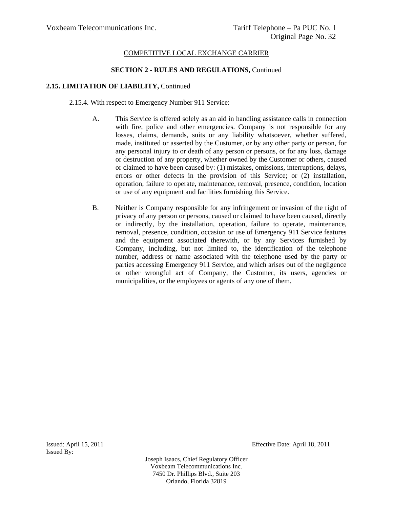#### **SECTION 2 - RULES AND REGULATIONS,** Continued

## **2.15. LIMITATION OF LIABILITY,** Continued

2.15.4. With respect to Emergency Number 911 Service:

- A. This Service is offered solely as an aid in handling assistance calls in connection with fire, police and other emergencies. Company is not responsible for any losses, claims, demands, suits or any liability whatsoever, whether suffered, made, instituted or asserted by the Customer, or by any other party or person, for any personal injury to or death of any person or persons, or for any loss, damage or destruction of any property, whether owned by the Customer or others, caused or claimed to have been caused by: (1) mistakes, omissions, interruptions, delays, errors or other defects in the provision of this Service; or (2) installation, operation, failure to operate, maintenance, removal, presence, condition, location or use of any equipment and facilities furnishing this Service.
- B. Neither is Company responsible for any infringement or invasion of the right of privacy of any person or persons, caused or claimed to have been caused, directly or indirectly, by the installation, operation, failure to operate, maintenance, removal, presence, condition, occasion or use of Emergency 911 Service features and the equipment associated therewith, or by any Services furnished by Company, including, but not limited to, the identification of the telephone number, address or name associated with the telephone used by the party or parties accessing Emergency 911 Service, and which arises out of the negligence or other wrongful act of Company, the Customer, its users, agencies or municipalities, or the employees or agents of any one of them.

Issued By:

Issued: April 15, 2011 Effective Date: April 18, 2011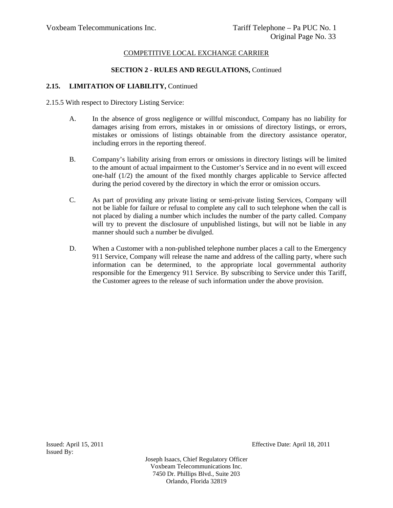## **SECTION 2 - RULES AND REGULATIONS,** Continued

## 2.15. LIMITATION OF LIABILITY, Continued

- 2.15.5 With respect to Directory Listing Service:
	- A. In the absence of gross negligence or willful misconduct, Company has no liability for damages arising from errors, mistakes in or omissions of directory listings, or errors, mistakes or omissions of listings obtainable from the directory assistance operator, including errors in the reporting thereof.
	- B. Company's liability arising from errors or omissions in directory listings will be limited to the amount of actual impairment to the Customer's Service and in no event will exceed one-half (1/2) the amount of the fixed monthly charges applicable to Service affected during the period covered by the directory in which the error or omission occurs.
	- C. As part of providing any private listing or semi-private listing Services, Company will not be liable for failure or refusal to complete any call to such telephone when the call is not placed by dialing a number which includes the number of the party called. Company will try to prevent the disclosure of unpublished listings, but will not be liable in any manner should such a number be divulged.
	- D. When a Customer with a non-published telephone number places a call to the Emergency 911 Service, Company will release the name and address of the calling party, where such information can be determined, to the appropriate local governmental authority responsible for the Emergency 911 Service. By subscribing to Service under this Tariff, the Customer agrees to the release of such information under the above provision.

Issued By:

Issued: April 15, 2011 Effective Date: April 18, 2011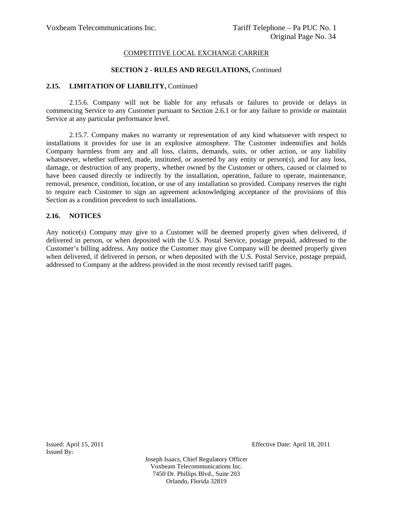#### **SECTION 2 - RULES AND REGULATIONS,** Continued

#### 2.15. LIMITATION OF LIABILITY, Continued

2.15.6. Company will not be liable for any refusals or failures to provide or delays in commencing Service to any Customer pursuant to Section 2.6.1 or for any failure to provide or maintain Service at any particular performance level.

2.15.7. Company makes no warranty or representation of any kind whatsoever with respect to installations it provides for use in an explosive atmosphere. The Customer indemnifies and holds Company harmless from any and all loss, claims, demands, suits, or other action, or any liability whatsoever, whether suffered, made, instituted, or asserted by any entity or person(s), and for any loss, damage, or destruction of any property, whether owned by the Customer or others, caused or claimed to have been caused directly or indirectly by the installation, operation, failure to operate, maintenance, removal, presence, condition, location, or use of any installation so provided. Company reserves the right to require each Customer to sign an agreement acknowledging acceptance of the provisions of this Section as a condition precedent to such installations.

#### **2.16. NOTICES**

Any notice(s) Company may give to a Customer will be deemed properly given when delivered, if delivered in person, or when deposited with the U.S. Postal Service, postage prepaid, addressed to the Customer's billing address. Any notice the Customer may give Company will be deemed properly given when delivered, if delivered in person, or when deposited with the U.S. Postal Service, postage prepaid, addressed to Company at the address provided in the most recently revised tariff pages.

Issued By:

Issued: April 15, 2011 Effective Date: April 18, 2011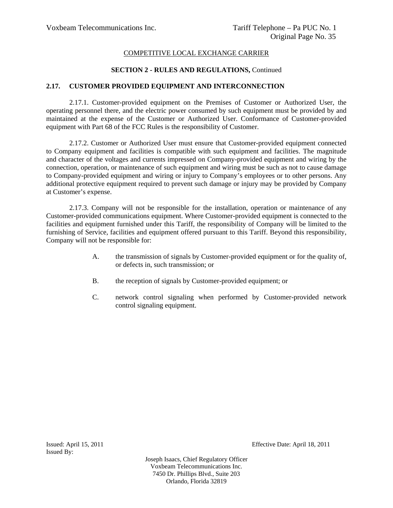## **SECTION 2 - RULES AND REGULATIONS,** Continued

## **2.17. CUSTOMER PROVIDED EQUIPMENT AND INTERCONNECTION**

2.17.1. Customer-provided equipment on the Premises of Customer or Authorized User, the operating personnel there, and the electric power consumed by such equipment must be provided by and maintained at the expense of the Customer or Authorized User. Conformance of Customer-provided equipment with Part 68 of the FCC Rules is the responsibility of Customer.

2.17.2. Customer or Authorized User must ensure that Customer-provided equipment connected to Company equipment and facilities is compatible with such equipment and facilities. The magnitude and character of the voltages and currents impressed on Company-provided equipment and wiring by the connection, operation, or maintenance of such equipment and wiring must be such as not to cause damage to Company-provided equipment and wiring or injury to Company's employees or to other persons. Any additional protective equipment required to prevent such damage or injury may be provided by Company at Customer's expense.

2.17.3. Company will not be responsible for the installation, operation or maintenance of any Customer-provided communications equipment. Where Customer-provided equipment is connected to the facilities and equipment furnished under this Tariff, the responsibility of Company will be limited to the furnishing of Service, facilities and equipment offered pursuant to this Tariff. Beyond this responsibility, Company will not be responsible for:

- A. the transmission of signals by Customer-provided equipment or for the quality of, or defects in, such transmission; or
- B. the reception of signals by Customer-provided equipment; or
- C. network control signaling when performed by Customer-provided network control signaling equipment.

Issued By:

Issued: April 15, 2011 Effective Date: April 18, 2011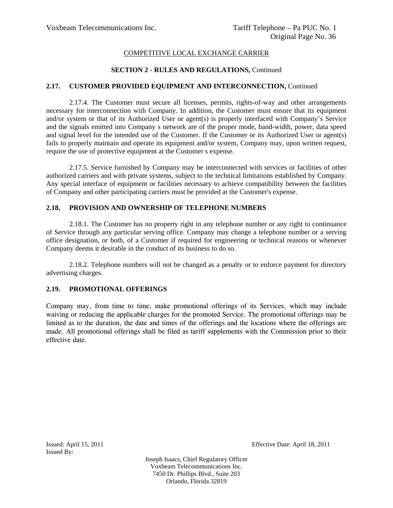## **SECTION 2 - RULES AND REGULATIONS,** Continued

## **2.17. CUSTOMER PROVIDED EQUIPMENT AND INTERCONNECTION,** Continued

2.17.4. The Customer must secure all licenses, permits, rights-of-way and other arrangements necessary for interconnection with Company. In addition, the Customer must ensure that its equipment and/or system or that of its Authorized User or agent(s) is properly interfaced with Company's Service and the signals emitted into Company s network are of the proper mode, band-width, power, data speed and signal level for the intended use of the Customer. If the Customer or its Authorized User or agent(s) fails to properly maintain and operate its equipment and/or system, Company may, upon written request, require the use of protective equipment at the Customer s expense.

2.17.5. Service furnished by Company may be interconnected with services or facilities of other authorized carriers and with private systems, subject to the technical limitations established by Company. Any special interface of equipment or facilities necessary to achieve compatibility between the facilities of Company and other participating carriers must be provided at the Customer's expense.

## **2.18. PROVISION AND OWNERSHIP OF TELEPHONE NUMBERS**

2.18.1. The Customer has no property right in any telephone number or any right to continuance of Service through any particular serving office. Company may change a telephone number or a serving office designation, or both, of a Customer if required for engineering or technical reasons or whenever Company deems it desirable in the conduct of its business to do so.

2.18.2. Telephone numbers will not be changed as a penalty or to enforce payment for directory advertising charges.

## **2.19. PROMOTIONAL OFFERINGS**

Company may, from time to time, make promotional offerings of its Services, which may include waiving or reducing the applicable charges for the promoted Service. The promotional offerings may be limited as to the duration, the date and times of the offerings and the locations where the offerings are made. All promotional offerings shall be filed as tariff supplements with the Commission prior to their effective date.

Issued By:

Issued: April 15, 2011 Effective Date: April 18, 2011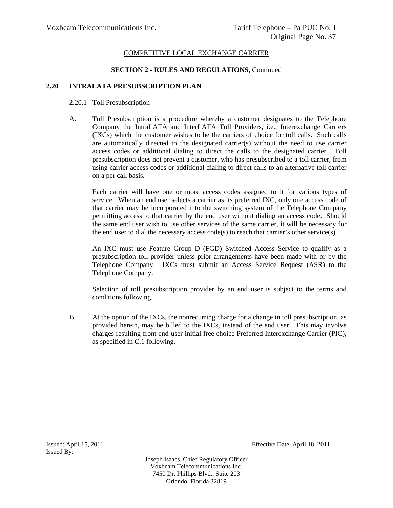### **SECTION 2 - RULES AND REGULATIONS,** Continued

## **2.20 INTRALATA PRESUBSCRIPTION PLAN**

### 2.20.1 Toll Presubscription

 A. Toll Presubscription is a procedure whereby a customer designates to the Telephone Company the IntraLATA and InterLATA Toll Providers, i.e., Interexchange Carriers (IXCs) which the customer wishes to be the carriers of choice for toll calls. Such calls are automatically directed to the designated carrier(s) without the need to use carrier access codes or additional dialing to direct the calls to the designated carrier. Toll presubscription does not prevent a customer, who has presubscribed to a toll carrier, from using carrier access codes or additional dialing to direct calls to an alternative toll carrier on a per call basis**.** 

Each carrier will have one or more access codes assigned to it for various types of service. When an end user selects a carrier as its preferred IXC, only one access code of that carrier may be incorporated into the switching system of the Telephone Company permitting access to that carrier by the end user without dialing an access code. Should the same end user wish to use other services of the same carrier, it will be necessary for the end user to dial the necessary access  $code(s)$  to reach that carrier's other service(s).

An IXC must use Feature Group D (FGD) Switched Access Service to qualify as a presubscription toll provider unless prior arrangements have been made with or by the Telephone Company. IXCs must submit an Access Service Request (ASR) to the Telephone Company.

Selection of toll presubscription provider by an end user is subject to the terms and conditions following.

 B. At the option of the IXCs, the nonrecurring charge for a change in toll presubscription, as provided herein, may be billed to the IXCs, instead of the end user. This may involve charges resulting from end-user initial free choice Preferred Interexchange Carrier (PIC), as specified in C.1 following.

Issued By:

Issued: April 15, 2011 Effective Date: April 18, 2011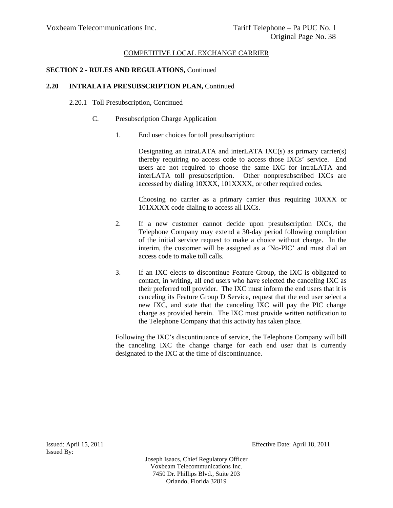## **SECTION 2 - RULES AND REGULATIONS,** Continued

### **2.20 INTRALATA PRESUBSCRIPTION PLAN,** Continued

#### 2.20.1 Toll Presubscription, Continued

#### C. Presubscription Charge Application

1. End user choices for toll presubscription:

 Designating an intraLATA and interLATA IXC(s) as primary carrier(s) thereby requiring no access code to access those IXCs' service. End users are not required to choose the same IXC for intraLATA and interLATA toll presubscription. Other nonpresubscribed IXCs are accessed by dialing 10XXX, 101XXXX, or other required codes.

 Choosing no carrier as a primary carrier thus requiring 10XXX or 101XXXX code dialing to access all IXCs.

- 2. If a new customer cannot decide upon presubscription IXCs, the Telephone Company may extend a 30-day period following completion of the initial service request to make a choice without charge. In the interim, the customer will be assigned as a 'No-PIC' and must dial an access code to make toll calls.
- 3. If an IXC elects to discontinue Feature Group, the IXC is obligated to contact, in writing, all end users who have selected the canceling IXC as their preferred toll provider. The IXC must inform the end users that it is canceling its Feature Group D Service, request that the end user select a new IXC, and state that the canceling IXC will pay the PIC change charge as provided herein. The IXC must provide written notification to the Telephone Company that this activity has taken place.

Following the IXC's discontinuance of service, the Telephone Company will bill the canceling IXC the change charge for each end user that is currently designated to the IXC at the time of discontinuance.

Issued By:

Issued: April 15, 2011 Effective Date: April 18, 2011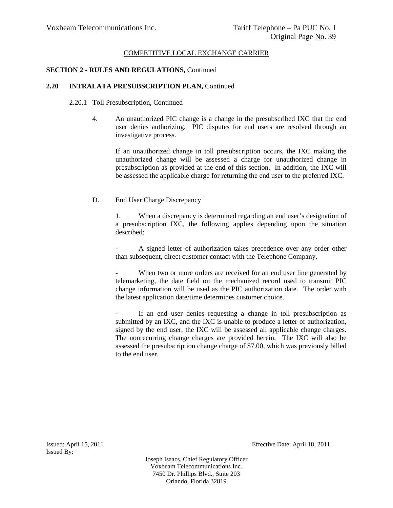## **SECTION 2 - RULES AND REGULATIONS,** Continued

## **2.20 INTRALATA PRESUBSCRIPTION PLAN,** Continued

## 2.20.1 Toll Presubscription, Continued

4. An unauthorized PIC change is a change in the presubscribed IXC that the end user denies authorizing. PIC disputes for end users are resolved through an investigative process.

If an unauthorized change in toll presubscription occurs, the IXC making the unauthorized change will be assessed a charge for unauthorized change in presubscription as provided at the end of this section. In addition, the IXC will be assessed the applicable charge for returning the end user to the preferred IXC.

D. End User Charge Discrepancy

1. When a discrepancy is determined regarding an end user's designation of a presubscription IXC, the following applies depending upon the situation described:

A signed letter of authorization takes precedence over any order other than subsequent, direct customer contact with the Telephone Company.

When two or more orders are received for an end user line generated by telemarketing, the date field on the mechanized record used to transmit PIC change information will be used as the PIC authorization date. The order with the latest application date/time determines customer choice.

- If an end user denies requesting a change in toll presubscription as submitted by an IXC, and the IXC is unable to produce a letter of authorization, signed by the end user, the IXC will be assessed all applicable change charges. The nonrecurring change charges are provided herein. The IXC will also be assessed the presubscription change charge of \$7.00, which was previously billed to the end user.

Issued By:

Issued: April 15, 2011 Effective Date: April 18, 2011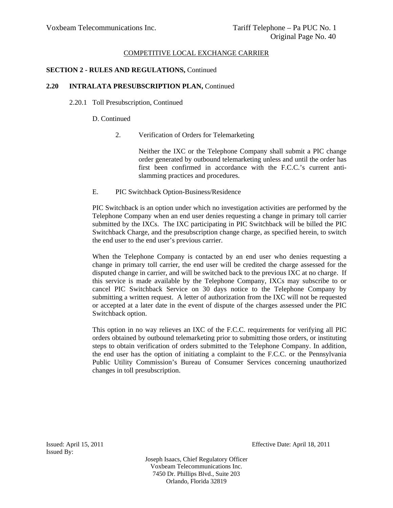## **SECTION 2 - RULES AND REGULATIONS,** Continued

#### **2.20 INTRALATA PRESUBSCRIPTION PLAN,** Continued

2.20.1 Toll Presubscription, Continued

#### D. Continued

2. Verification of Orders for Telemarketing

Neither the IXC or the Telephone Company shall submit a PIC change order generated by outbound telemarketing unless and until the order has first been confirmed in accordance with the F.C.C.'s current antislamming practices and procedures.

E. PIC Switchback Option-Business/Residence

PIC Switchback is an option under which no investigation activities are performed by the Telephone Company when an end user denies requesting a change in primary toll carrier submitted by the IXCs. The IXC participating in PIC Switchback will be billed the PIC Switchback Charge, and the presubscription change charge, as specified herein, to switch the end user to the end user's previous carrier.

When the Telephone Company is contacted by an end user who denies requesting a change in primary toll carrier, the end user will be credited the charge assessed for the disputed change in carrier, and will be switched back to the previous IXC at no charge. If this service is made available by the Telephone Company, IXCs may subscribe to or cancel PIC Switchback Service on 30 days notice to the Telephone Company by submitting a written request. A letter of authorization from the IXC will not be requested or accepted at a later date in the event of dispute of the charges assessed under the PIC Switchback option.

This option in no way relieves an IXC of the F.C.C. requirements for verifying all PIC orders obtained by outbound telemarketing prior to submitting those orders, or instituting steps to obtain verification of orders submitted to the Telephone Company. In addition, the end user has the option of initiating a complaint to the F.C.C. or the Pennsylvania Public Utility Commission's Bureau of Consumer Services concerning unauthorized changes in toll presubscription.

Issued By:

Issued: April 15, 2011 Effective Date: April 18, 2011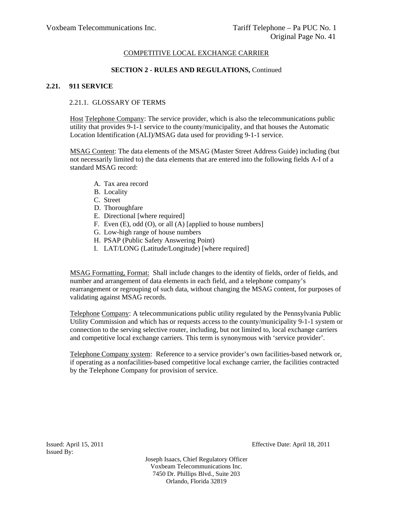## **SECTION 2 - RULES AND REGULATIONS,** Continued

# **2.21. 911 SERVICE**

# 2.21.1. GLOSSARY OF TERMS

Host Telephone Company: The service provider, which is also the telecommunications public utility that provides 9-1-1 service to the county/municipality, and that houses the Automatic Location Identification (ALI)/MSAG data used for providing 9-1-1 service.

MSAG Content: The data elements of the MSAG (Master Street Address Guide) including (but not necessarily limited to) the data elements that are entered into the following fields A-I of a standard MSAG record:

- A. Tax area record
- B. Locality
- C. Street
- D. Thoroughfare
- E. Directional [where required]
- F. Even (E), odd (O), or all (A) [applied to house numbers]
- G. Low-high range of house numbers
- H. PSAP (Public Safety Answering Point)
- I. LAT/LONG (Latitude/Longitude) [where required]

MSAG Formatting, Format: Shall include changes to the identity of fields, order of fields, and number and arrangement of data elements in each field, and a telephone company's rearrangement or regrouping of such data, without changing the MSAG content, for purposes of validating against MSAG records.

Telephone Company: A telecommunications public utility regulated by the Pennsylvania Public Utility Commission and which has or requests access to the county/municipality 9-1-1 system or connection to the serving selective router, including, but not limited to, local exchange carriers and competitive local exchange carriers. This term is synonymous with 'service provider'.

Telephone Company system: Reference to a service provider's own facilities-based network or, if operating as a nonfacilities-based competitive local exchange carrier, the facilities contracted by the Telephone Company for provision of service.

Issued By:

Issued: April 15, 2011 Effective Date: April 18, 2011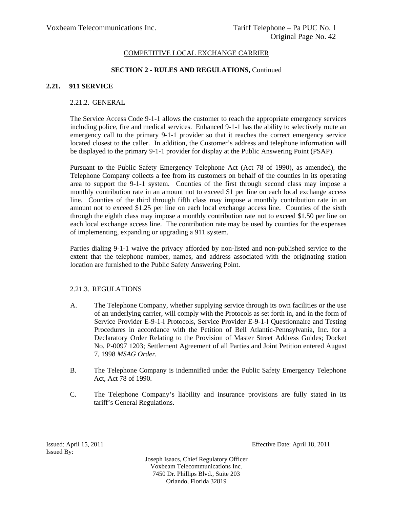#### **SECTION 2 - RULES AND REGULATIONS,** Continued

## **2.21. 911 SERVICE**

## 2.21.2. GENERAL

 The Service Access Code 9-1-1 allows the customer to reach the appropriate emergency services including police, fire and medical services. Enhanced 9-1-1 has the ability to selectively route an emergency call to the primary 9-1-1 provider so that it reaches the correct emergency service located closest to the caller. In addition, the Customer's address and telephone information will be displayed to the primary 9-1-1 provider for display at the Public Answering Point (PSAP).

 Pursuant to the Public Safety Emergency Telephone Act (Act 78 of 1990), as amended), the Telephone Company collects a fee from its customers on behalf of the counties in its operating area to support the 9-1-1 system. Counties of the first through second class may impose a monthly contribution rate in an amount not to exceed \$1 per line on each local exchange access line. Counties of the third through fifth class may impose a monthly contribution rate in an amount not to exceed \$1.25 per line on each local exchange access line. Counties of the sixth through the eighth class may impose a monthly contribution rate not to exceed \$1.50 per line on each local exchange access line. The contribution rate may be used by counties for the expenses of implementing, expanding or upgrading a 911 system.

 Parties dialing 9-1-1 waive the privacy afforded by non-listed and non-published service to the extent that the telephone number, names, and address associated with the originating station location are furnished to the Public Safety Answering Point.

## 2.21.3. REGULATIONS

- A. The Telephone Company, whether supplying service through its own facilities or the use of an underlying carrier, will comply with the Protocols as set forth in, and in the form of Service Provider E-9-1-l Protocols, Service Provider E-9-1-l Questionnaire and Testing Procedures in accordance with the Petition of Bell Atlantic-Pennsylvania, Inc. for a Declaratory Order Relating to the Provision of Master Street Address Guides; Docket No. P-0097 1203; Settlement Agreement of all Parties and Joint Petition entered August 7, 1998 *MSAG Order.*
- B. The Telephone Company is indemnified under the Public Safety Emergency Telephone Act, Act 78 of 1990.
- C. The Telephone Company's liability and insurance provisions are fully stated in its tariff's General Regulations.

Issued By:

Issued: April 15, 2011 Effective Date: April 18, 2011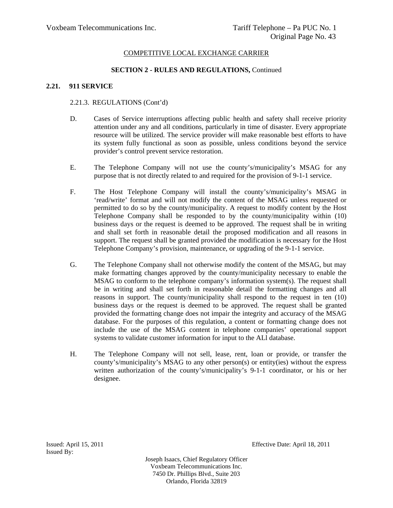### **SECTION 2 - RULES AND REGULATIONS,** Continued

## **2.21. 911 SERVICE**

### 2.21.3. REGULATIONS (Cont'd)

- D. Cases of Service interruptions affecting public health and safety shall receive priority attention under any and all conditions, particularly in time of disaster. Every appropriate resource will be utilized. The service provider will make reasonable best efforts to have its system fully functional as soon as possible, unless conditions beyond the service provider's control prevent service restoration.
- E. The Telephone Company will not use the county's/municipality's MSAG for any purpose that is not directly related to and required for the provision of 9-1-1 service.
- F. The Host Telephone Company will install the county's/municipality's MSAG in 'read/write' format and will not modify the content of the MSAG unless requested or permitted to do so by the county/municipality. A request to modify content by the Host Telephone Company shall be responded to by the county/municipality within (10) business days or the request is deemed to be approved. The request shall be in writing and shall set forth in reasonable detail the proposed modification and all reasons in support. The request shall be granted provided the modification is necessary for the Host Telephone Company's provision, maintenance, or upgrading of the 9-1-1 service.
- G. The Telephone Company shall not otherwise modify the content of the MSAG, but may make formatting changes approved by the county/municipality necessary to enable the MSAG to conform to the telephone company's information system(s). The request shall be in writing and shall set forth in reasonable detail the formatting changes and all reasons in support. The county/municipality shall respond to the request in ten (10) business days or the request is deemed to be approved. The request shall be granted provided the formatting change does not impair the integrity and accuracy of the MSAG database. For the purposes of this regulation, a content or formatting change does not include the use of the MSAG content in telephone companies' operational support systems to validate customer information for input to the ALl database.
- H. The Telephone Company will not sell, lease, rent, loan or provide, or transfer the county's/municipality's MSAG to any other person(s) or entity(ies) without the express written authorization of the county's/municipality's 9-1-1 coordinator, or his or her designee.

Issued By:

Issued: April 15, 2011 Effective Date: April 18, 2011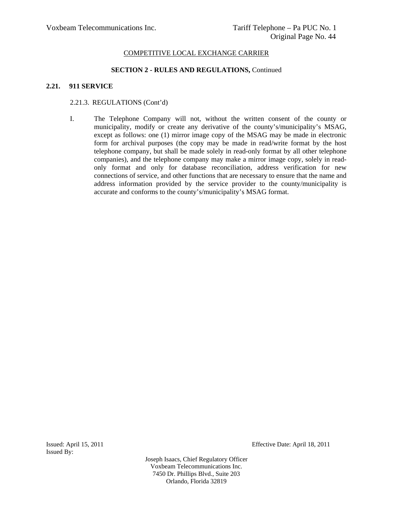#### **SECTION 2 - RULES AND REGULATIONS,** Continued

## **2.21. 911 SERVICE**

### 2.21.3. REGULATIONS (Cont'd)

I. The Telephone Company will not, without the written consent of the county or municipality, modify or create any derivative of the county's/municipality's MSAG, except as follows: one (1) mirror image copy of the MSAG may be made in electronic form for archival purposes (the copy may be made in read/write format by the host telephone company, but shall be made solely in read-only format by all other telephone companies), and the telephone company may make a mirror image copy, solely in readonly format and only for database reconciliation, address verification for new connections of service, and other functions that are necessary to ensure that the name and address information provided by the service provider to the county/municipality is accurate and conforms to the county's/municipality's MSAG format.

Issued By:

Issued: April 15, 2011 Effective Date: April 18, 2011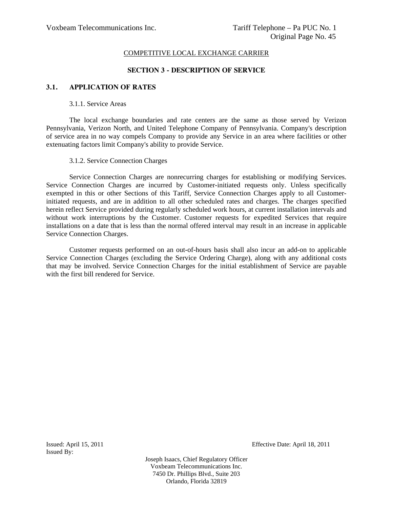### **SECTION 3 - DESCRIPTION OF SERVICE**

## **3.1. APPLICATION OF RATES**

## 3.1.1. Service Areas

The local exchange boundaries and rate centers are the same as those served by Verizon Pennsylvania, Verizon North, and United Telephone Company of Pennsylvania. Company's description of service area in no way compels Company to provide any Service in an area where facilities or other extenuating factors limit Company's ability to provide Service.

#### 3.1.2. Service Connection Charges

Service Connection Charges are nonrecurring charges for establishing or modifying Services. Service Connection Charges are incurred by Customer-initiated requests only. Unless specifically exempted in this or other Sections of this Tariff, Service Connection Charges apply to all Customerinitiated requests, and are in addition to all other scheduled rates and charges. The charges specified herein reflect Service provided during regularly scheduled work hours, at current installation intervals and without work interruptions by the Customer. Customer requests for expedited Services that require installations on a date that is less than the normal offered interval may result in an increase in applicable Service Connection Charges.

Customer requests performed on an out-of-hours basis shall also incur an add-on to applicable Service Connection Charges (excluding the Service Ordering Charge), along with any additional costs that may be involved. Service Connection Charges for the initial establishment of Service are payable with the first bill rendered for Service.

Issued By:

Issued: April 15, 2011 Effective Date: April 18, 2011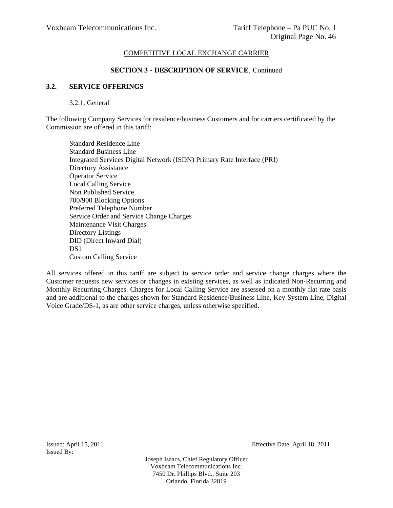## **SECTION 3 - DESCRIPTION OF SERVICE**, Continued

#### **3.2. SERVICE OFFERINGS**

#### 3.2.1. General

The following Company Services for residence/business Customers and for carriers certificated by the Commission are offered in this tariff:

Standard Residence Line Standard Business Line Integrated Services Digital Network (ISDN) Primary Rate Interface (PRI) Directory Assistance Operator Service Local Calling Service Non Published Service 700/900 Blocking Options Preferred Telephone Number Service Order and Service Change Charges Maintenance Visit Charges Directory Listings DID (Direct Inward Dial) DS<sub>1</sub> Custom Calling Service

All services offered in this tariff are subject to service order and service change charges where the Customer requests new services or changes in existing services, as well as indicated Non-Recurring and Monthly Recurring Charges. Charges for Local Calling Service are assessed on a monthly flat rate basis and are additional to the charges shown for Standard Residence/Business Line, Key System Line, Digital Voice Grade/DS-1, as are other service charges, unless otherwise specified.

Issued By:

Issued: April 15, 2011 Effective Date: April 18, 2011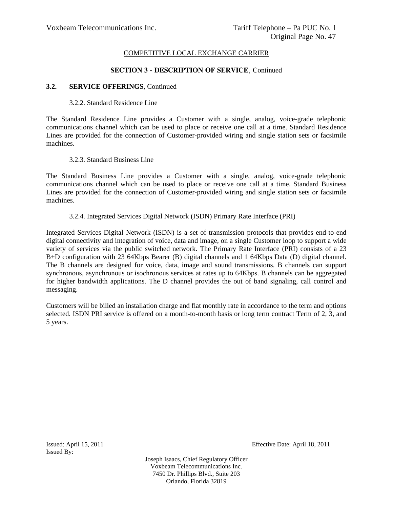## **SECTION 3 - DESCRIPTION OF SERVICE**, Continued

## **3.2. SERVICE OFFERINGS**, Continued

#### 3.2.2. Standard Residence Line

The Standard Residence Line provides a Customer with a single, analog, voice-grade telephonic communications channel which can be used to place or receive one call at a time. Standard Residence Lines are provided for the connection of Customer-provided wiring and single station sets or facsimile machines.

#### 3.2.3. Standard Business Line

The Standard Business Line provides a Customer with a single, analog, voice-grade telephonic communications channel which can be used to place or receive one call at a time. Standard Business Lines are provided for the connection of Customer-provided wiring and single station sets or facsimile machines.

#### 3.2.4. Integrated Services Digital Network (ISDN) Primary Rate Interface (PRI)

Integrated Services Digital Network (ISDN) is a set of transmission protocols that provides end-to-end digital connectivity and integration of voice, data and image, on a single Customer loop to support a wide variety of services via the public switched network. The Primary Rate Interface (PRI) consists of a 23 B+D configuration with 23 64Kbps Bearer (B) digital channels and 1 64Kbps Data (D) digital channel. The B channels are designed for voice, data, image and sound transmissions. B channels can support synchronous, asynchronous or isochronous services at rates up to 64Kbps. B channels can be aggregated for higher bandwidth applications. The D channel provides the out of band signaling, call control and messaging.

Customers will be billed an installation charge and flat monthly rate in accordance to the term and options selected. ISDN PRI service is offered on a month-to-month basis or long term contract Term of 2, 3, and 5 years.

Issued By:

Issued: April 15, 2011 Effective Date: April 18, 2011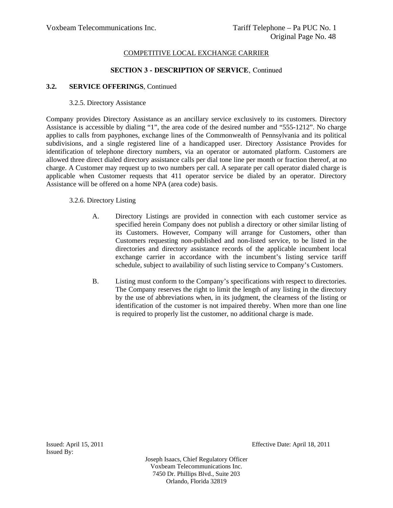# **SECTION 3 - DESCRIPTION OF SERVICE**, Continued

## **3.2. SERVICE OFFERINGS**, Continued

## 3.2.5. Directory Assistance

Company provides Directory Assistance as an ancillary service exclusively to its customers. Directory Assistance is accessible by dialing "1", the area code of the desired number and "555-1212". No charge applies to calls from payphones, exchange lines of the Commonwealth of Pennsylvania and its political subdivisions, and a single registered line of a handicapped user. Directory Assistance Provides for identification of telephone directory numbers, via an operator or automated platform. Customers are allowed three direct dialed directory assistance calls per dial tone line per month or fraction thereof, at no charge. A Customer may request up to two numbers per call. A separate per call operator dialed charge is applicable when Customer requests that 411 operator service be dialed by an operator. Directory Assistance will be offered on a home NPA (area code) basis.

## 3.2.6. Directory Listing

- A. Directory Listings are provided in connection with each customer service as specified herein Company does not publish a directory or other similar listing of its Customers. However, Company will arrange for Customers, other than Customers requesting non-published and non-listed service, to be listed in the directories and directory assistance records of the applicable incumbent local exchange carrier in accordance with the incumbent's listing service tariff schedule, subject to availability of such listing service to Company's Customers.
- B. Listing must conform to the Company's specifications with respect to directories. The Company reserves the right to limit the length of any listing in the directory by the use of abbreviations when, in its judgment, the clearness of the listing or identification of the customer is not impaired thereby. When more than one line is required to properly list the customer, no additional charge is made.

Issued By:

Issued: April 15, 2011 Effective Date: April 18, 2011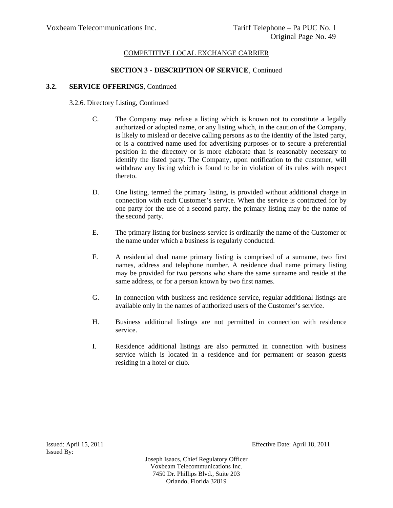# **SECTION 3 - DESCRIPTION OF SERVICE**, Continued

## **3.2. SERVICE OFFERINGS**, Continued

#### 3.2.6. Directory Listing, Continued

- C. The Company may refuse a listing which is known not to constitute a legally authorized or adopted name, or any listing which, in the caution of the Company, is likely to mislead or deceive calling persons as to the identity of the listed party, or is a contrived name used for advertising purposes or to secure a preferential position in the directory or is more elaborate than is reasonably necessary to identify the listed party. The Company, upon notification to the customer, will withdraw any listing which is found to be in violation of its rules with respect thereto.
- D. One listing, termed the primary listing, is provided without additional charge in connection with each Customer's service. When the service is contracted for by one party for the use of a second party, the primary listing may be the name of the second party.
- E. The primary listing for business service is ordinarily the name of the Customer or the name under which a business is regularly conducted.
- F. A residential dual name primary listing is comprised of a surname, two first names, address and telephone number. A residence dual name primary listing may be provided for two persons who share the same surname and reside at the same address, or for a person known by two first names.
- G. In connection with business and residence service, regular additional listings are available only in the names of authorized users of the Customer's service.
- H. Business additional listings are not permitted in connection with residence service.
- I. Residence additional listings are also permitted in connection with business service which is located in a residence and for permanent or season guests residing in a hotel or club.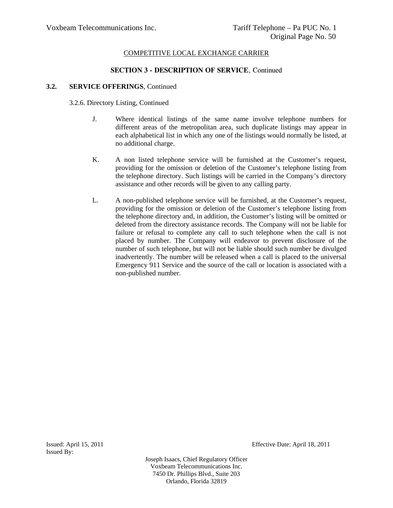# **SECTION 3 - DESCRIPTION OF SERVICE**, Continued

## **3.2. SERVICE OFFERINGS**, Continued

## 3.2.6. Directory Listing, Continued

- J. Where identical listings of the same name involve telephone numbers for different areas of the metropolitan area, such duplicate listings may appear in each alphabetical list in which any one of the listings would normally be listed, at no additional charge.
- K. A non listed telephone service will be furnished at the Customer's request, providing for the omission or deletion of the Customer's telephone listing from the telephone directory. Such listings will be carried in the Company's directory assistance and other records will be given to any calling party.
- L. A non-published telephone service will be furnished, at the Customer's request, providing for the omission or deletion of the Customer's telephone listing from the telephone directory and, in addition, the Customer's listing will be omitted or deleted from the directory assistance records. The Company will not be liable for failure or refusal to complete any call to such telephone when the call is not placed by number. The Company will endeavor to prevent disclosure of the number of such telephone, but will not be liable should such number be divulged inadvertently. The number will be released when a call is placed to the universal Emergency 911 Service and the source of the call or location is associated with a non-published number.

Issued By:

Issued: April 15, 2011 Effective Date: April 18, 2011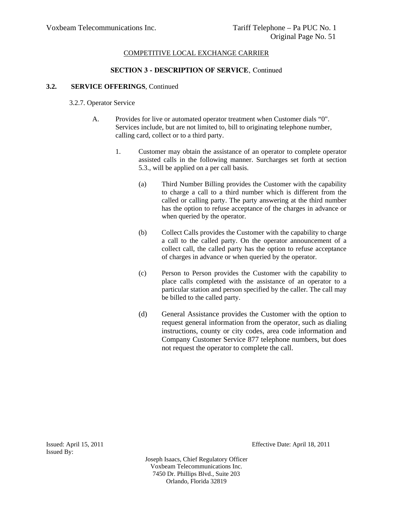# **SECTION 3 - DESCRIPTION OF SERVICE**, Continued

## **3.2. SERVICE OFFERINGS**, Continued

## 3.2.7. Operator Service

- A. Provides for live or automated operator treatment when Customer dials "0". Services include, but are not limited to, bill to originating telephone number, calling card, collect or to a third party.
	- 1. Customer may obtain the assistance of an operator to complete operator assisted calls in the following manner. Surcharges set forth at section 5.3., will be applied on a per call basis.
		- (a) Third Number Billing provides the Customer with the capability to charge a call to a third number which is different from the called or calling party. The party answering at the third number has the option to refuse acceptance of the charges in advance or when queried by the operator.
		- (b) Collect Calls provides the Customer with the capability to charge a call to the called party. On the operator announcement of a collect call, the called party has the option to refuse acceptance of charges in advance or when queried by the operator.
		- (c) Person to Person provides the Customer with the capability to place calls completed with the assistance of an operator to a particular station and person specified by the caller. The call may be billed to the called party.
		- (d) General Assistance provides the Customer with the option to request general information from the operator, such as dialing instructions, county or city codes, area code information and Company Customer Service 877 telephone numbers, but does not request the operator to complete the call.

Issued By:

Issued: April 15, 2011 Effective Date: April 18, 2011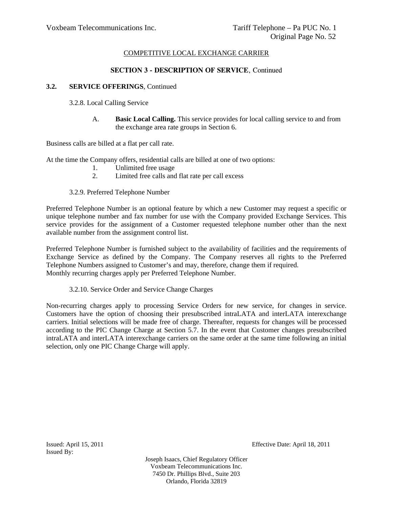# **SECTION 3 - DESCRIPTION OF SERVICE**, Continued

## **3.2. SERVICE OFFERINGS**, Continued

- 3.2.8. Local Calling Service
	- A. **Basic Local Calling.** This service provides for local calling service to and from the exchange area rate groups in Section 6.

Business calls are billed at a flat per call rate.

At the time the Company offers, residential calls are billed at one of two options:

- 1. Unlimited free usage
- 2. Limited free calls and flat rate per call excess

# 3.2.9. Preferred Telephone Number

Preferred Telephone Number is an optional feature by which a new Customer may request a specific or unique telephone number and fax number for use with the Company provided Exchange Services. This service provides for the assignment of a Customer requested telephone number other than the next available number from the assignment control list.

Preferred Telephone Number is furnished subject to the availability of facilities and the requirements of Exchange Service as defined by the Company. The Company reserves all rights to the Preferred Telephone Numbers assigned to Customer's and may, therefore, change them if required. Monthly recurring charges apply per Preferred Telephone Number.

3.2.10. Service Order and Service Change Charges

Non-recurring charges apply to processing Service Orders for new service, for changes in service. Customers have the option of choosing their presubscribed intraLATA and interLATA interexchange carriers. Initial selections will be made free of charge. Thereafter, requests for changes will be processed according to the PIC Change Charge at Section 5.7. In the event that Customer changes presubscribed intraLATA and interLATA interexchange carriers on the same order at the same time following an initial selection, only one PIC Change Charge will apply.

Issued By:

Issued: April 15, 2011 Effective Date: April 18, 2011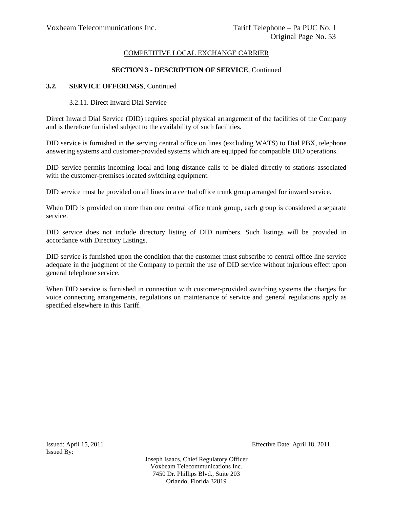### **SECTION 3 - DESCRIPTION OF SERVICE**, Continued

### **3.2. SERVICE OFFERINGS**, Continued

#### 3.2.11. Direct Inward Dial Service

Direct Inward Dial Service (DID) requires special physical arrangement of the facilities of the Company and is therefore furnished subject to the availability of such facilities.

DID service is furnished in the serving central office on lines (excluding WATS) to Dial PBX, telephone answering systems and customer-provided systems which are equipped for compatible DID operations.

DID service permits incoming local and long distance calls to be dialed directly to stations associated with the customer-premises located switching equipment.

DID service must be provided on all lines in a central office trunk group arranged for inward service.

When DID is provided on more than one central office trunk group, each group is considered a separate service.

DID service does not include directory listing of DID numbers. Such listings will be provided in accordance with Directory Listings.

DID service is furnished upon the condition that the customer must subscribe to central office line service adequate in the judgment of the Company to permit the use of DID service without injurious effect upon general telephone service.

When DID service is furnished in connection with customer-provided switching systems the charges for voice connecting arrangements, regulations on maintenance of service and general regulations apply as specified elsewhere in this Tariff.

Issued By:

Issued: April 15, 2011 Effective Date: April 18, 2011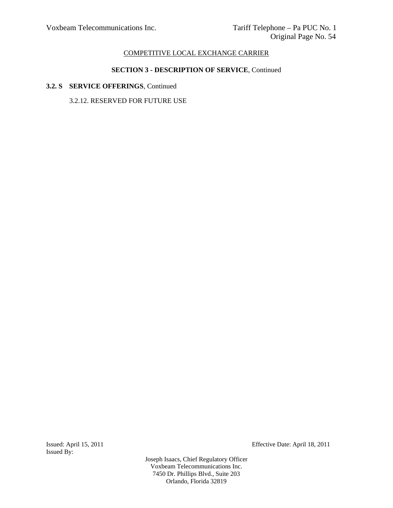# **SECTION 3 - DESCRIPTION OF SERVICE**, Continued

# **3.2. S SERVICE OFFERINGS**, Continued

3.2.12. RESERVED FOR FUTURE USE

Issued By:

Issued: April 15, 2011 Effective Date: April 18, 2011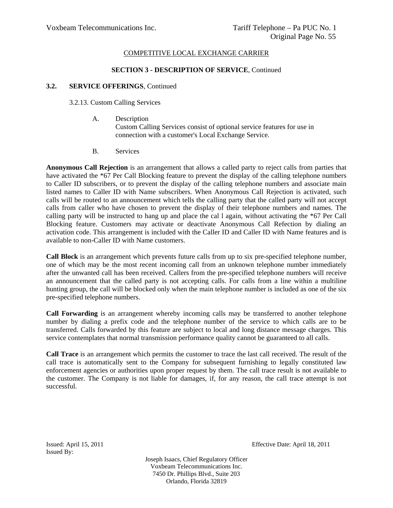### **SECTION 3 - DESCRIPTION OF SERVICE**, Continued

### **3.2. SERVICE OFFERINGS**, Continued

3.2.13. Custom Calling Services

- A. Description Custom Calling Services consist of optional service features for use in connection with a customer's Local Exchange Service.
- B. Services

**Anonymous Call Rejection** is an arrangement that allows a called party to reject calls from parties that have activated the \*67 Per Call Blocking feature to prevent the display of the calling telephone numbers to Caller ID subscribers, or to prevent the display of the calling telephone numbers and associate main listed names to Caller ID with Name subscribers. When Anonymous Call Rejection is activated, such calls will be routed to an announcement which tells the calling party that the called party will not accept calls from caller who have chosen to prevent the display of their telephone numbers and names. The calling party will be instructed to hang up and place the cal l again, without activating the \*67 Per Call Blocking feature. Customers may activate or deactivate Anonymous Call Refection by dialing an activation code. This arrangement is included with the Caller ID and Caller ID with Name features and is available to non-Caller ID with Name customers.

**Call Block** is an arrangement which prevents future calls from up to six pre-specified telephone number, one of which may be the most recent incoming call from an unknown telephone number immediately after the unwanted call has been received. Callers from the pre-specified telephone numbers will receive an announcement that the called party is not accepting calls. For calls from a line within a multiline hunting group, the call will be blocked only when the main telephone number is included as one of the six pre-specified telephone numbers.

**Call Forwarding** is an arrangement whereby incoming calls may be transferred to another telephone number by dialing a prefix code and the telephone number of the service to which calls are to be transferred. Calls forwarded by this feature are subject to local and long distance message charges. This service contemplates that normal transmission performance quality cannot be guaranteed to all calls.

**Call Trace** is an arrangement which permits the customer to trace the last call received. The result of the call trace is automatically sent to the Company for subsequent furnishing to legally constituted law enforcement agencies or authorities upon proper request by them. The call trace result is not available to the customer. The Company is not liable for damages, if, for any reason, the call trace attempt is not successful.

Issued By:

Issued: April 15, 2011 Effective Date: April 18, 2011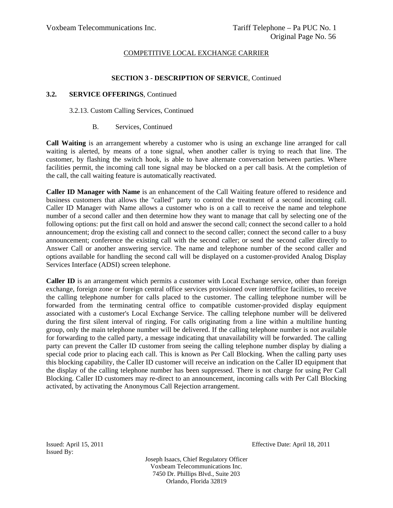## **SECTION 3 - DESCRIPTION OF SERVICE**, Continued

## **3.2. SERVICE OFFERINGS**, Continued

### 3.2.13. Custom Calling Services, Continued

## B. Services, Continued

**Call Waiting** is an arrangement whereby a customer who is using an exchange line arranged for call waiting is alerted, by means of a tone signal, when another caller is trying to reach that line. The customer, by flashing the switch hook, is able to have alternate conversation between parties. Where facilities permit, the incoming call tone signal may be blocked on a per call basis. At the completion of the call, the call waiting feature is automatically reactivated.

**Caller ID Manager with Name** is an enhancement of the Call Waiting feature offered to residence and business customers that allows the "called" party to control the treatment of a second incoming call. Caller ID Manager with Name allows a customer who is on a call to receive the name and telephone number of a second caller and then determine how they want to manage that call by selecting one of the following options: put the first call on hold and answer the second call; connect the second caller to a hold announcement; drop the existing call and connect to the second caller; connect the second caller to a busy announcement; conference the existing call with the second caller; or send the second caller directly to Answer Call or another answering service. The name and telephone number of the second caller and options available for handling the second call will be displayed on a customer-provided Analog Display Services Interface (ADSI) screen telephone.

**Caller ID** is an arrangement which permits a customer with Local Exchange service, other than foreign exchange, foreign zone or foreign central office services provisioned over interoffice facilities, to receive the calling telephone number for calls placed to the customer. The calling telephone number will be forwarded from the terminating central office to compatible customer-provided display equipment associated with a customer's Local Exchange Service. The calling telephone number will be delivered during the first silent interval of ringing. For calls originating from a line within a multiline hunting group, only the main telephone number will be delivered. If the calling telephone number is not available for forwarding to the called party, a message indicating that unavailability will be forwarded. The calling party can prevent the Caller ID customer from seeing the calling telephone number display by dialing a special code prior to placing each call. This is known as Per Call Blocking. When the calling party uses this blocking capability, the Caller ID customer will receive an indication on the Caller ID equipment that the display of the calling telephone number has been suppressed. There is not charge for using Per Call Blocking. Caller ID customers may re-direct to an announcement, incoming calls with Per Call Blocking activated, by activating the Anonymous Call Rejection arrangement.

Issued By:

Issued: April 15, 2011 Effective Date: April 18, 2011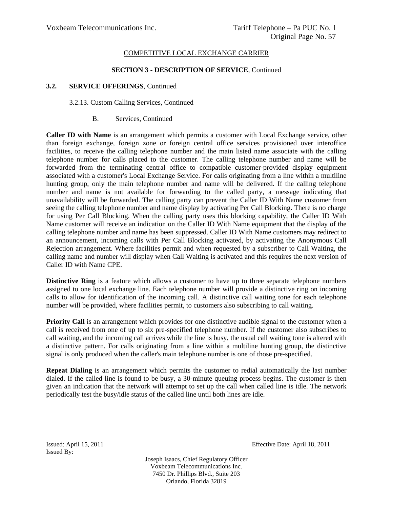### **SECTION 3 - DESCRIPTION OF SERVICE**, Continued

### **3.2. SERVICE OFFERINGS**, Continued

#### 3.2.13. Custom Calling Services, Continued

#### B. Services, Continued

**Caller ID with Name** is an arrangement which permits a customer with Local Exchange service, other than foreign exchange, foreign zone or foreign central office services provisioned over interoffice facilities, to receive the calling telephone number and the main listed name associate with the calling telephone number for calls placed to the customer. The calling telephone number and name will be forwarded from the terminating central office to compatible customer-provided display equipment associated with a customer's Local Exchange Service. For calls originating from a line within a multiline hunting group, only the main telephone number and name will be delivered. If the calling telephone number and name is not available for forwarding to the called party, a message indicating that unavailability will be forwarded. The calling party can prevent the Caller ID With Name customer from seeing the calling telephone number and name display by activating Per Call Blocking. There is no charge for using Per Call Blocking. When the calling party uses this blocking capability, the Caller ID With Name customer will receive an indication on the Caller ID With Name equipment that the display of the calling telephone number and name has been suppressed. Caller ID With Name customers may redirect to an announcement, incoming calls with Per Call Blocking activated, by activating the Anonymous Call Rejection arrangement. Where facilities permit and when requested by a subscriber to Call Waiting, the calling name and number will display when Call Waiting is activated and this requires the next version of Caller ID with Name CPE.

**Distinctive Ring** is a feature which allows a customer to have up to three separate telephone numbers assigned to one local exchange line. Each telephone number will provide a distinctive ring on incoming calls to allow for identification of the incoming call. A distinctive call waiting tone for each telephone number will be provided, where facilities permit, to customers also subscribing to call waiting.

**Priority Call** is an arrangement which provides for one distinctive audible signal to the customer when a call is received from one of up to six pre-specified telephone number. If the customer also subscribes to call waiting, and the incoming call arrives while the line is busy, the usual call waiting tone is altered with a distinctive pattern. For calls originating from a line within a multiline hunting group, the distinctive signal is only produced when the caller's main telephone number is one of those pre-specified.

**Repeat Dialing** is an arrangement which permits the customer to redial automatically the last number dialed. If the called line is found to be busy, a 30-minute queuing process begins. The customer is then given an indication that the network will attempt to set up the call when called line is idle. The network periodically test the busy/idle status of the called line until both lines are idle.

Issued: April 15, 2011 Effective Date: April 18, 2011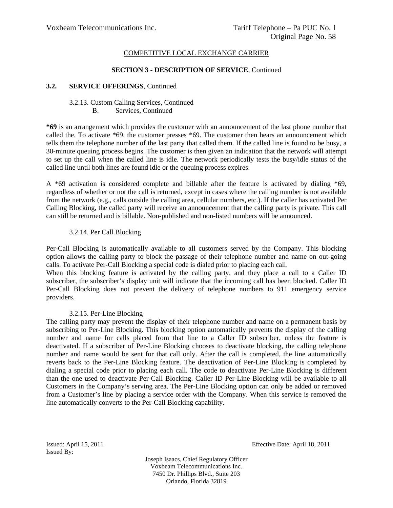#### **SECTION 3 - DESCRIPTION OF SERVICE**, Continued

### **3.2. SERVICE OFFERINGS**, Continued

### 3.2.13. Custom Calling Services, Continued

#### B. Services, Continued

**\*69** is an arrangement which provides the customer with an announcement of the last phone number that called the. To activate \*69, the customer presses \*69. The customer then hears an announcement which tells them the telephone number of the last party that called them. If the called line is found to be busy, a 30-minute queuing process begins. The customer is then given an indication that the network will attempt to set up the call when the called line is idle. The network periodically tests the busy/idle status of the called line until both lines are found idle or the queuing process expires.

A \*69 activation is considered complete and billable after the feature is activated by dialing \*69, regardless of whether or not the call is returned, except in cases where the calling number is not available from the network (e.g., calls outside the calling area, cellular numbers, etc.). If the caller has activated Per Calling Blocking, the called party will receive an announcement that the calling party is private. This call can still be returned and is billable. Non-published and non-listed numbers will be announced.

## 3.2.14. Per Call Blocking

Per-Call Blocking is automatically available to all customers served by the Company. This blocking option allows the calling party to block the passage of their telephone number and name on out-going calls. To activate Per-Call Blocking a special code is dialed prior to placing each call.

When this blocking feature is activated by the calling party, and they place a call to a Caller ID subscriber, the subscriber's display unit will indicate that the incoming call has been blocked. Caller ID Per-Call Blocking does not prevent the delivery of telephone numbers to 911 emergency service providers.

## 3.2.15. Per-Line Blocking

The calling party may prevent the display of their telephone number and name on a permanent basis by subscribing to Per-Line Blocking. This blocking option automatically prevents the display of the calling number and name for calls placed from that line to a Caller ID subscriber, unless the feature is deactivated. If a subscriber of Per-Line Blocking chooses to deactivate blocking, the calling telephone number and name would be sent for that call only. After the call is completed, the line automatically reverts back to the Per-Line Blocking feature. The deactivation of Per-Line Blocking is completed by dialing a special code prior to placing each call. The code to deactivate Per-Line Blocking is different than the one used to deactivate Per-Call Blocking. Caller ID Per-Line Blocking will be available to all Customers in the Company's serving area. The Per-Line Blocking option can only be added or removed from a Customer's line by placing a service order with the Company. When this service is removed the line automatically converts to the Per-Call Blocking capability.

Issued By:

Issued: April 15, 2011 Effective Date: April 18, 2011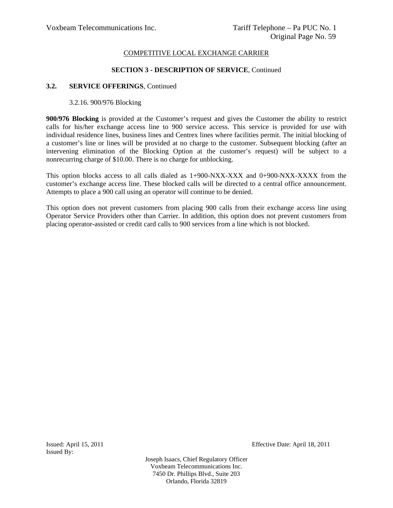#### **SECTION 3 - DESCRIPTION OF SERVICE**, Continued

#### **3.2. SERVICE OFFERINGS**, Continued

### 3.2.16. 900/976 Blocking

**900/976 Blocking** is provided at the Customer's request and gives the Customer the ability to restrict calls for his/her exchange access line to 900 service access. This service is provided for use with individual residence lines, business lines and Centrex lines where facilities permit. The initial blocking of a customer's line or lines will be provided at no charge to the customer. Subsequent blocking (after an intervening elimination of the Blocking Option at the customer's request) will be subject to a nonrecurring charge of \$10.00. There is no charge for unblocking.

This option blocks access to all calls dialed as 1+900-NXX-XXX and 0+900-NXX-XXXX from the customer's exchange access line. These blocked calls will be directed to a central office announcement. Attempts to place a 900 call using an operator will continue to be denied.

This option does not prevent customers from placing 900 calls from their exchange access line using Operator Service Providers other than Carrier. In addition, this option does not prevent customers from placing operator-assisted or credit card calls to 900 services from a line which is not blocked.

Issued By:

Issued: April 15, 2011 Effective Date: April 18, 2011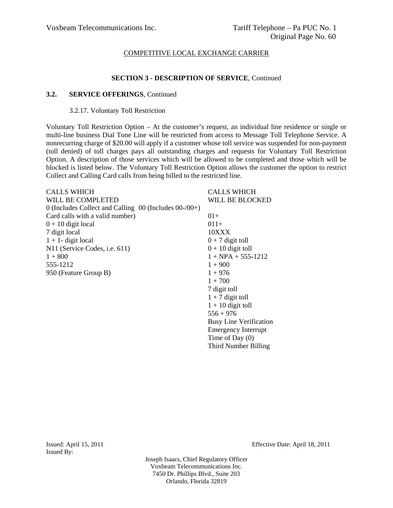## **SECTION 3 - DESCRIPTION OF SERVICE**, Continued

#### **3.2. SERVICE OFFERINGS**, Continued

#### 3.2.17. Voluntary Toll Restriction

Voluntary Toll Restriction Option – At the customer's request, an individual line residence or single or multi-line business Dial Tone Line will be restricted from access to Message Toll Telephone Service. A nonrecurring charge of \$20.00 will apply if a customer whose toll service was suspended for non-payment (toll denied) of toll charges pays all outstanding charges and requests for Voluntary Toll Restriction Option. A description of those services which will be allowed to be completed and those which will be blocked is listed below. The Voluntary Toll Restriction Option allows the customer the option to restrict Collect and Calling Card calls from being billed to the restricted line.

> $1 + 10$  digit toll  $556 + 976$

Busy Line Verification Emergency Interrupt Time of Day (0) Third Number Billing

| <b>CALLS WHICH</b>                                         | <b>CALLS WHICH</b>     |
|------------------------------------------------------------|------------------------|
| WILL BE COMPLETED                                          | WILL BE BLOCKED        |
| 0 (Includes Collect and Calling $00$ (Includes $00$ -/00+) |                        |
| Card calls with a valid number)                            | $01+$                  |
| $0 + 10$ digit local                                       | $011+$                 |
| 7 digit local                                              | 10XXX                  |
| $1 + 1$ - digit local                                      | $0 + 7$ digit toll     |
| N11 (Service Codes, i.e. 611)                              | $0 + 10$ digit toll    |
| $1 + 800$                                                  | $1 + NPA + 555 - 1212$ |
| 555-1212                                                   | $1 + 900$              |
| 950 (Feature Group B)                                      | $1 + 976$              |
|                                                            | $1 + 700$              |
|                                                            | 7 digit toll           |
|                                                            | $1 + 7$ digit toll     |

Issued By:

Issued: April 15, 2011 Effective Date: April 18, 2011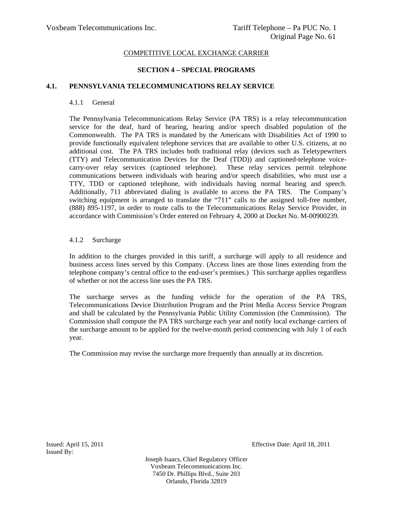# **SECTION 4 – SPECIAL PROGRAMS**

## **4.1. PENNSYLVANIA TELECOMMUNICATIONS RELAY SERVICE**

### 4.1.1 General

The Pennsylvania Telecommunications Relay Service (PA TRS) is a relay telecommunication service for the deaf, hard of hearing, hearing and/or speech disabled population of the Commonwealth. The PA TRS is mandated by the Americans with Disabilities Act of 1990 to provide functionally equivalent telephone services that are available to other U.S. citizens, at no additional cost. The PA TRS includes both traditional relay (devices such as Teletypewriters (TTY) and Telecommunication Devices for the Deaf (TDD)) and captioned-telephone voicecarry-over relay services (captioned telephone). These relay services permit telephone communications between individuals with hearing and/or speech disabilities, who must use a TTY, TDD or captioned telephone, with individuals having normal hearing and speech. Additionally, 711 abbreviated dialing is available to access the PA TRS. The Company's switching equipment is arranged to translate the "711" calls to the assigned toll-free number, (888) 895-1197, in order to route calls to the Telecommunications Relay Service Provider, in accordance with Commission's Order entered on February 4, 2000 at Docket No. M-00900239.

## 4.1.2 Surcharge

In addition to the charges provided in this tariff, a surcharge will apply to all residence and business access lines served by this Company. (Access lines are those lines extending from the telephone company's central office to the end-user's premises.) This surcharge applies regardless of whether or not the access line uses the PA TRS.

The surcharge serves as the funding vehicle for the operation of the PA TRS, Telecommunications Device Distribution Program and the Print Media Access Service Program and shall be calculated by the Pennsylvania Public Utility Commission (the Commission). The Commission shall compute the PA TRS surcharge each year and notify local exchange carriers of the surcharge amount to be applied for the twelve-month period commencing with July 1 of each year.

The Commission may revise the surcharge more frequently than annually at its discretion.

Issued By:

Issued: April 15, 2011 Effective Date: April 18, 2011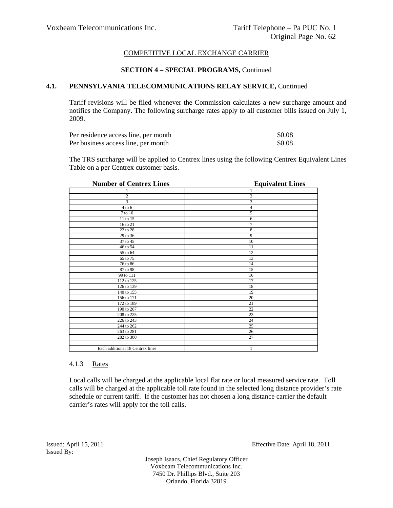## **SECTION 4 – SPECIAL PROGRAMS,** Continued

## **4.1. PENNSYLVANIA TELECOMMUNICATIONS RELAY SERVICE,** Continued

Tariff revisions will be filed whenever the Commission calculates a new surcharge amount and notifies the Company. The following surcharge rates apply to all customer bills issued on July 1, 2009.

| Per residence access line, per month | \$0.08 |
|--------------------------------------|--------|
| Per business access line, per month  | \$0.08 |

The TRS surcharge will be applied to Centrex lines using the following Centrex Equivalent Lines Table on a per Centrex customer basis.

| <b>Number of Centrex Lines</b>   | <b>Equivalent Lines</b> |
|----------------------------------|-------------------------|
|                                  |                         |
| $\overline{c}$                   | $\mathbf{2}$            |
| 3                                | 3                       |
| $4$ to $6$                       | 4                       |
| 7 to 10                          | 5                       |
| 11 to 15                         | 6                       |
| 16 to 21                         | $\overline{7}$          |
| 22 to 28                         | 8                       |
| 29 to 36                         | 9                       |
| 37 to 45                         | 10                      |
| 46 to 54                         | 11                      |
| 55 to 64                         | 12                      |
| 65 to 75                         | 13                      |
| 76 to 86                         | 14                      |
| 87 to 98                         | 15                      |
| 99 to 111                        | 16                      |
| 112 to 125                       | 17                      |
| 126 to 139                       | 18                      |
| 140 to 155                       | 19                      |
| 156 to 171                       | 20                      |
| 172 to 189                       | 21                      |
| 190 to 207                       | $22\,$                  |
| 208 to 225                       | 23                      |
| 226 to 243                       | 24                      |
| 244 to 262                       | 25                      |
| 263 to 281                       | 26                      |
| 282 to 300                       | 27                      |
|                                  |                         |
| Each additional 18 Centrex lines | 1                       |

## 4.1.3 Rates

Local calls will be charged at the applicable local flat rate or local measured service rate. Toll calls will be charged at the applicable toll rate found in the selected long distance provider's rate schedule or current tariff. If the customer has not chosen a long distance carrier the default carrier's rates will apply for the toll calls.

Issued By:

Issued: April 15, 2011 Effective Date: April 18, 2011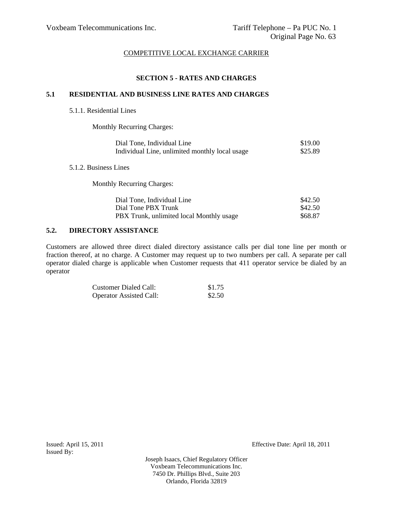# **SECTION 5 - RATES AND CHARGES**

## **5.1 RESIDENTIAL AND BUSINESS LINE RATES AND CHARGES**

### 5.1.1. Residential Lines

 $5.1.2.$ 

Monthly Recurring Charges:

| Dial Tone, Individual Line                     | \$19.00 |
|------------------------------------------------|---------|
| Individual Line, unlimited monthly local usage | \$25.89 |
| <b>Business Lines</b>                          |         |
| <b>Monthly Recurring Charges:</b>              |         |
| Dial Tone, Individual Line                     | \$42.50 |
| Dial Tone PBX Trunk                            | \$42.50 |
| PBX Trunk, unlimited local Monthly usage       | \$68.87 |

## **5.2. DIRECTORY ASSISTANCE**

Customers are allowed three direct dialed directory assistance calls per dial tone line per month or fraction thereof, at no charge. A Customer may request up to two numbers per call. A separate per call operator dialed charge is applicable when Customer requests that 411 operator service be dialed by an operator

| Customer Dialed Call:          | \$1.75 |
|--------------------------------|--------|
| <b>Operator Assisted Call:</b> | \$2.50 |

Issued By:

Issued: April 15, 2011 Effective Date: April 18, 2011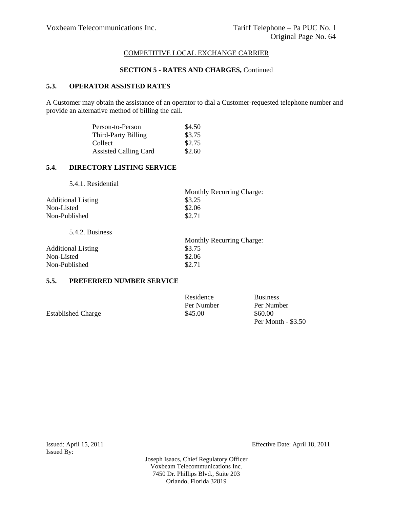## **SECTION 5 - RATES AND CHARGES,** Continued

# **5.3. OPERATOR ASSISTED RATES**

A Customer may obtain the assistance of an operator to dial a Customer-requested telephone number and provide an alternative method of billing the call.

| Person-to-Person             | \$4.50 |
|------------------------------|--------|
| Third-Party Billing          | \$3.75 |
| Collect                      | \$2.75 |
| <b>Assisted Calling Card</b> | \$2.60 |

# **5.4. DIRECTORY LISTING SERVICE**

5.4.1. Residential

|                           | <b>Monthly Recurring Charge:</b> |
|---------------------------|----------------------------------|
| <b>Additional Listing</b> | \$3.25                           |
| Non-Listed                | \$2.06                           |
| Non-Published             | \$2.71                           |
|                           |                                  |

5.4.2. Business

|                           | <b>Monthly Recurring Charge:</b> |
|---------------------------|----------------------------------|
| <b>Additional Listing</b> | \$3.75                           |
| Non-Listed                | \$2.06                           |
| Non-Published             | \$2.71                           |

## **5.5. PREFERRED NUMBER SERVICE**

|                           | Residence  | <b>Business</b>      |
|---------------------------|------------|----------------------|
|                           | Per Number | Per Number           |
| <b>Established Charge</b> | \$45.00    | \$60.00              |
|                           |            | Per Month $-$ \$3.50 |

Issued: April 15, 2011 Effective Date: April 18, 2011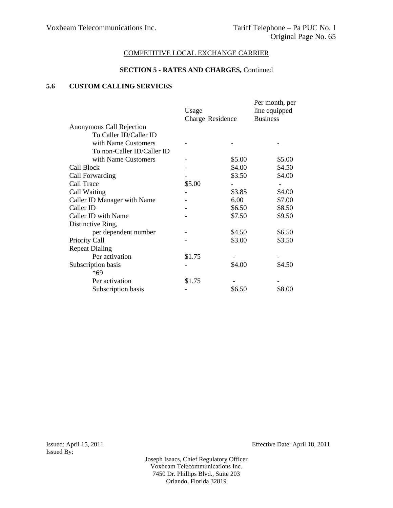#### **SECTION 5 - RATES AND CHARGES,** Continued

# **5.6 CUSTOM CALLING SERVICES**

|                             | Usage            |        | Per month, per<br>line equipped |
|-----------------------------|------------------|--------|---------------------------------|
|                             | Charge Residence |        | <b>Business</b>                 |
| Anonymous Call Rejection    |                  |        |                                 |
| To Caller ID/Caller ID      |                  |        |                                 |
| with Name Customers         |                  |        |                                 |
| To non-Caller ID/Caller ID  |                  |        |                                 |
| with Name Customers         |                  | \$5.00 | \$5.00                          |
| Call Block                  |                  | \$4.00 | \$4.50                          |
| Call Forwarding             |                  | \$3.50 | \$4.00                          |
| Call Trace                  | \$5.00           |        |                                 |
| Call Waiting                |                  | \$3.85 | \$4.00                          |
| Caller ID Manager with Name |                  | 6.00   | \$7.00                          |
| Caller ID                   |                  | \$6.50 | \$8.50                          |
| Caller ID with Name         |                  | \$7.50 | \$9.50                          |
| Distinctive Ring,           |                  |        |                                 |
| per dependent number        |                  | \$4.50 | \$6.50                          |
| <b>Priority Call</b>        |                  | \$3.00 | \$3.50                          |
| <b>Repeat Dialing</b>       |                  |        |                                 |
| Per activation              | \$1.75           |        |                                 |
| Subscription basis          |                  | \$4.00 | \$4.50                          |
| *69                         |                  |        |                                 |
| Per activation              | \$1.75           |        |                                 |
| Subscription basis          |                  | \$6.50 | \$8.00                          |

Issued By:

Issued: April 15, 2011 Effective Date: April 18, 2011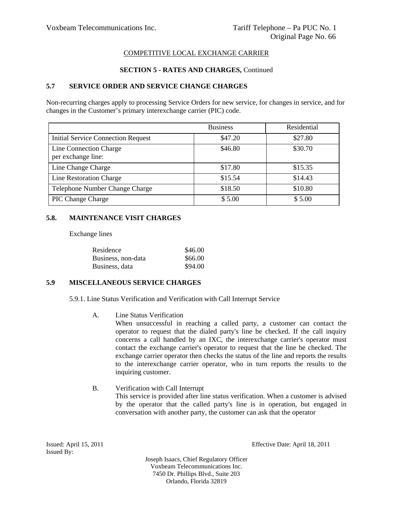# **SECTION 5 - RATES AND CHARGES,** Continued

# **5.7 SERVICE ORDER AND SERVICE CHANGE CHARGES**

Non-recurring charges apply to processing Service Orders for new service, for changes in service, and for changes in the Customer's primary interexchange carrier (PIC) code.

|                                              | <b>Business</b> | Residential |
|----------------------------------------------|-----------------|-------------|
| <b>Initial Service Connection Request</b>    | \$47.20         | \$27.80     |
| Line Connection Charge<br>per exchange line: | \$46.80         | \$30.70     |
| Line Change Charge                           | \$17.80         | \$15.35     |
| Line Restoration Charge                      | \$15.54         | \$14.43     |
| Telephone Number Change Charge               | \$18.50         | \$10.80     |
| <b>PIC Change Charge</b>                     | \$5.00          | \$5.00      |

## **5.8. MAINTENANCE VISIT CHARGES**

Exchange lines

| Residence          | \$46.00 |
|--------------------|---------|
| Business, non-data | \$66.00 |
| Business, data     | \$94.00 |

# **5.9 MISCELLANEOUS SERVICE CHARGES**

5.9.1. Line Status Verification and Verification with Call Interrupt Service

A. Line Status Verification

When unsuccessful in reaching a called party, a customer can contact the operator to request that the dialed party's line be checked. If the call inquiry concerns a call handled by an IXC, the interexchange carrier's operator must contact the exchange carrier's operator to request that the line be checked. The exchange carrier operator then checks the status of the line and reports the results to the interexchange carrier operator, who in turn reports the results to the inquiring customer.

B. Verification with Call Interrupt

This service is provided after line status verification. When a customer is advised by the operator that the called party's line is in operation, but engaged in conversation with another party, the customer can ask that the operator

Issued By:

Issued: April 15, 2011 Effective Date: April 18, 2011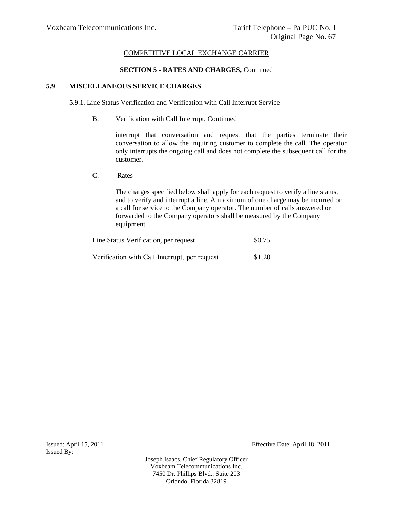### **SECTION 5 - RATES AND CHARGES,** Continued

# **5.9 MISCELLANEOUS SERVICE CHARGES**

5.9.1. Line Status Verification and Verification with Call Interrupt Service

B. Verification with Call Interrupt, Continued

interrupt that conversation and request that the parties terminate their conversation to allow the inquiring customer to complete the call. The operator only interrupts the ongoing call and does not complete the subsequent call for the customer.

C. Rates

The charges specified below shall apply for each request to verify a line status, and to verify and interrupt a line. A maximum of one charge may be incurred on a call for service to the Company operator. The number of calls answered or forwarded to the Company operators shall be measured by the Company equipment.

| Line Status Verification, per request         | \$0.75 |  |
|-----------------------------------------------|--------|--|
| Verification with Call Interrupt, per request | \$1.20 |  |

Issued: April 15, 2011 Effective Date: April 18, 2011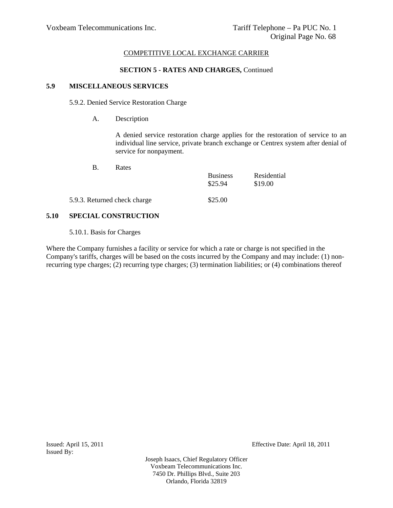### **SECTION 5 - RATES AND CHARGES,** Continued

# **5.9 MISCELLANEOUS SERVICES**

5.9.2. Denied Service Restoration Charge

A. Description

A denied service restoration charge applies for the restoration of service to an individual line service, private branch exchange or Centrex system after denial of service for nonpayment.

| Rates<br>$B_{\odot}$         |                            |                        |
|------------------------------|----------------------------|------------------------|
|                              | <b>Business</b><br>\$25.94 | Residential<br>\$19.00 |
| 5.9.3. Returned check charge | \$25.00                    |                        |

## **5.10 SPECIAL CONSTRUCTION**

5.10.1. Basis for Charges

Where the Company furnishes a facility or service for which a rate or charge is not specified in the Company's tariffs, charges will be based on the costs incurred by the Company and may include: (1) nonrecurring type charges; (2) recurring type charges; (3) termination liabilities; or (4) combinations thereof

Issued: April 15, 2011 Effective Date: April 18, 2011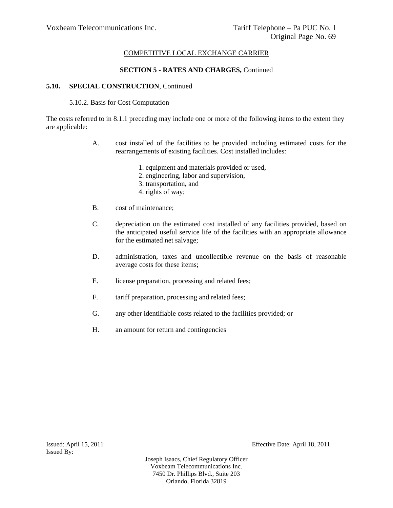# **SECTION 5 - RATES AND CHARGES,** Continued

## **5.10. SPECIAL CONSTRUCTION**, Continued

## 5.10.2. Basis for Cost Computation

The costs referred to in 8.1.1 preceding may include one or more of the following items to the extent they are applicable:

- A. cost installed of the facilities to be provided including estimated costs for the rearrangements of existing facilities. Cost installed includes:
	- 1. equipment and materials provided or used,
	- 2. engineering, labor and supervision,
	- 3. transportation, and
	- 4. rights of way;
- B. cost of maintenance;
- C. depreciation on the estimated cost installed of any facilities provided, based on the anticipated useful service life of the facilities with an appropriate allowance for the estimated net salvage;
- D. administration, taxes and uncollectible revenue on the basis of reasonable average costs for these items;
- E. license preparation, processing and related fees;
- F. tariff preparation, processing and related fees;
- G. any other identifiable costs related to the facilities provided; or
- H. an amount for return and contingencies

Issued By:

Issued: April 15, 2011 Effective Date: April 18, 2011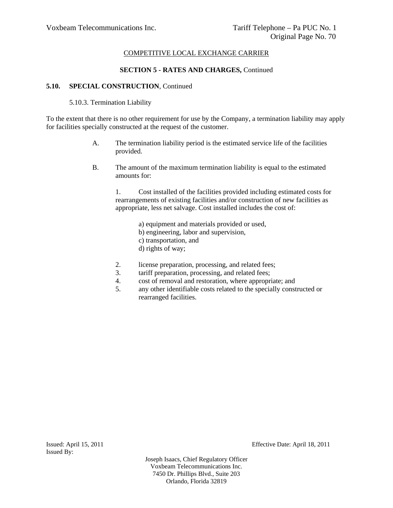# **SECTION 5 - RATES AND CHARGES,** Continued

## **5.10. SPECIAL CONSTRUCTION**, Continued

## 5.10.3. Termination Liability

To the extent that there is no other requirement for use by the Company, a termination liability may apply for facilities specially constructed at the request of the customer.

- A. The termination liability period is the estimated service life of the facilities provided.
- B. The amount of the maximum termination liability is equal to the estimated amounts for:

1. Cost installed of the facilities provided including estimated costs for rearrangements of existing facilities and/or construction of new facilities as appropriate, less net salvage. Cost installed includes the cost of:

> a) equipment and materials provided or used, b) engineering, labor and supervision, c) transportation, and d) rights of way;

- 2. license preparation, processing, and related fees;
- 3. tariff preparation, processing, and related fees;
- 4. cost of removal and restoration, where appropriate; and
- 5. any other identifiable costs related to the specially constructed or rearranged facilities.

Issued By:

Issued: April 15, 2011 Effective Date: April 18, 2011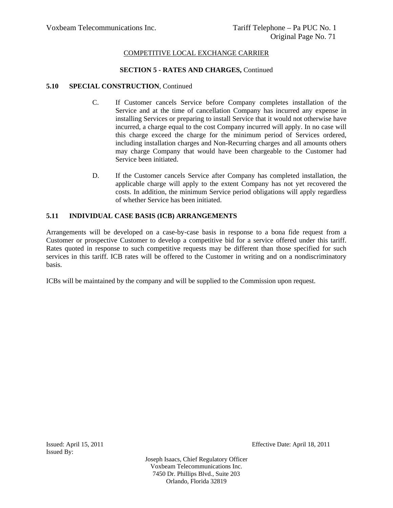## **SECTION 5 - RATES AND CHARGES,** Continued

## **5.10 SPECIAL CONSTRUCTION**, Continued

- C. If Customer cancels Service before Company completes installation of the Service and at the time of cancellation Company has incurred any expense in installing Services or preparing to install Service that it would not otherwise have incurred, a charge equal to the cost Company incurred will apply. In no case will this charge exceed the charge for the minimum period of Services ordered, including installation charges and Non-Recurring charges and all amounts others may charge Company that would have been chargeable to the Customer had Service been initiated.
- D. If the Customer cancels Service after Company has completed installation, the applicable charge will apply to the extent Company has not yet recovered the costs. In addition, the minimum Service period obligations will apply regardless of whether Service has been initiated.

# **5.11 INDIVIDUAL CASE BASIS (ICB) ARRANGEMENTS**

Arrangements will be developed on a case-by-case basis in response to a bona fide request from a Customer or prospective Customer to develop a competitive bid for a service offered under this tariff. Rates quoted in response to such competitive requests may be different than those specified for such services in this tariff. ICB rates will be offered to the Customer in writing and on a nondiscriminatory basis.

ICBs will be maintained by the company and will be supplied to the Commission upon request.

Issued: April 15, 2011 Effective Date: April 18, 2011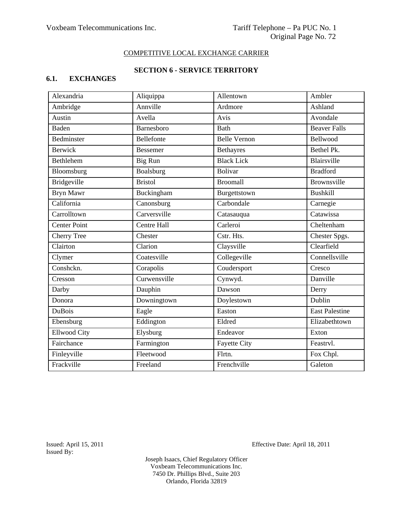# **SECTION 6 - SERVICE TERRITORY**

# **6.1. EXCHANGES**

| Alexandria          | Aliquippa       | Allentown           | Ambler                         |
|---------------------|-----------------|---------------------|--------------------------------|
| Ambridge            | Annville        | Ardmore             | Ashland                        |
| Austin              | Avella          | Avis                | Avondale                       |
| <b>Baden</b>        | Barnesboro      | <b>Bath</b>         | <b>Beaver Falls</b>            |
| Bedminster          | Bellefonte      | <b>Belle Vernon</b> | Bellwood                       |
| <b>Berwick</b>      | <b>Bessemer</b> | Bethayres           | Bethel Pk.                     |
| Bethlehem           | Big Run         | <b>Black Lick</b>   | Blairsville                    |
| Bloomsburg          | Boalsburg       | <b>Bolivar</b>      | <b>Bradford</b>                |
| <b>Bridgeville</b>  | <b>Bristol</b>  | <b>Broomall</b>     | <b>Brownsville</b>             |
| Bryn Mawr           | Buckingham      | Burgettstown        | <b>Bushkill</b>                |
| California          | Canonsburg      | Carbondale          | Carnegie                       |
| Carrolltown         | Carversville    | Catasauqua          | Catawissa                      |
| <b>Center Point</b> | Centre Hall     | Carleroi            | $\overline{\text{Cheltenham}}$ |
| <b>Cherry Tree</b>  | Chester         | Cstr. Hts.          | Chester Spgs.                  |
| Clairton            | Clarion         | Claysville          | Clearfield                     |
| Clymer              | Coatesville     | Collegeville        | Connellsville                  |
| Conshckn.           | Corapolis       | Coudersport         | Cresco                         |
| Cresson             | Curwensville    | Cynwyd.             | Danville                       |
| Darby               | Dauphin         | Dawson              | Derry                          |
| Donora              | Downingtown     | Doylestown          | Dublin                         |
| <b>DuBois</b>       | Eagle           | Easton              | <b>East Palestine</b>          |
| Ebensburg           | Eddington       | Eldred              | Elizabethtown                  |
| <b>Ellwood City</b> | Elysburg        | Endeavor            | Exton                          |
| Fairchance          | Farmington      | <b>Fayette City</b> | Feastryl.                      |
| Finleyville         | Fleetwood       | Flrtn.              | Fox Chpl.                      |
| Frackville          | Freeland        | Frenchville         | Galeton                        |

Issued By:

Issued: April 15, 2011 Effective Date: April 18, 2011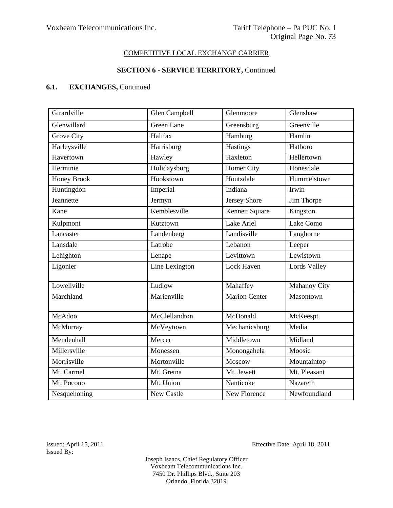### **SECTION 6 - SERVICE TERRITORY,** Continued

# **6.1. EXCHANGES,** Continued

| Girardville        | Glen Campbell     | Glenmoore            | Glenshaw            |
|--------------------|-------------------|----------------------|---------------------|
| Glenwillard        | <b>Green Lane</b> | Greensburg           | Greenville          |
| Grove City         | Halifax           | Hamburg              | Hamlin              |
| Harleysville       | Harrisburg        | Hastings             | Hatboro             |
| Havertown          | Hawley            | Haxleton             | Hellertown          |
| Herminie           | Holidaysburg      | Homer City           | Honesdale           |
| <b>Honey Brook</b> | Hookstown         | Houtzdale            | Hummelstown         |
| Huntingdon         | Imperial          | Indiana              | Irwin               |
| Jeannette          | Jermyn            | <b>Jersey Shore</b>  | Jim Thorpe          |
| Kane               | Kemblesville      | Kennett Square       | Kingston            |
| Kulpmont           | Kutztown          | Lake Ariel           | Lake Como           |
| Lancaster          | Landenberg        | Landisville          | Langhorne           |
| Lansdale           | Latrobe           | Lebanon              | Leeper              |
| Lehighton          | Lenape            | Levittown            | Lewistown           |
| Ligonier           | Line Lexington    | <b>Lock Haven</b>    | Lords Valley        |
| Lowellville        | Ludlow            | Mahaffey             | <b>Mahanoy City</b> |
| Marchland          | Marienville       | <b>Marion Center</b> | Masontown           |
| McAdoo             | McClellandton     | McDonald             | McKeespt.           |
| McMurray           | McVeytown         | Mechanicsburg        | Media               |
| Mendenhall         | Mercer            | Middletown           | Midland             |
| Millersville       | Monessen          | Monongahela          | Moosic              |
| Morrisville        | Mortonville       | Moscow               | Mountaintop         |
| Mt. Carmel         | Mt. Gretna        | Mt. Jewett           | Mt. Pleasant        |
| Mt. Pocono         | Mt. Union         | Nanticoke            | Nazareth            |
| Nesquehoning       | New Castle        | New Florence         | Newfoundland        |

Issued By:

Issued: April 15, 2011 Effective Date: April 18, 2011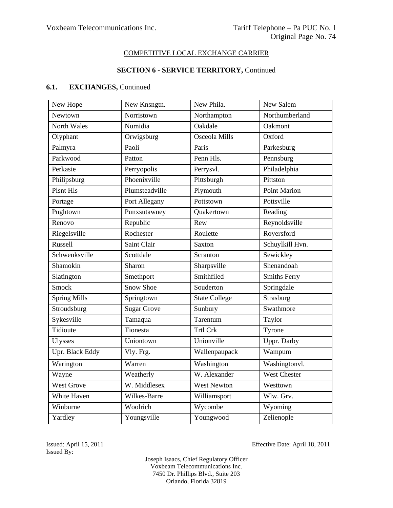### **SECTION 6 - SERVICE TERRITORY,** Continued

# **6.1. EXCHANGES,** Continued

| New Hope            | New Knsngtn.       | New Phila.           | New Salem           |
|---------------------|--------------------|----------------------|---------------------|
| Newtown             | Norristown         | Northampton          | Northumberland      |
| North Wales         | Numidia            | Oakdale              | Oakmont             |
| Olyphant            | Orwigsburg         | Osceola Mills        | Oxford              |
| Palmyra             | Paoli              | Paris                | Parkesburg          |
| Parkwood            | Patton             | Penn Hls.            | Pennsburg           |
| Perkasie            | Perryopolis        | Perrysvl.            | Philadelphia        |
| Philipsburg         | Phoenixville       | Pittsburgh           | Pittston            |
| <b>Plsnt Hls</b>    | Plumsteadville     | Plymouth             | <b>Point Marion</b> |
| Portage             | Port Allegany      | Pottstown            | Pottsville          |
| Pughtown            | Punxsutawney       | Quakertown           | Reading             |
| Renovo              | Republic           | Rew                  | Reynoldsville       |
| Riegelsville        | Rochester          | Roulette             | Royersford          |
| Russell             | Saint Clair        | Saxton               | Schuylkill Hvn.     |
| Schwenksville       | Scottdale          | Scranton             | Sewickley           |
| Shamokin            | Sharon             | Sharpsville          | Shenandoah          |
| Slatington          | Smethport          | Smithfiled           | <b>Smiths Ferry</b> |
| Smock               | <b>Snow Shoe</b>   | Souderton            | Springdale          |
| <b>Spring Mills</b> | Springtown         | <b>State College</b> | Strasburg           |
| Stroudsburg         | <b>Sugar Grove</b> | Sunbury              | Swathmore           |
| Sykesville          | Tamaqua            | Tarentum             | Taylor              |
| Tidioute            | Tionesta           | <b>Trtl Crk</b>      | Tyrone              |
| <b>Ulysses</b>      | Uniontown          | Unionville           | Uppr. Darby         |
| Upr. Black Eddy     | Vly. Frg.          | Wallenpaupack        | Wampum              |
| Warington           | Warren             | Washington           | Washingtonvl.       |
| Wayne               | Weatherly          | W. Alexander         | <b>West Chester</b> |
| <b>West Grove</b>   | W. Middlesex       | <b>West Newton</b>   | Westtown            |
| White Haven         | Wilkes-Barre       | Williamsport         | Wlw. Grv.           |
| Winburne            | Woolrich           | Wycombe              | Wyoming             |
| Yardley             | Youngsville        | Youngwood            | Zelienople          |

Issued By:

Issued: April 15, 2011 Effective Date: April 18, 2011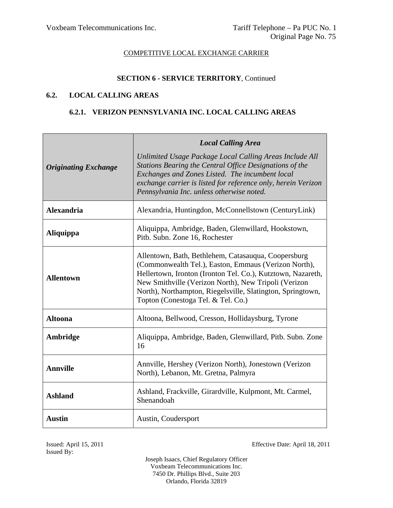### **SECTION 6 - SERVICE TERRITORY**, Continued

### **6.2. LOCAL CALLING AREAS**

### **6.2.1. VERIZON PENNSYLVANIA INC. LOCAL CALLING AREAS**

| <b>Originating Exchange</b> | <b>Local Calling Area</b><br>Unlimited Usage Package Local Calling Areas Include All<br>Stations Bearing the Central Office Designations of the<br>Exchanges and Zones Listed. The incumbent local<br>exchange carrier is listed for reference only, herein Verizon<br>Pennsylvania Inc. unless otherwise noted.                       |
|-----------------------------|----------------------------------------------------------------------------------------------------------------------------------------------------------------------------------------------------------------------------------------------------------------------------------------------------------------------------------------|
| <b>Alexandria</b>           | Alexandria, Huntingdon, McConnellstown (CenturyLink)                                                                                                                                                                                                                                                                                   |
| <b>Aliquippa</b>            | Aliquippa, Ambridge, Baden, Glenwillard, Hookstown,<br>Pitb. Subn. Zone 16, Rochester                                                                                                                                                                                                                                                  |
| <b>Allentown</b>            | Allentown, Bath, Bethlehem, Catasauqua, Coopersburg<br>(Commonwealth Tel.), Easton, Emmaus (Verizon North),<br>Hellertown, Ironton (Ironton Tel. Co.), Kutztown, Nazareth,<br>New Smithville (Verizon North), New Tripoli (Verizon<br>North), Northampton, Riegelsville, Slatington, Springtown,<br>Topton (Conestoga Tel. & Tel. Co.) |
| <b>Altoona</b>              | Altoona, Bellwood, Cresson, Hollidaysburg, Tyrone                                                                                                                                                                                                                                                                                      |
| Ambridge                    | Aliquippa, Ambridge, Baden, Glenwillard, Pitb. Subn. Zone<br>16                                                                                                                                                                                                                                                                        |
| <b>Annville</b>             | Annville, Hershey (Verizon North), Jonestown (Verizon<br>North), Lebanon, Mt. Gretna, Palmyra                                                                                                                                                                                                                                          |
| <b>Ashland</b>              | Ashland, Frackville, Girardville, Kulpmont, Mt. Carmel,<br>Shenandoah                                                                                                                                                                                                                                                                  |
| <b>Austin</b>               | Austin, Coudersport                                                                                                                                                                                                                                                                                                                    |

Issued By:

Issued: April 15, 2011 Effective Date: April 18, 2011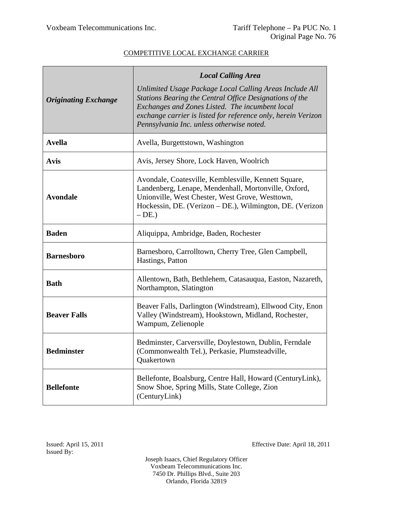|                             | <b>Local Calling Area</b>                                                                                                                                                                                                                                                           |
|-----------------------------|-------------------------------------------------------------------------------------------------------------------------------------------------------------------------------------------------------------------------------------------------------------------------------------|
| <b>Originating Exchange</b> | Unlimited Usage Package Local Calling Areas Include All<br>Stations Bearing the Central Office Designations of the<br>Exchanges and Zones Listed. The incumbent local<br>exchange carrier is listed for reference only, herein Verizon<br>Pennsylvania Inc. unless otherwise noted. |
| <b>Avella</b>               | Avella, Burgettstown, Washington                                                                                                                                                                                                                                                    |
| <b>Avis</b>                 | Avis, Jersey Shore, Lock Haven, Woolrich                                                                                                                                                                                                                                            |
| <b>Avondale</b>             | Avondale, Coatesville, Kemblesville, Kennett Square,<br>Landenberg, Lenape, Mendenhall, Mortonville, Oxford,<br>Unionville, West Chester, West Grove, Westtown,<br>Hockessin, DE. (Verizon – DE.), Wilmington, DE. (Verizon<br>$-DE.$                                               |
| <b>Baden</b>                | Aliquippa, Ambridge, Baden, Rochester                                                                                                                                                                                                                                               |
| <b>Barnesboro</b>           | Barnesboro, Carrolltown, Cherry Tree, Glen Campbell,<br>Hastings, Patton                                                                                                                                                                                                            |
| <b>Bath</b>                 | Allentown, Bath, Bethlehem, Catasauqua, Easton, Nazareth,<br>Northampton, Slatington                                                                                                                                                                                                |
| <b>Beaver Falls</b>         | Beaver Falls, Darlington (Windstream), Ellwood City, Enon<br>Valley (Windstream), Hookstown, Midland, Rochester,<br>Wampum, Zelienople                                                                                                                                              |
| <b>Bedminster</b>           | Bedminster, Carversville, Doylestown, Dublin, Ferndale<br>(Commonwealth Tel.), Perkasie, Plumsteadville,<br>Quakertown                                                                                                                                                              |
| <b>Bellefonte</b>           | Bellefonte, Boalsburg, Centre Hall, Howard (CenturyLink),<br>Snow Shoe, Spring Mills, State College, Zion<br>(CenturyLink)                                                                                                                                                          |

Issued: April 15, 2011 Effective Date: April 18, 2011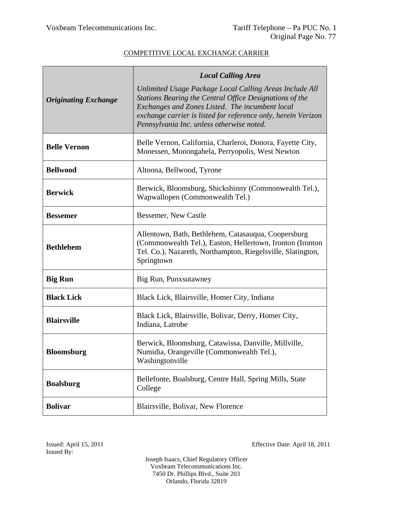|                             | <b>Local Calling Area</b>                                                                                                                                                                                                                                                           |  |
|-----------------------------|-------------------------------------------------------------------------------------------------------------------------------------------------------------------------------------------------------------------------------------------------------------------------------------|--|
| <b>Originating Exchange</b> | Unlimited Usage Package Local Calling Areas Include All<br>Stations Bearing the Central Office Designations of the<br>Exchanges and Zones Listed. The incumbent local<br>exchange carrier is listed for reference only, herein Verizon<br>Pennsylvania Inc. unless otherwise noted. |  |
| <b>Belle Vernon</b>         | Belle Vernon, California, Charleroi, Donora, Fayette City,<br>Monessen, Monongahela, Perryopolis, West Newton                                                                                                                                                                       |  |
| <b>Bellwood</b>             | Altoona, Bellwood, Tyrone                                                                                                                                                                                                                                                           |  |
| <b>Berwick</b>              | Berwick, Bloomsburg, Shickshinny (Commonwealth Tel.),<br>Wapwallopen (Commonwealth Tel.)                                                                                                                                                                                            |  |
| <b>Bessemer</b>             | Bessemer, New Castle                                                                                                                                                                                                                                                                |  |
| <b>Bethlehem</b>            | Allentown, Bath, Bethlehem, Catasauqua, Coopersburg<br>(Commonwealth Tel.), Easton, Hellertown, Ironton (Ironton<br>Tel. Co.), Nazareth, Northampton, Riegelsville, Slatington,<br>Springtown                                                                                       |  |
| <b>Big Run</b>              | Big Run, Punxsutawney                                                                                                                                                                                                                                                               |  |
| <b>Black Lick</b>           | Black Lick, Blairsville, Homer City, Indiana                                                                                                                                                                                                                                        |  |
| <b>Blairsville</b>          | Black Lick, Blairsville, Bolivar, Derry, Homer City,<br>Indiana, Latrobe                                                                                                                                                                                                            |  |
| <b>Bloomsburg</b>           | Berwick, Bloomsburg, Catawissa, Danville, Millville,<br>Numidia, Orangeville (Commonwealth Tel.),<br>Washingtonville                                                                                                                                                                |  |
| <b>Boalsburg</b>            | Bellefonte, Boalsburg, Centre Hall, Spring Mills, State<br>College                                                                                                                                                                                                                  |  |
| <b>Bolivar</b>              | Blairsville, Bolivar, New Florence                                                                                                                                                                                                                                                  |  |

Issued: April 15, 2011 Effective Date: April 18, 2011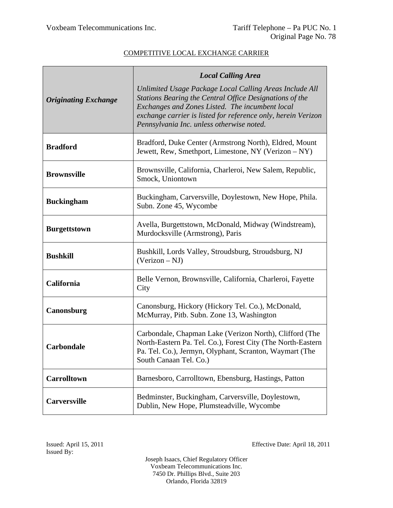|                             | <b>Local Calling Area</b>                                                                                                                                                                                                                                                           |
|-----------------------------|-------------------------------------------------------------------------------------------------------------------------------------------------------------------------------------------------------------------------------------------------------------------------------------|
| <b>Originating Exchange</b> | Unlimited Usage Package Local Calling Areas Include All<br>Stations Bearing the Central Office Designations of the<br>Exchanges and Zones Listed. The incumbent local<br>exchange carrier is listed for reference only, herein Verizon<br>Pennsylvania Inc. unless otherwise noted. |
| <b>Bradford</b>             | Bradford, Duke Center (Armstrong North), Eldred, Mount<br>Jewett, Rew, Smethport, Limestone, NY (Verizon - NY)                                                                                                                                                                      |
| <b>Brownsville</b>          | Brownsville, California, Charleroi, New Salem, Republic,<br>Smock, Uniontown                                                                                                                                                                                                        |
| <b>Buckingham</b>           | Buckingham, Carversville, Doylestown, New Hope, Phila.<br>Subn. Zone 45, Wycombe                                                                                                                                                                                                    |
| <b>Burgettstown</b>         | Avella, Burgettstown, McDonald, Midway (Windstream),<br>Murdocksville (Armstrong), Paris                                                                                                                                                                                            |
| <b>Bushkill</b>             | Bushkill, Lords Valley, Stroudsburg, Stroudsburg, NJ<br>$(Verizon - NJ)$                                                                                                                                                                                                            |
| California                  | Belle Vernon, Brownsville, California, Charleroi, Fayette<br>City                                                                                                                                                                                                                   |
| Canonsburg                  | Canonsburg, Hickory (Hickory Tel. Co.), McDonald,<br>McMurray, Pitb. Subn. Zone 13, Washington                                                                                                                                                                                      |
| <b>Carbondale</b>           | Carbondale, Chapman Lake (Verizon North), Clifford (The<br>North-Eastern Pa. Tel. Co.), Forest City (The North-Eastern<br>Pa. Tel. Co.), Jermyn, Olyphant, Scranton, Waymart (The<br>South Canaan Tel. Co.)                                                                         |
| <b>Carrolltown</b>          | Barnesboro, Carrolltown, Ebensburg, Hastings, Patton                                                                                                                                                                                                                                |
| <b>Carversville</b>         | Bedminster, Buckingham, Carversville, Doylestown,<br>Dublin, New Hope, Plumsteadville, Wycombe                                                                                                                                                                                      |

Issued: April 15, 2011 Effective Date: April 18, 2011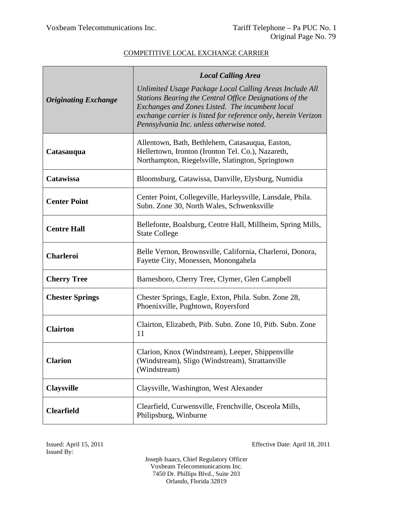|                             | <b>Local Calling Area</b>                                                                                                                                                                                                                                                           |
|-----------------------------|-------------------------------------------------------------------------------------------------------------------------------------------------------------------------------------------------------------------------------------------------------------------------------------|
| <b>Originating Exchange</b> | Unlimited Usage Package Local Calling Areas Include All<br>Stations Bearing the Central Office Designations of the<br>Exchanges and Zones Listed. The incumbent local<br>exchange carrier is listed for reference only, herein Verizon<br>Pennsylvania Inc. unless otherwise noted. |
| Catasauqua                  | Allentown, Bath, Bethlehem, Catasauqua, Easton,<br>Hellertown, Ironton (Ironton Tel. Co.), Nazareth,<br>Northampton, Riegelsville, Slatington, Springtown                                                                                                                           |
| Catawissa                   | Bloomsburg, Catawissa, Danville, Elysburg, Numidia                                                                                                                                                                                                                                  |
| <b>Center Point</b>         | Center Point, Collegeville, Harleysville, Lansdale, Phila.<br>Subn. Zone 30, North Wales, Schwenksville                                                                                                                                                                             |
| <b>Centre Hall</b>          | Bellefonte, Boalsburg, Centre Hall, Millheim, Spring Mills,<br><b>State College</b>                                                                                                                                                                                                 |
| <b>Charleroi</b>            | Belle Vernon, Brownsville, California, Charleroi, Donora,<br>Fayette City, Monessen, Monongahela                                                                                                                                                                                    |
| <b>Cherry Tree</b>          | Barnesboro, Cherry Tree, Clymer, Glen Campbell                                                                                                                                                                                                                                      |
| <b>Chester Springs</b>      | Chester Springs, Eagle, Exton, Phila. Subn. Zone 28,<br>Phoenixville, Pughtown, Royersford                                                                                                                                                                                          |
| <b>Clairton</b>             | Clairton, Elizabeth, Pitb. Subn. Zone 10, Pitb. Subn. Zone<br>11                                                                                                                                                                                                                    |
| <b>Clarion</b>              | Clarion, Knox (Windstream), Leeper, Shippenville<br>(Windstream), Sligo (Windstream), Strattanville<br>(Windstream)                                                                                                                                                                 |
| <b>Claysville</b>           | Claysville, Washington, West Alexander                                                                                                                                                                                                                                              |
| <b>Clearfield</b>           | Clearfield, Curwensville, Frenchville, Osceola Mills,<br>Philipsburg, Winburne                                                                                                                                                                                                      |

Issued: April 15, 2011 Effective Date: April 18, 2011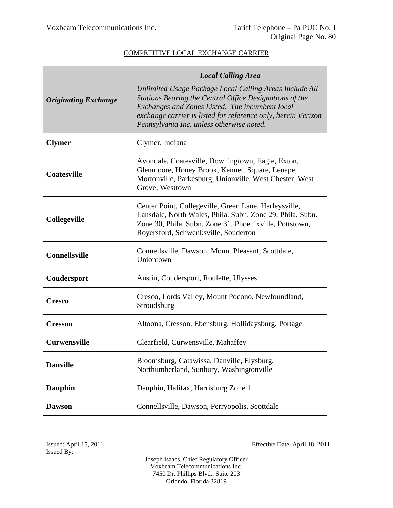|                             | <b>Local Calling Area</b>                                                                                                                                                                                                                                                           |  |
|-----------------------------|-------------------------------------------------------------------------------------------------------------------------------------------------------------------------------------------------------------------------------------------------------------------------------------|--|
| <b>Originating Exchange</b> | Unlimited Usage Package Local Calling Areas Include All<br>Stations Bearing the Central Office Designations of the<br>Exchanges and Zones Listed. The incumbent local<br>exchange carrier is listed for reference only, herein Verizon<br>Pennsylvania Inc. unless otherwise noted. |  |
| <b>Clymer</b>               | Clymer, Indiana                                                                                                                                                                                                                                                                     |  |
| <b>Coatesville</b>          | Avondale, Coatesville, Downingtown, Eagle, Exton,<br>Glenmoore, Honey Brook, Kennett Square, Lenape,<br>Mortonville, Parkesburg, Unionville, West Chester, West<br>Grove, Westtown                                                                                                  |  |
| <b>Collegeville</b>         | Center Point, Collegeville, Green Lane, Harleysville,<br>Lansdale, North Wales, Phila. Subn. Zone 29, Phila. Subn.<br>Zone 30, Phila. Subn. Zone 31, Phoenixville, Pottstown,<br>Royersford, Schwenksville, Souderton                                                               |  |
| <b>Connellsville</b>        | Connellsville, Dawson, Mount Pleasant, Scottdale,<br>Uniontown                                                                                                                                                                                                                      |  |
| Coudersport                 | Austin, Coudersport, Roulette, Ulysses                                                                                                                                                                                                                                              |  |
| <b>Cresco</b>               | Cresco, Lords Valley, Mount Pocono, Newfoundland,<br>Stroudsburg                                                                                                                                                                                                                    |  |
| <b>Cresson</b>              | Altoona, Cresson, Ebensburg, Hollidaysburg, Portage                                                                                                                                                                                                                                 |  |
| <b>Curwensville</b>         | Clearfield, Curwensville, Mahaffey                                                                                                                                                                                                                                                  |  |
| <b>Danville</b>             | Bloomsburg, Catawissa, Danville, Elysburg,<br>Northumberland, Sunbury, Washingtonville                                                                                                                                                                                              |  |
| <b>Dauphin</b>              | Dauphin, Halifax, Harrisburg Zone 1                                                                                                                                                                                                                                                 |  |
| <b>Dawson</b>               | Connellsville, Dawson, Perryopolis, Scottdale                                                                                                                                                                                                                                       |  |

Issued: April 15, 2011 Effective Date: April 18, 2011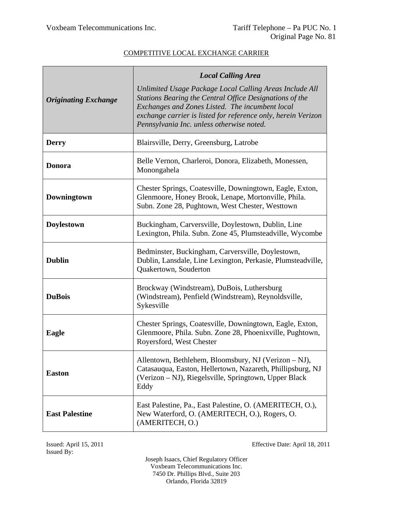|                             | <b>Local Calling Area</b>                                                                                                                                                                                                                                                           |
|-----------------------------|-------------------------------------------------------------------------------------------------------------------------------------------------------------------------------------------------------------------------------------------------------------------------------------|
| <b>Originating Exchange</b> | Unlimited Usage Package Local Calling Areas Include All<br>Stations Bearing the Central Office Designations of the<br>Exchanges and Zones Listed. The incumbent local<br>exchange carrier is listed for reference only, herein Verizon<br>Pennsylvania Inc. unless otherwise noted. |
| <b>Derry</b>                | Blairsville, Derry, Greensburg, Latrobe                                                                                                                                                                                                                                             |
| <b>Donora</b>               | Belle Vernon, Charleroi, Donora, Elizabeth, Monessen,<br>Monongahela                                                                                                                                                                                                                |
| Downingtown                 | Chester Springs, Coatesville, Downingtown, Eagle, Exton,<br>Glenmoore, Honey Brook, Lenape, Mortonville, Phila.<br>Subn. Zone 28, Pughtown, West Chester, Westtown                                                                                                                  |
| <b>Doylestown</b>           | Buckingham, Carversville, Doylestown, Dublin, Line<br>Lexington, Phila. Subn. Zone 45, Plumsteadville, Wycombe                                                                                                                                                                      |
| <b>Dublin</b>               | Bedminster, Buckingham, Carversville, Doylestown,<br>Dublin, Lansdale, Line Lexington, Perkasie, Plumsteadville,<br>Quakertown, Souderton                                                                                                                                           |
| <b>DuBois</b>               | Brockway (Windstream), DuBois, Luthersburg<br>(Windstream), Penfield (Windstream), Reynoldsville,<br>Sykesville                                                                                                                                                                     |
| Eagle                       | Chester Springs, Coatesville, Downingtown, Eagle, Exton,<br>Glenmoore, Phila. Subn. Zone 28, Phoenixville, Pughtown,<br>Royersford, West Chester                                                                                                                                    |
| <b>Easton</b>               | Allentown, Bethlehem, Bloomsbury, NJ (Verizon – NJ),<br>Catasauqua, Easton, Hellertown, Nazareth, Phillipsburg, NJ<br>(Verizon – NJ), Riegelsville, Springtown, Upper Black<br>Eddy                                                                                                 |
| <b>East Palestine</b>       | East Palestine, Pa., East Palestine, O. (AMERITECH, O.),<br>New Waterford, O. (AMERITECH, O.), Rogers, O.<br>(AMERITECH, O.)                                                                                                                                                        |

Issued By:

Issued: April 15, 2011 Effective Date: April 18, 2011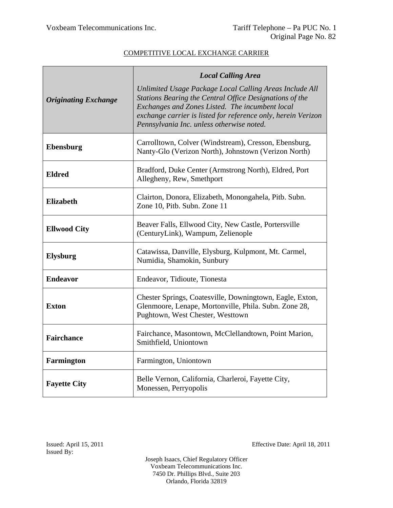|                             | <b>Local Calling Area</b>                                                                                                                                                                                                                                                           |  |
|-----------------------------|-------------------------------------------------------------------------------------------------------------------------------------------------------------------------------------------------------------------------------------------------------------------------------------|--|
| <b>Originating Exchange</b> | Unlimited Usage Package Local Calling Areas Include All<br>Stations Bearing the Central Office Designations of the<br>Exchanges and Zones Listed. The incumbent local<br>exchange carrier is listed for reference only, herein Verizon<br>Pennsylvania Inc. unless otherwise noted. |  |
| Ebensburg                   | Carrolltown, Colver (Windstream), Cresson, Ebensburg,<br>Nanty-Glo (Verizon North), Johnstown (Verizon North)                                                                                                                                                                       |  |
| <b>Eldred</b>               | Bradford, Duke Center (Armstrong North), Eldred, Port<br>Allegheny, Rew, Smethport                                                                                                                                                                                                  |  |
| <b>Elizabeth</b>            | Clairton, Donora, Elizabeth, Monongahela, Pitb. Subn.<br>Zone 10, Pitb. Subn. Zone 11                                                                                                                                                                                               |  |
| <b>Ellwood City</b>         | Beaver Falls, Ellwood City, New Castle, Portersville<br>(CenturyLink), Wampum, Zelienople                                                                                                                                                                                           |  |
| <b>Elysburg</b>             | Catawissa, Danville, Elysburg, Kulpmont, Mt. Carmel,<br>Numidia, Shamokin, Sunbury                                                                                                                                                                                                  |  |
| <b>Endeavor</b>             | Endeavor, Tidioute, Tionesta                                                                                                                                                                                                                                                        |  |
| <b>Exton</b>                | Chester Springs, Coatesville, Downingtown, Eagle, Exton,<br>Glenmoore, Lenape, Mortonville, Phila. Subn. Zone 28,<br>Pughtown, West Chester, Westtown                                                                                                                               |  |
| <b>Fairchance</b>           | Fairchance, Masontown, McClellandtown, Point Marion,<br>Smithfield, Uniontown                                                                                                                                                                                                       |  |
| <b>Farmington</b>           | Farmington, Uniontown                                                                                                                                                                                                                                                               |  |
| <b>Fayette City</b>         | Belle Vernon, California, Charleroi, Fayette City,<br>Monessen, Perryopolis                                                                                                                                                                                                         |  |

Issued: April 15, 2011 Effective Date: April 18, 2011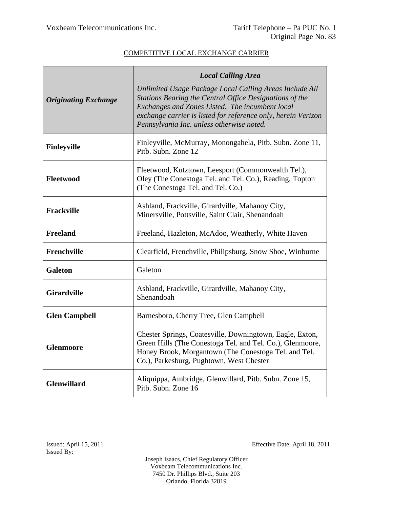|                             | <b>Local Calling Area</b>                                                                                                                                                                                                                                                           |  |
|-----------------------------|-------------------------------------------------------------------------------------------------------------------------------------------------------------------------------------------------------------------------------------------------------------------------------------|--|
| <b>Originating Exchange</b> | Unlimited Usage Package Local Calling Areas Include All<br>Stations Bearing the Central Office Designations of the<br>Exchanges and Zones Listed. The incumbent local<br>exchange carrier is listed for reference only, herein Verizon<br>Pennsylvania Inc. unless otherwise noted. |  |
| <b>Finleyville</b>          | Finleyville, McMurray, Monongahela, Pitb. Subn. Zone 11,<br>Pitb. Subn. Zone 12                                                                                                                                                                                                     |  |
| Fleetwood                   | Fleetwood, Kutztown, Leesport (Commonwealth Tel.),<br>Oley (The Conestoga Tel. and Tel. Co.), Reading, Topton<br>(The Conestoga Tel. and Tel. Co.)                                                                                                                                  |  |
| Frackville                  | Ashland, Frackville, Girardville, Mahanoy City,<br>Minersville, Pottsville, Saint Clair, Shenandoah                                                                                                                                                                                 |  |
| <b>Freeland</b>             | Freeland, Hazleton, McAdoo, Weatherly, White Haven                                                                                                                                                                                                                                  |  |
| <b>Frenchville</b>          | Clearfield, Frenchville, Philipsburg, Snow Shoe, Winburne                                                                                                                                                                                                                           |  |
| <b>Galeton</b>              | Galeton                                                                                                                                                                                                                                                                             |  |
| <b>Girardville</b>          | Ashland, Frackville, Girardville, Mahanoy City,<br>Shenandoah                                                                                                                                                                                                                       |  |
| <b>Glen Campbell</b>        | Barnesboro, Cherry Tree, Glen Campbell                                                                                                                                                                                                                                              |  |
| <b>Glenmoore</b>            | Chester Springs, Coatesville, Downingtown, Eagle, Exton,<br>Green Hills (The Conestoga Tel. and Tel. Co.), Glenmoore,<br>Honey Brook, Morgantown (The Conestoga Tel. and Tel.<br>Co.), Parkesburg, Pughtown, West Chester                                                           |  |
| <b>Glenwillard</b>          | Aliquippa, Ambridge, Glenwillard, Pitb. Subn. Zone 15,<br>Pitb. Subn. Zone 16                                                                                                                                                                                                       |  |

Issued: April 15, 2011 Effective Date: April 18, 2011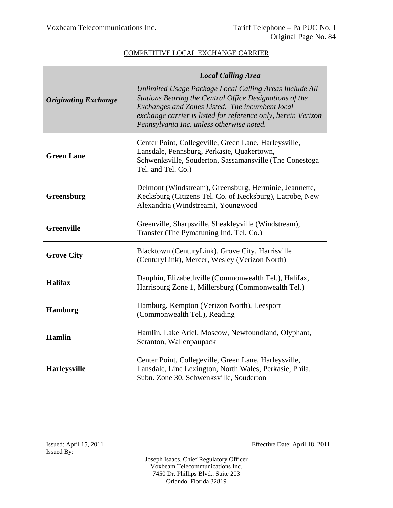|                             | <b>Local Calling Area</b>                                                                                                                                                                                                                                                           |
|-----------------------------|-------------------------------------------------------------------------------------------------------------------------------------------------------------------------------------------------------------------------------------------------------------------------------------|
| <b>Originating Exchange</b> | Unlimited Usage Package Local Calling Areas Include All<br>Stations Bearing the Central Office Designations of the<br>Exchanges and Zones Listed. The incumbent local<br>exchange carrier is listed for reference only, herein Verizon<br>Pennsylvania Inc. unless otherwise noted. |
| <b>Green Lane</b>           | Center Point, Collegeville, Green Lane, Harleysville,<br>Lansdale, Pennsburg, Perkasie, Quakertown,<br>Schwenksville, Souderton, Sassamansville (The Conestoga<br>Tel. and Tel. Co.)                                                                                                |
| Greensburg                  | Delmont (Windstream), Greensburg, Herminie, Jeannette,<br>Kecksburg (Citizens Tel. Co. of Kecksburg), Latrobe, New<br>Alexandria (Windstream), Youngwood                                                                                                                            |
| <b>Greenville</b>           | Greenville, Sharpsville, Sheakleyville (Windstream),<br>Transfer (The Pymatuning Ind. Tel. Co.)                                                                                                                                                                                     |
| <b>Grove City</b>           | Blacktown (CenturyLink), Grove City, Harrisville<br>(CenturyLink), Mercer, Wesley (Verizon North)                                                                                                                                                                                   |
| <b>Halifax</b>              | Dauphin, Elizabethville (Commonwealth Tel.), Halifax,<br>Harrisburg Zone 1, Millersburg (Commonwealth Tel.)                                                                                                                                                                         |
| <b>Hamburg</b>              | Hamburg, Kempton (Verizon North), Leesport<br>(Commonwealth Tel.), Reading                                                                                                                                                                                                          |
| <b>Hamlin</b>               | Hamlin, Lake Ariel, Moscow, Newfoundland, Olyphant,<br>Scranton, Wallenpaupack                                                                                                                                                                                                      |
| Harleysville                | Center Point, Collegeville, Green Lane, Harleysville,<br>Lansdale, Line Lexington, North Wales, Perkasie, Phila.<br>Subn. Zone 30, Schwenksville, Souderton                                                                                                                         |

Issued: April 15, 2011 Effective Date: April 18, 2011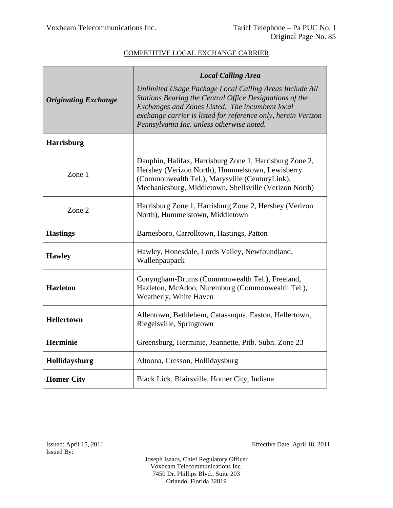|                             | <b>Local Calling Area</b>                                                                                                                                                                                                                                                           |
|-----------------------------|-------------------------------------------------------------------------------------------------------------------------------------------------------------------------------------------------------------------------------------------------------------------------------------|
| <b>Originating Exchange</b> | Unlimited Usage Package Local Calling Areas Include All<br>Stations Bearing the Central Office Designations of the<br>Exchanges and Zones Listed. The incumbent local<br>exchange carrier is listed for reference only, herein Verizon<br>Pennsylvania Inc. unless otherwise noted. |
| <b>Harrisburg</b>           |                                                                                                                                                                                                                                                                                     |
| Zone 1                      | Dauphin, Halifax, Harrisburg Zone 1, Harrisburg Zone 2,<br>Hershey (Verizon North), Hummelstown, Lewisberry<br>(Commonwealth Tel.), Marysville (CenturyLink),<br>Mechanicsburg, Middletown, Shellsville (Verizon North)                                                             |
| Zone 2                      | Harrisburg Zone 1, Harrisburg Zone 2, Hershey (Verizon<br>North), Hummelstown, Middletown                                                                                                                                                                                           |
| <b>Hastings</b>             | Barnesboro, Carrolltown, Hastings, Patton                                                                                                                                                                                                                                           |
| <b>Hawley</b>               | Hawley, Honesdale, Lords Valley, Newfoundland,<br>Wallenpaupack                                                                                                                                                                                                                     |
| <b>Hazleton</b>             | Conyngham-Drums (Commonwealth Tel.), Freeland,<br>Hazleton, McAdoo, Nuremburg (Commonwealth Tel.),<br>Weatherly, White Haven                                                                                                                                                        |
| <b>Hellertown</b>           | Allentown, Bethlehem, Catasauqua, Easton, Hellertown,<br>Riegelsville, Springtown                                                                                                                                                                                                   |
| <b>Herminie</b>             | Greensburg, Herminie, Jeannette, Pitb. Subn. Zone 23                                                                                                                                                                                                                                |
| Hollidaysburg               | Altoona, Cresson, Hollidaysburg                                                                                                                                                                                                                                                     |
| <b>Homer City</b>           | Black Lick, Blairsville, Homer City, Indiana                                                                                                                                                                                                                                        |

Issued: April 15, 2011 Effective Date: April 18, 2011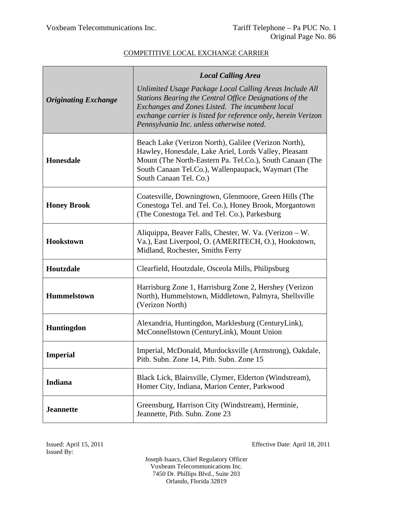|                             | <b>Local Calling Area</b>                                                                                                                                                                                                                                                           |
|-----------------------------|-------------------------------------------------------------------------------------------------------------------------------------------------------------------------------------------------------------------------------------------------------------------------------------|
| <b>Originating Exchange</b> | Unlimited Usage Package Local Calling Areas Include All<br>Stations Bearing the Central Office Designations of the<br>Exchanges and Zones Listed. The incumbent local<br>exchange carrier is listed for reference only, herein Verizon<br>Pennsylvania Inc. unless otherwise noted. |
| <b>Honesdale</b>            | Beach Lake (Verizon North), Galilee (Verizon North),<br>Hawley, Honesdale, Lake Ariel, Lords Valley, Pleasant<br>Mount (The North-Eastern Pa. Tel.Co.), South Canaan (The<br>South Canaan Tel.Co.), Wallenpaupack, Waymart (The<br>South Canaan Tel. Co.)                           |
| <b>Honey Brook</b>          | Coatesville, Downingtown, Glenmoore, Green Hills (The<br>Conestoga Tel. and Tel. Co.), Honey Brook, Morgantown<br>(The Conestoga Tel. and Tel. Co.), Parkesburg                                                                                                                     |
| <b>Hookstown</b>            | Aliquippa, Beaver Falls, Chester, W. Va. (Verizon - W.<br>Va.), East Liverpool, O. (AMERITECH, O.), Hookstown,<br>Midland, Rochester, Smiths Ferry                                                                                                                                  |
| Houtzdale                   | Clearfield, Houtzdale, Osceola Mills, Philipsburg                                                                                                                                                                                                                                   |
| <b>Hummelstown</b>          | Harrisburg Zone 1, Harrisburg Zone 2, Hershey (Verizon<br>North), Hummelstown, Middletown, Palmyra, Shellsville<br>(Verizon North)                                                                                                                                                  |
| Huntingdon                  | Alexandria, Huntingdon, Marklesburg (CenturyLink),<br>McConnellstown (CenturyLink), Mount Union                                                                                                                                                                                     |
| <b>Imperial</b>             | Imperial, McDonald, Murdocksville (Armstrong), Oakdale,<br>Pitb. Subn. Zone 14, Pitb. Subn. Zone 15                                                                                                                                                                                 |
| <b>Indiana</b>              | Black Lick, Blairsville, Clymer, Elderton (Windstream),<br>Homer City, Indiana, Marion Center, Parkwood                                                                                                                                                                             |
| <b>Jeannette</b>            | Greensburg, Harrison City (Windstream), Herminie,<br>Jeannette, Pitb. Subn. Zone 23                                                                                                                                                                                                 |

Issued: April 15, 2011 Effective Date: April 18, 2011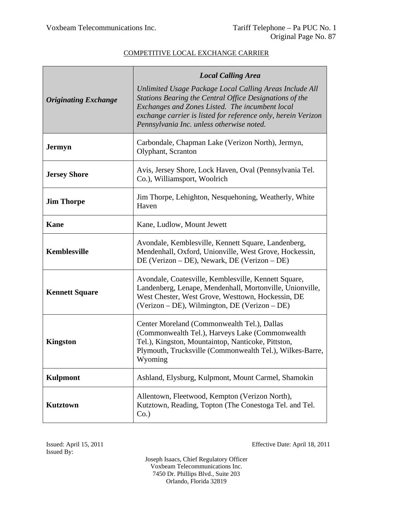|                             | <b>Local Calling Area</b>                                                                                                                                                                                                                                                           |
|-----------------------------|-------------------------------------------------------------------------------------------------------------------------------------------------------------------------------------------------------------------------------------------------------------------------------------|
| <b>Originating Exchange</b> | Unlimited Usage Package Local Calling Areas Include All<br>Stations Bearing the Central Office Designations of the<br>Exchanges and Zones Listed. The incumbent local<br>exchange carrier is listed for reference only, herein Verizon<br>Pennsylvania Inc. unless otherwise noted. |
| <b>Jermyn</b>               | Carbondale, Chapman Lake (Verizon North), Jermyn,<br>Olyphant, Scranton                                                                                                                                                                                                             |
| <b>Jersey Shore</b>         | Avis, Jersey Shore, Lock Haven, Oval (Pennsylvania Tel.<br>Co.), Williamsport, Woolrich                                                                                                                                                                                             |
| <b>Jim Thorpe</b>           | Jim Thorpe, Lehighton, Nesquehoning, Weatherly, White<br>Haven                                                                                                                                                                                                                      |
| Kane                        | Kane, Ludlow, Mount Jewett                                                                                                                                                                                                                                                          |
| Kemblesville                | Avondale, Kemblesville, Kennett Square, Landenberg,<br>Mendenhall, Oxford, Unionville, West Grove, Hockessin,<br>DE (Verizon – DE), Newark, DE (Verizon – DE)                                                                                                                       |
| <b>Kennett Square</b>       | Avondale, Coatesville, Kemblesville, Kennett Square,<br>Landenberg, Lenape, Mendenhall, Mortonville, Unionville,<br>West Chester, West Grove, Westtown, Hockessin, DE<br>(Verizon – DE), Wilmington, DE (Verizon – DE)                                                              |
| <b>Kingston</b>             | Center Moreland (Commonwealth Tel.), Dallas<br>(Commonwealth Tel.), Harveys Lake (Commonwealth<br>Tel.), Kingston, Mountaintop, Nanticoke, Pittston,<br>Plymouth, Trucksville (Commonwealth Tel.), Wilkes-Barre,<br>Wyoming                                                         |
| <b>Kulpmont</b>             | Ashland, Elysburg, Kulpmont, Mount Carmel, Shamokin                                                                                                                                                                                                                                 |
| <b>Kutztown</b>             | Allentown, Fleetwood, Kempton (Verizon North),<br>Kutztown, Reading, Topton (The Conestoga Tel. and Tel.<br>$Co.$ )                                                                                                                                                                 |

Issued: April 15, 2011 Effective Date: April 18, 2011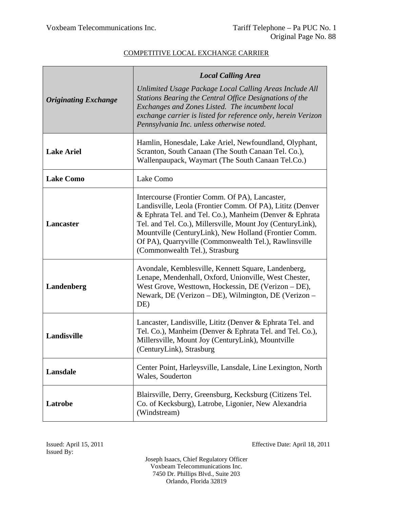| <b>Originating Exchange</b> | <b>Local Calling Area</b><br>Unlimited Usage Package Local Calling Areas Include All<br>Stations Bearing the Central Office Designations of the                                                                                                                                                                                                                                          |
|-----------------------------|------------------------------------------------------------------------------------------------------------------------------------------------------------------------------------------------------------------------------------------------------------------------------------------------------------------------------------------------------------------------------------------|
|                             | Exchanges and Zones Listed. The incumbent local<br>exchange carrier is listed for reference only, herein Verizon<br>Pennsylvania Inc. unless otherwise noted.                                                                                                                                                                                                                            |
| <b>Lake Ariel</b>           | Hamlin, Honesdale, Lake Ariel, Newfoundland, Olyphant,<br>Scranton, South Canaan (The South Canaan Tel. Co.),<br>Wallenpaupack, Waymart (The South Canaan Tel.Co.)                                                                                                                                                                                                                       |
| <b>Lake Como</b>            | Lake Como                                                                                                                                                                                                                                                                                                                                                                                |
| <b>Lancaster</b>            | Intercourse (Frontier Comm. Of PA), Lancaster,<br>Landisville, Leola (Frontier Comm. Of PA), Lititz (Denver<br>& Ephrata Tel. and Tel. Co.), Manheim (Denver & Ephrata<br>Tel. and Tel. Co.), Millersville, Mount Joy (CenturyLink),<br>Mountville (CenturyLink), New Holland (Frontier Comm.<br>Of PA), Quarryville (Commonwealth Tel.), Rawlinsville<br>(Commonwealth Tel.), Strasburg |
| Landenberg                  | Avondale, Kemblesville, Kennett Square, Landenberg,<br>Lenape, Mendenhall, Oxford, Unionville, West Chester,<br>West Grove, Westtown, Hockessin, DE (Verizon – DE),<br>Newark, DE (Verizon – DE), Wilmington, DE (Verizon –<br>DE)                                                                                                                                                       |
| Landisville                 | Lancaster, Landisville, Lititz (Denver & Ephrata Tel. and<br>Tel. Co.), Manheim (Denver & Ephrata Tel. and Tel. Co.),<br>Millersville, Mount Joy (CenturyLink), Mountville<br>(CenturyLink), Strasburg                                                                                                                                                                                   |
| Lansdale                    | Center Point, Harleysville, Lansdale, Line Lexington, North<br>Wales, Souderton                                                                                                                                                                                                                                                                                                          |
| Latrobe                     | Blairsville, Derry, Greensburg, Kecksburg (Citizens Tel.<br>Co. of Kecksburg), Latrobe, Ligonier, New Alexandria<br>(Windstream)                                                                                                                                                                                                                                                         |

Issued: April 15, 2011 Effective Date: April 18, 2011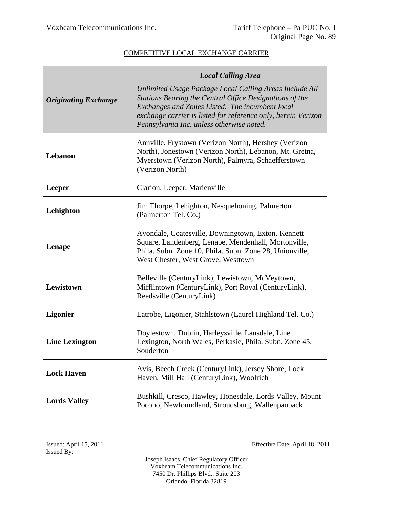|                             | <b>Local Calling Area</b>                                                                                                                                                                                                                                                           |
|-----------------------------|-------------------------------------------------------------------------------------------------------------------------------------------------------------------------------------------------------------------------------------------------------------------------------------|
| <b>Originating Exchange</b> | Unlimited Usage Package Local Calling Areas Include All<br>Stations Bearing the Central Office Designations of the<br>Exchanges and Zones Listed. The incumbent local<br>exchange carrier is listed for reference only, herein Verizon<br>Pennsylvania Inc. unless otherwise noted. |
| Lebanon                     | Annville, Frystown (Verizon North), Hershey (Verizon<br>North), Jonestown (Verizon North), Lebanon, Mt. Gretna,<br>Myerstown (Verizon North), Palmyra, Schaefferstown<br>(Verizon North)                                                                                            |
| <b>Leeper</b>               | Clarion, Leeper, Marienville                                                                                                                                                                                                                                                        |
| Lehighton                   | Jim Thorpe, Lehighton, Nesquehoning, Palmerton<br>(Palmerton Tel. Co.)                                                                                                                                                                                                              |
| Lenape                      | Avondale, Coatesville, Downingtown, Exton, Kennett<br>Square, Landenberg, Lenape, Mendenhall, Mortonville,<br>Phila. Subn. Zone 10, Phila. Subn. Zone 28, Unionville,<br>West Chester, West Grove, Westtown                                                                         |
| Lewistown                   | Belleville (CenturyLink), Lewistown, McVeytown,<br>Mifflintown (CenturyLink), Port Royal (CenturyLink),<br>Reedsville (CenturyLink)                                                                                                                                                 |
| <b>Ligonier</b>             | Latrobe, Ligonier, Stahlstown (Laurel Highland Tel. Co.)                                                                                                                                                                                                                            |
| <b>Line Lexington</b>       | Doylestown, Dublin, Harleysville, Lansdale, Line<br>Lexington, North Wales, Perkasie, Phila. Subn. Zone 45,<br>Souderton                                                                                                                                                            |
| <b>Lock Haven</b>           | Avis, Beech Creek (CenturyLink), Jersey Shore, Lock<br>Haven, Mill Hall (CenturyLink), Woolrich                                                                                                                                                                                     |
| <b>Lords Valley</b>         | Bushkill, Cresco, Hawley, Honesdale, Lords Valley, Mount<br>Pocono, Newfoundland, Stroudsburg, Wallenpaupack                                                                                                                                                                        |

Issued: April 15, 2011 Effective Date: April 18, 2011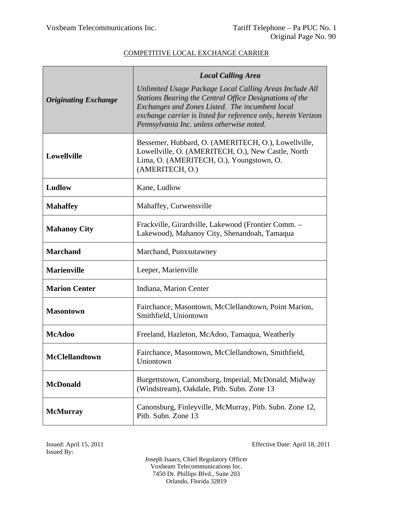|                             | <b>Local Calling Area</b>                                                                                                                                                                                                                                                           |
|-----------------------------|-------------------------------------------------------------------------------------------------------------------------------------------------------------------------------------------------------------------------------------------------------------------------------------|
| <b>Originating Exchange</b> | Unlimited Usage Package Local Calling Areas Include All<br>Stations Bearing the Central Office Designations of the<br>Exchanges and Zones Listed. The incumbent local<br>exchange carrier is listed for reference only, herein Verizon<br>Pennsylvania Inc. unless otherwise noted. |
| Lowellville                 | Bessemer, Hubbard, O. (AMERITECH, O.), Lowellville,<br>Lowellville, O. (AMERITECH, O.), New Castle, North<br>Lima, O. (AMERITECH, O.), Youngstown, O.<br>(AMERITECH, O.)                                                                                                            |
| Ludlow                      | Kane, Ludlow                                                                                                                                                                                                                                                                        |
| <b>Mahaffey</b>             | Mahaffey, Curwensville                                                                                                                                                                                                                                                              |
| <b>Mahanoy City</b>         | Frackville, Girardville, Lakewood (Frontier Comm. -<br>Lakewood), Mahanoy City, Shenandoah, Tamaqua                                                                                                                                                                                 |
| <b>Marchand</b>             | Marchand, Punxsutawney                                                                                                                                                                                                                                                              |
| <b>Marienville</b>          | Leeper, Marienville                                                                                                                                                                                                                                                                 |
| <b>Marion Center</b>        | Indiana, Marion Center                                                                                                                                                                                                                                                              |
| <b>Masontown</b>            | Fairchance, Masontown, McClellandtown, Point Marion,<br>Smithfield, Uniontown                                                                                                                                                                                                       |
| <b>McAdoo</b>               | Freeland, Hazleton, McAdoo, Tamaqua, Weatherly                                                                                                                                                                                                                                      |
| <b>McClellandtown</b>       | Fairchance, Masontown, McClellandtown, Smithfield,<br>Uniontown                                                                                                                                                                                                                     |
| <b>McDonald</b>             | Burgettstown, Canonsburg, Imperial, McDonald, Midway<br>(Windstream), Oakdale, Pitb. Subn. Zone 13                                                                                                                                                                                  |
| <b>McMurray</b>             | Canonsburg, Finleyville, McMurray, Pitb. Subn. Zone 12,<br>Pitb. Subn. Zone 13                                                                                                                                                                                                      |

Issued By:

Issued: April 15, 2011 Effective Date: April 18, 2011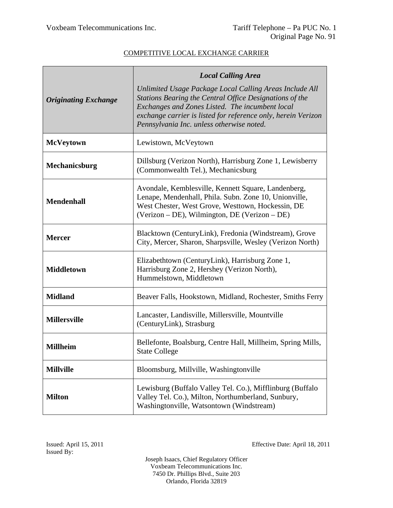|                             | <b>Local Calling Area</b>                                                                                                                                                                                                                                                           |
|-----------------------------|-------------------------------------------------------------------------------------------------------------------------------------------------------------------------------------------------------------------------------------------------------------------------------------|
| <b>Originating Exchange</b> | Unlimited Usage Package Local Calling Areas Include All<br>Stations Bearing the Central Office Designations of the<br>Exchanges and Zones Listed. The incumbent local<br>exchange carrier is listed for reference only, herein Verizon<br>Pennsylvania Inc. unless otherwise noted. |
| <b>McVeytown</b>            | Lewistown, McVeytown                                                                                                                                                                                                                                                                |
| <b>Mechanicsburg</b>        | Dillsburg (Verizon North), Harrisburg Zone 1, Lewisberry<br>(Commonwealth Tel.), Mechanicsburg                                                                                                                                                                                      |
| <b>Mendenhall</b>           | Avondale, Kemblesville, Kennett Square, Landenberg,<br>Lenape, Mendenhall, Phila. Subn. Zone 10, Unionville,<br>West Chester, West Grove, Westtown, Hockessin, DE<br>(Verizon – DE), Wilmington, DE (Verizon – DE)                                                                  |
| <b>Mercer</b>               | Blacktown (CenturyLink), Fredonia (Windstream), Grove<br>City, Mercer, Sharon, Sharpsville, Wesley (Verizon North)                                                                                                                                                                  |
| <b>Middletown</b>           | Elizabethtown (CenturyLink), Harrisburg Zone 1,<br>Harrisburg Zone 2, Hershey (Verizon North),<br>Hummelstown, Middletown                                                                                                                                                           |
| <b>Midland</b>              | Beaver Falls, Hookstown, Midland, Rochester, Smiths Ferry                                                                                                                                                                                                                           |
| <b>Millersville</b>         | Lancaster, Landisville, Millersville, Mountville<br>(CenturyLink), Strasburg                                                                                                                                                                                                        |
| <b>Millheim</b>             | Bellefonte, Boalsburg, Centre Hall, Millheim, Spring Mills,<br><b>State College</b>                                                                                                                                                                                                 |
| <b>Millville</b>            | Bloomsburg, Millville, Washingtonville                                                                                                                                                                                                                                              |
| <b>Milton</b>               | Lewisburg (Buffalo Valley Tel. Co.), Mifflinburg (Buffalo<br>Valley Tel. Co.), Milton, Northumberland, Sunbury,<br>Washingtonville, Watsontown (Windstream)                                                                                                                         |

Issued: April 15, 2011 Effective Date: April 18, 2011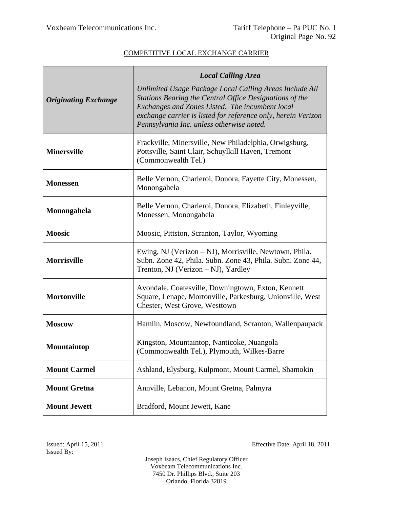|                             | <b>Local Calling Area</b>                                                                                                                                                                                                                                                           |
|-----------------------------|-------------------------------------------------------------------------------------------------------------------------------------------------------------------------------------------------------------------------------------------------------------------------------------|
| <b>Originating Exchange</b> | Unlimited Usage Package Local Calling Areas Include All<br>Stations Bearing the Central Office Designations of the<br>Exchanges and Zones Listed. The incumbent local<br>exchange carrier is listed for reference only, herein Verizon<br>Pennsylvania Inc. unless otherwise noted. |
| <b>Minersville</b>          | Frackville, Minersville, New Philadelphia, Orwigsburg,<br>Pottsville, Saint Clair, Schuylkill Haven, Tremont<br>(Commonwealth Tel.)                                                                                                                                                 |
| <b>Monessen</b>             | Belle Vernon, Charleroi, Donora, Fayette City, Monessen,<br>Monongahela                                                                                                                                                                                                             |
| Monongahela                 | Belle Vernon, Charleroi, Donora, Elizabeth, Finleyville,<br>Monessen, Monongahela                                                                                                                                                                                                   |
| <b>Moosic</b>               | Moosic, Pittston, Scranton, Taylor, Wyoming                                                                                                                                                                                                                                         |
| <b>Morrisville</b>          | Ewing, NJ (Verizon – NJ), Morrisville, Newtown, Phila.<br>Subn. Zone 42, Phila. Subn. Zone 43, Phila. Subn. Zone 44,<br>Trenton, NJ (Verizon – NJ), Yardley                                                                                                                         |
| <b>Mortonville</b>          | Avondale, Coatesville, Downingtown, Exton, Kennett<br>Square, Lenape, Mortonville, Parkesburg, Unionville, West<br>Chester, West Grove, Westtown                                                                                                                                    |
| <b>Moscow</b>               | Hamlin, Moscow, Newfoundland, Scranton, Wallenpaupack                                                                                                                                                                                                                               |
| Mountaintop                 | Kingston, Mountaintop, Nanticoke, Nuangola<br>(Commonwealth Tel.), Plymouth, Wilkes-Barre                                                                                                                                                                                           |
| <b>Mount Carmel</b>         | Ashland, Elysburg, Kulpmont, Mount Carmel, Shamokin                                                                                                                                                                                                                                 |
| <b>Mount Gretna</b>         | Annville, Lebanon, Mount Gretna, Palmyra                                                                                                                                                                                                                                            |
| <b>Mount Jewett</b>         | Bradford, Mount Jewett, Kane                                                                                                                                                                                                                                                        |

Issued: April 15, 2011 Effective Date: April 18, 2011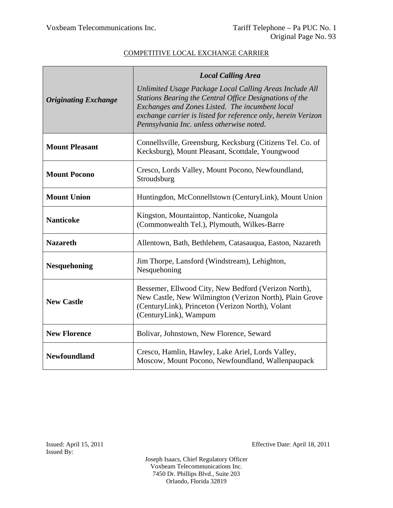|                             | <b>Local Calling Area</b>                                                                                                                                                                                                                                                           |
|-----------------------------|-------------------------------------------------------------------------------------------------------------------------------------------------------------------------------------------------------------------------------------------------------------------------------------|
| <b>Originating Exchange</b> | Unlimited Usage Package Local Calling Areas Include All<br>Stations Bearing the Central Office Designations of the<br>Exchanges and Zones Listed. The incumbent local<br>exchange carrier is listed for reference only, herein Verizon<br>Pennsylvania Inc. unless otherwise noted. |
| <b>Mount Pleasant</b>       | Connellsville, Greensburg, Kecksburg (Citizens Tel. Co. of<br>Kecksburg), Mount Pleasant, Scottdale, Youngwood                                                                                                                                                                      |
| <b>Mount Pocono</b>         | Cresco, Lords Valley, Mount Pocono, Newfoundland,<br>Stroudsburg                                                                                                                                                                                                                    |
| <b>Mount Union</b>          | Huntingdon, McConnellstown (CenturyLink), Mount Union                                                                                                                                                                                                                               |
| <b>Nanticoke</b>            | Kingston, Mountaintop, Nanticoke, Nuangola<br>(Commonwealth Tel.), Plymouth, Wilkes-Barre                                                                                                                                                                                           |
| <b>Nazareth</b>             | Allentown, Bath, Bethlehem, Catasauqua, Easton, Nazareth                                                                                                                                                                                                                            |
| <b>Nesquehoning</b>         | Jim Thorpe, Lansford (Windstream), Lehighton,<br>Nesquehoning                                                                                                                                                                                                                       |
| <b>New Castle</b>           | Bessemer, Ellwood City, New Bedford (Verizon North),<br>New Castle, New Wilmington (Verizon North), Plain Grove<br>(CenturyLink), Princeton (Verizon North), Volant<br>(CenturyLink), Wampum                                                                                        |
| <b>New Florence</b>         | Bolivar, Johnstown, New Florence, Seward                                                                                                                                                                                                                                            |
| <b>Newfoundland</b>         | Cresco, Hamlin, Hawley, Lake Ariel, Lords Valley,<br>Moscow, Mount Pocono, Newfoundland, Wallenpaupack                                                                                                                                                                              |

Issued: April 15, 2011 Effective Date: April 18, 2011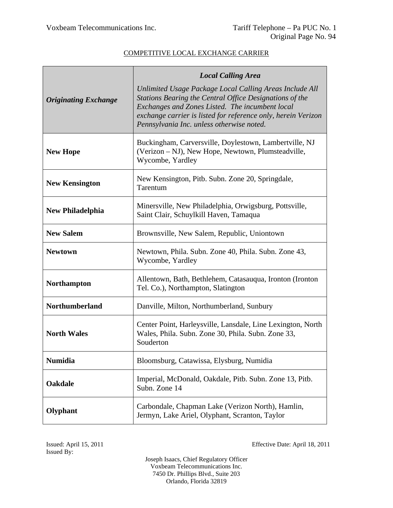|                             | <b>Local Calling Area</b>                                                                                                                                                                                                                                                           |
|-----------------------------|-------------------------------------------------------------------------------------------------------------------------------------------------------------------------------------------------------------------------------------------------------------------------------------|
| <b>Originating Exchange</b> | Unlimited Usage Package Local Calling Areas Include All<br>Stations Bearing the Central Office Designations of the<br>Exchanges and Zones Listed. The incumbent local<br>exchange carrier is listed for reference only, herein Verizon<br>Pennsylvania Inc. unless otherwise noted. |
| <b>New Hope</b>             | Buckingham, Carversville, Doylestown, Lambertville, NJ<br>(Verizon – NJ), New Hope, Newtown, Plumsteadville,<br>Wycombe, Yardley                                                                                                                                                    |
| <b>New Kensington</b>       | New Kensington, Pitb. Subn. Zone 20, Springdale,<br>Tarentum                                                                                                                                                                                                                        |
| <b>New Philadelphia</b>     | Minersville, New Philadelphia, Orwigsburg, Pottsville,<br>Saint Clair, Schuylkill Haven, Tamaqua                                                                                                                                                                                    |
| <b>New Salem</b>            | Brownsville, New Salem, Republic, Uniontown                                                                                                                                                                                                                                         |
| <b>Newtown</b>              | Newtown, Phila. Subn. Zone 40, Phila. Subn. Zone 43,<br>Wycombe, Yardley                                                                                                                                                                                                            |
| <b>Northampton</b>          | Allentown, Bath, Bethlehem, Catasauqua, Ironton (Ironton<br>Tel. Co.), Northampton, Slatington                                                                                                                                                                                      |
| <b>Northumberland</b>       | Danville, Milton, Northumberland, Sunbury                                                                                                                                                                                                                                           |
| <b>North Wales</b>          | Center Point, Harleysville, Lansdale, Line Lexington, North<br>Wales, Phila. Subn. Zone 30, Phila. Subn. Zone 33,<br>Souderton                                                                                                                                                      |
| <b>Numidia</b>              | Bloomsburg, Catawissa, Elysburg, Numidia                                                                                                                                                                                                                                            |
| Oakdale                     | Imperial, McDonald, Oakdale, Pitb. Subn. Zone 13, Pitb.<br>Subn. Zone 14                                                                                                                                                                                                            |
| Olyphant                    | Carbondale, Chapman Lake (Verizon North), Hamlin,<br>Jermyn, Lake Ariel, Olyphant, Scranton, Taylor                                                                                                                                                                                 |

Issued By:

Issued: April 15, 2011 Effective Date: April 18, 2011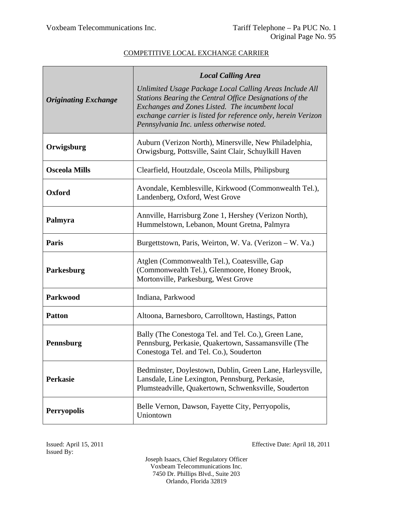|                             | <b>Local Calling Area</b>                                                                                                                                                                                                                                                           |
|-----------------------------|-------------------------------------------------------------------------------------------------------------------------------------------------------------------------------------------------------------------------------------------------------------------------------------|
| <b>Originating Exchange</b> | Unlimited Usage Package Local Calling Areas Include All<br>Stations Bearing the Central Office Designations of the<br>Exchanges and Zones Listed. The incumbent local<br>exchange carrier is listed for reference only, herein Verizon<br>Pennsylvania Inc. unless otherwise noted. |
| Orwigsburg                  | Auburn (Verizon North), Minersville, New Philadelphia,<br>Orwigsburg, Pottsville, Saint Clair, Schuylkill Haven                                                                                                                                                                     |
| <b>Osceola Mills</b>        | Clearfield, Houtzdale, Osceola Mills, Philipsburg                                                                                                                                                                                                                                   |
| Oxford                      | Avondale, Kemblesville, Kirkwood (Commonwealth Tel.),<br>Landenberg, Oxford, West Grove                                                                                                                                                                                             |
| Palmyra                     | Annville, Harrisburg Zone 1, Hershey (Verizon North),<br>Hummelstown, Lebanon, Mount Gretna, Palmyra                                                                                                                                                                                |
| Paris                       | Burgettstown, Paris, Weirton, W. Va. (Verizon – W. Va.)                                                                                                                                                                                                                             |
| Parkesburg                  | Atglen (Commonwealth Tel.), Coatesville, Gap<br>(Commonwealth Tel.), Glenmoore, Honey Brook,<br>Mortonville, Parkesburg, West Grove                                                                                                                                                 |
| <b>Parkwood</b>             | Indiana, Parkwood                                                                                                                                                                                                                                                                   |
| <b>Patton</b>               | Altoona, Barnesboro, Carrolltown, Hastings, Patton                                                                                                                                                                                                                                  |
| Pennsburg                   | Bally (The Conestoga Tel. and Tel. Co.), Green Lane,<br>Pennsburg, Perkasie, Quakertown, Sassamansville (The<br>Conestoga Tel. and Tel. Co.), Souderton                                                                                                                             |
| <b>Perkasie</b>             | Bedminster, Doylestown, Dublin, Green Lane, Harleysville,<br>Lansdale, Line Lexington, Pennsburg, Perkasie,<br>Plumsteadville, Quakertown, Schwenksville, Souderton                                                                                                                 |
| <b>Perryopolis</b>          | Belle Vernon, Dawson, Fayette City, Perryopolis,<br>Uniontown                                                                                                                                                                                                                       |

Issued: April 15, 2011 Effective Date: April 18, 2011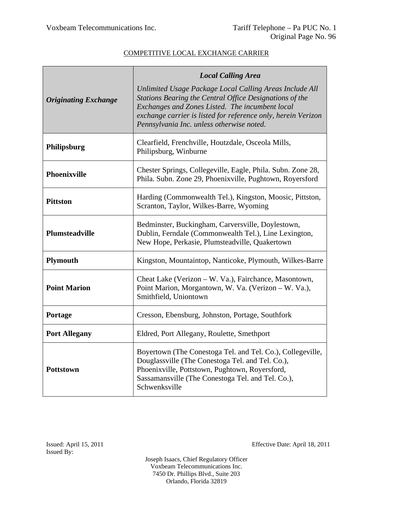|                             | <b>Local Calling Area</b>                                                                                                                                                                                                                                                           |
|-----------------------------|-------------------------------------------------------------------------------------------------------------------------------------------------------------------------------------------------------------------------------------------------------------------------------------|
| <b>Originating Exchange</b> | Unlimited Usage Package Local Calling Areas Include All<br>Stations Bearing the Central Office Designations of the<br>Exchanges and Zones Listed. The incumbent local<br>exchange carrier is listed for reference only, herein Verizon<br>Pennsylvania Inc. unless otherwise noted. |
| Philipsburg                 | Clearfield, Frenchville, Houtzdale, Osceola Mills,<br>Philipsburg, Winburne                                                                                                                                                                                                         |
| <b>Phoenixville</b>         | Chester Springs, Collegeville, Eagle, Phila. Subn. Zone 28,<br>Phila. Subn. Zone 29, Phoenixville, Pughtown, Royersford                                                                                                                                                             |
| <b>Pittston</b>             | Harding (Commonwealth Tel.), Kingston, Moosic, Pittston,<br>Scranton, Taylor, Wilkes-Barre, Wyoming                                                                                                                                                                                 |
| <b>Plumsteadville</b>       | Bedminster, Buckingham, Carversville, Doylestown,<br>Dublin, Ferndale (Commonwealth Tel.), Line Lexington,<br>New Hope, Perkasie, Plumsteadville, Quakertown                                                                                                                        |
| <b>Plymouth</b>             | Kingston, Mountaintop, Nanticoke, Plymouth, Wilkes-Barre                                                                                                                                                                                                                            |
| <b>Point Marion</b>         | Cheat Lake (Verizon - W. Va.), Fairchance, Masontown,<br>Point Marion, Morgantown, W. Va. (Verizon - W. Va.),<br>Smithfield, Uniontown                                                                                                                                              |
| Portage                     | Cresson, Ebensburg, Johnston, Portage, Southfork                                                                                                                                                                                                                                    |
| <b>Port Allegany</b>        | Eldred, Port Allegany, Roulette, Smethport                                                                                                                                                                                                                                          |
| <b>Pottstown</b>            | Boyertown (The Conestoga Tel. and Tel. Co.), Collegeville,<br>Douglassville (The Conestoga Tel. and Tel. Co.),<br>Phoenixville, Pottstown, Pughtown, Royersford,<br>Sassamansville (The Conestoga Tel. and Tel. Co.),<br>Schwenksville                                              |

Issued: April 15, 2011 Effective Date: April 18, 2011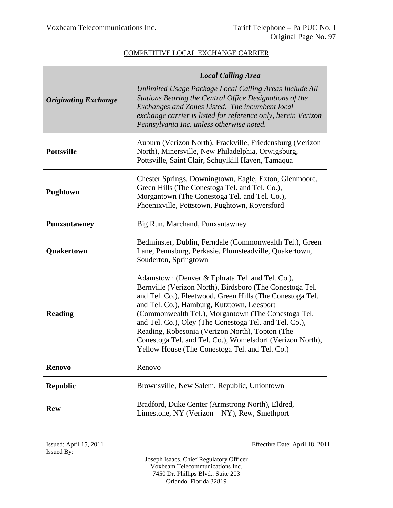|                             | <b>Local Calling Area</b>                                                                                                                                                                                                                                                                                                                                                                                                                                                                                 |
|-----------------------------|-----------------------------------------------------------------------------------------------------------------------------------------------------------------------------------------------------------------------------------------------------------------------------------------------------------------------------------------------------------------------------------------------------------------------------------------------------------------------------------------------------------|
| <b>Originating Exchange</b> | Unlimited Usage Package Local Calling Areas Include All<br>Stations Bearing the Central Office Designations of the<br>Exchanges and Zones Listed. The incumbent local<br>exchange carrier is listed for reference only, herein Verizon<br>Pennsylvania Inc. unless otherwise noted.                                                                                                                                                                                                                       |
| <b>Pottsville</b>           | Auburn (Verizon North), Frackville, Friedensburg (Verizon<br>North), Minersville, New Philadelphia, Orwigsburg,<br>Pottsville, Saint Clair, Schuylkill Haven, Tamaqua                                                                                                                                                                                                                                                                                                                                     |
| <b>Pughtown</b>             | Chester Springs, Downingtown, Eagle, Exton, Glenmoore,<br>Green Hills (The Conestoga Tel. and Tel. Co.),<br>Morgantown (The Conestoga Tel. and Tel. Co.),<br>Phoenixville, Pottstown, Pughtown, Royersford                                                                                                                                                                                                                                                                                                |
| <b>Punxsutawney</b>         | Big Run, Marchand, Punxsutawney                                                                                                                                                                                                                                                                                                                                                                                                                                                                           |
| Quakertown                  | Bedminster, Dublin, Ferndale (Commonwealth Tel.), Green<br>Lane, Pennsburg, Perkasie, Plumsteadville, Quakertown,<br>Souderton, Springtown                                                                                                                                                                                                                                                                                                                                                                |
| <b>Reading</b>              | Adamstown (Denver & Ephrata Tel. and Tel. Co.),<br>Bernville (Verizon North), Birdsboro (The Conestoga Tel.<br>and Tel. Co.), Fleetwood, Green Hills (The Conestoga Tel.<br>and Tel. Co.), Hamburg, Kutztown, Leesport<br>(Commonwealth Tel.), Morgantown (The Conestoga Tel.<br>and Tel. Co.), Oley (The Conestoga Tel. and Tel. Co.),<br>Reading, Robesonia (Verizon North), Topton (The<br>Conestoga Tel. and Tel. Co.), Womelsdorf (Verizon North),<br>Yellow House (The Conestoga Tel. and Tel. Co.) |
| <b>Renovo</b>               | Renovo                                                                                                                                                                                                                                                                                                                                                                                                                                                                                                    |
| <b>Republic</b>             | Brownsville, New Salem, Republic, Uniontown                                                                                                                                                                                                                                                                                                                                                                                                                                                               |
| <b>Rew</b>                  | Bradford, Duke Center (Armstrong North), Eldred,<br>Limestone, NY (Verizon – NY), Rew, Smethport                                                                                                                                                                                                                                                                                                                                                                                                          |

Issued By:

Issued: April 15, 2011 Effective Date: April 18, 2011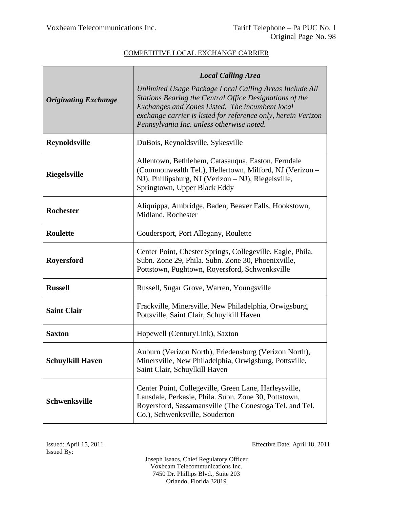|                             | <b>Local Calling Area</b>                                                                                                                                                                                                                                                           |
|-----------------------------|-------------------------------------------------------------------------------------------------------------------------------------------------------------------------------------------------------------------------------------------------------------------------------------|
| <b>Originating Exchange</b> | Unlimited Usage Package Local Calling Areas Include All<br>Stations Bearing the Central Office Designations of the<br>Exchanges and Zones Listed. The incumbent local<br>exchange carrier is listed for reference only, herein Verizon<br>Pennsylvania Inc. unless otherwise noted. |
| <b>Reynoldsville</b>        | DuBois, Reynoldsville, Sykesville                                                                                                                                                                                                                                                   |
| <b>Riegelsville</b>         | Allentown, Bethlehem, Catasauqua, Easton, Ferndale<br>(Commonwealth Tel.), Hellertown, Milford, NJ (Verizon -<br>NJ), Phillipsburg, NJ (Verizon – NJ), Riegelsville,<br>Springtown, Upper Black Eddy                                                                                |
| <b>Rochester</b>            | Aliquippa, Ambridge, Baden, Beaver Falls, Hookstown,<br>Midland, Rochester                                                                                                                                                                                                          |
| <b>Roulette</b>             | Coudersport, Port Allegany, Roulette                                                                                                                                                                                                                                                |
| Royersford                  | Center Point, Chester Springs, Collegeville, Eagle, Phila.<br>Subn. Zone 29, Phila. Subn. Zone 30, Phoenixville,<br>Pottstown, Pughtown, Royersford, Schwenksville                                                                                                                  |
| <b>Russell</b>              | Russell, Sugar Grove, Warren, Youngsville                                                                                                                                                                                                                                           |
| <b>Saint Clair</b>          | Frackville, Minersville, New Philadelphia, Orwigsburg,<br>Pottsville, Saint Clair, Schuylkill Haven                                                                                                                                                                                 |
| <b>Saxton</b>               | Hopewell (CenturyLink), Saxton                                                                                                                                                                                                                                                      |
| <b>Schuylkill Haven</b>     | Auburn (Verizon North), Friedensburg (Verizon North),<br>Minersville, New Philadelphia, Orwigsburg, Pottsville,<br>Saint Clair, Schuylkill Haven                                                                                                                                    |
| Schwenksville               | Center Point, Collegeville, Green Lane, Harleysville,<br>Lansdale, Perkasie, Phila. Subn. Zone 30, Pottstown,<br>Royersford, Sassamansville (The Conestoga Tel. and Tel.<br>Co.), Schwenksville, Souderton                                                                          |

Issued: April 15, 2011 Effective Date: April 18, 2011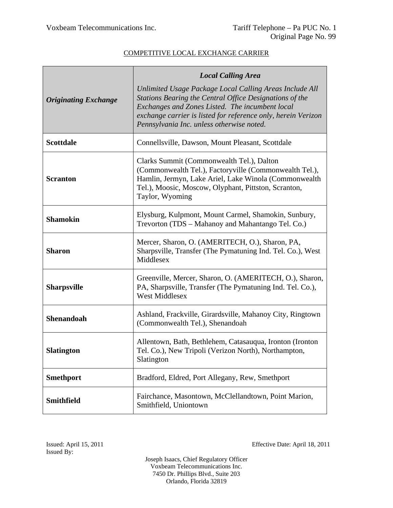|                             | <b>Local Calling Area</b>                                                                                                                                                                                                                                                           |
|-----------------------------|-------------------------------------------------------------------------------------------------------------------------------------------------------------------------------------------------------------------------------------------------------------------------------------|
| <b>Originating Exchange</b> | Unlimited Usage Package Local Calling Areas Include All<br>Stations Bearing the Central Office Designations of the<br>Exchanges and Zones Listed. The incumbent local<br>exchange carrier is listed for reference only, herein Verizon<br>Pennsylvania Inc. unless otherwise noted. |
| <b>Scottdale</b>            | Connellsville, Dawson, Mount Pleasant, Scottdale                                                                                                                                                                                                                                    |
| <b>Scranton</b>             | Clarks Summit (Commonwealth Tel.), Dalton<br>(Commonwealth Tel.), Factoryville (Commonwealth Tel.),<br>Hamlin, Jermyn, Lake Ariel, Lake Winola (Commonwealth<br>Tel.), Moosic, Moscow, Olyphant, Pittston, Scranton,<br>Taylor, Wyoming                                             |
| <b>Shamokin</b>             | Elysburg, Kulpmont, Mount Carmel, Shamokin, Sunbury,<br>Trevorton (TDS – Mahanoy and Mahantango Tel. Co.)                                                                                                                                                                           |
| <b>Sharon</b>               | Mercer, Sharon, O. (AMERITECH, O.), Sharon, PA,<br>Sharpsville, Transfer (The Pymatuning Ind. Tel. Co.), West<br>Middlesex                                                                                                                                                          |
| <b>Sharpsville</b>          | Greenville, Mercer, Sharon, O. (AMERITECH, O.), Sharon,<br>PA, Sharpsville, Transfer (The Pymatuning Ind. Tel. Co.),<br><b>West Middlesex</b>                                                                                                                                       |
| <b>Shenandoah</b>           | Ashland, Frackville, Girardsville, Mahanoy City, Ringtown<br>(Commonwealth Tel.), Shenandoah                                                                                                                                                                                        |
| <b>Slatington</b>           | Allentown, Bath, Bethlehem, Catasauqua, Ironton (Ironton)<br>Tel. Co.), New Tripoli (Verizon North), Northampton,<br>Slatington                                                                                                                                                     |
| <b>Smethport</b>            | Bradford, Eldred, Port Allegany, Rew, Smethport                                                                                                                                                                                                                                     |
| <b>Smithfield</b>           | Fairchance, Masontown, McClellandtown, Point Marion,<br>Smithfield, Uniontown                                                                                                                                                                                                       |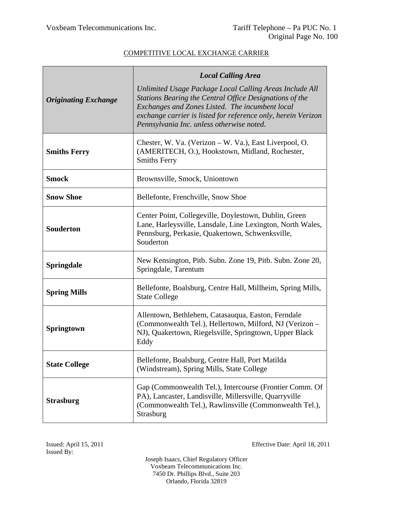|                             | <b>Local Calling Area</b>                                                                                                                                                                                                                                                           |
|-----------------------------|-------------------------------------------------------------------------------------------------------------------------------------------------------------------------------------------------------------------------------------------------------------------------------------|
| <b>Originating Exchange</b> | Unlimited Usage Package Local Calling Areas Include All<br>Stations Bearing the Central Office Designations of the<br>Exchanges and Zones Listed. The incumbent local<br>exchange carrier is listed for reference only, herein Verizon<br>Pennsylvania Inc. unless otherwise noted. |
| <b>Smiths Ferry</b>         | Chester, W. Va. (Verizon – W. Va.), East Liverpool, O.<br>(AMERITECH, O.), Hookstown, Midland, Rochester,<br><b>Smiths Ferry</b>                                                                                                                                                    |
| <b>Smock</b>                | Brownsville, Smock, Uniontown                                                                                                                                                                                                                                                       |
| <b>Snow Shoe</b>            | Bellefonte, Frenchville, Snow Shoe                                                                                                                                                                                                                                                  |
| <b>Souderton</b>            | Center Point, Collegeville, Doylestown, Dublin, Green<br>Lane, Harleysville, Lansdale, Line Lexington, North Wales,<br>Pennsburg, Perkasie, Quakertown, Schwenksville,<br>Souderton                                                                                                 |
| <b>Springdale</b>           | New Kensington, Pitb. Subn. Zone 19, Pitb. Subn. Zone 20,<br>Springdale, Tarentum                                                                                                                                                                                                   |
| <b>Spring Mills</b>         | Bellefonte, Boalsburg, Centre Hall, Millheim, Spring Mills,<br><b>State College</b>                                                                                                                                                                                                 |
| <b>Springtown</b>           | Allentown, Bethlehem, Catasauqua, Easton, Ferndale<br>(Commonwealth Tel.), Hellertown, Milford, NJ (Verizon –<br>NJ), Quakertown, Riegelsville, Springtown, Upper Black<br>Eddy                                                                                                     |
| <b>State College</b>        | Bellefonte, Boalsburg, Centre Hall, Port Matilda<br>(Windstream), Spring Mills, State College                                                                                                                                                                                       |
| <b>Strasburg</b>            | Gap (Commonwealth Tel.), Intercourse (Frontier Comm. Of<br>PA), Lancaster, Landisville, Millersville, Quarryville<br>(Commonwealth Tel.), Rawlinsville (Commonwealth Tel.),<br>Strasburg                                                                                            |

Issued: April 15, 2011 Effective Date: April 18, 2011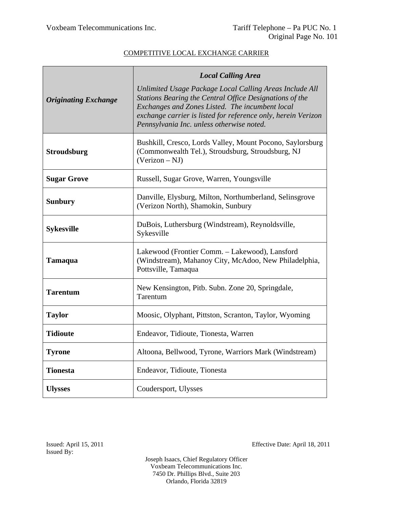|                             | <b>Local Calling Area</b>                                                                                                                                                                                                                                                           |
|-----------------------------|-------------------------------------------------------------------------------------------------------------------------------------------------------------------------------------------------------------------------------------------------------------------------------------|
| <b>Originating Exchange</b> | Unlimited Usage Package Local Calling Areas Include All<br>Stations Bearing the Central Office Designations of the<br>Exchanges and Zones Listed. The incumbent local<br>exchange carrier is listed for reference only, herein Verizon<br>Pennsylvania Inc. unless otherwise noted. |
| <b>Stroudsburg</b>          | Bushkill, Cresco, Lords Valley, Mount Pocono, Saylorsburg<br>(Commonwealth Tel.), Stroudsburg, Stroudsburg, NJ<br>$(Verizon - NJ)$                                                                                                                                                  |
| <b>Sugar Grove</b>          | Russell, Sugar Grove, Warren, Youngsville                                                                                                                                                                                                                                           |
| <b>Sunbury</b>              | Danville, Elysburg, Milton, Northumberland, Selinsgrove<br>(Verizon North), Shamokin, Sunbury                                                                                                                                                                                       |
| <b>Sykesville</b>           | DuBois, Luthersburg (Windstream), Reynoldsville,<br>Sykesville                                                                                                                                                                                                                      |
| <b>Tamaqua</b>              | Lakewood (Frontier Comm. - Lakewood), Lansford<br>(Windstream), Mahanoy City, McAdoo, New Philadelphia,<br>Pottsville, Tamaqua                                                                                                                                                      |
| <b>Tarentum</b>             | New Kensington, Pitb. Subn. Zone 20, Springdale,<br>Tarentum                                                                                                                                                                                                                        |
| <b>Taylor</b>               | Moosic, Olyphant, Pittston, Scranton, Taylor, Wyoming                                                                                                                                                                                                                               |
| <b>Tidioute</b>             | Endeavor, Tidioute, Tionesta, Warren                                                                                                                                                                                                                                                |
| <b>Tyrone</b>               | Altoona, Bellwood, Tyrone, Warriors Mark (Windstream)                                                                                                                                                                                                                               |
| <b>Tionesta</b>             | Endeavor, Tidioute, Tionesta                                                                                                                                                                                                                                                        |
| <b>Ulysses</b>              | Coudersport, Ulysses                                                                                                                                                                                                                                                                |

Issued: April 15, 2011 Effective Date: April 18, 2011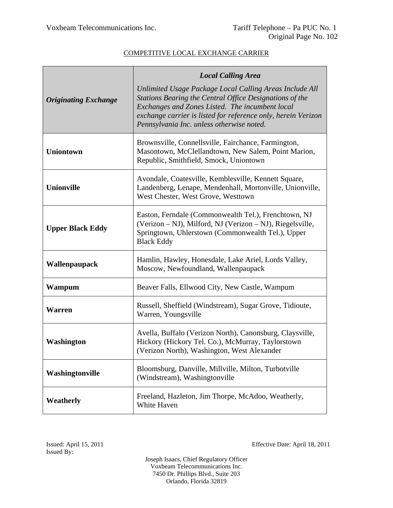|                             | <b>Local Calling Area</b>                                                                                                                                                                                                                                                           |
|-----------------------------|-------------------------------------------------------------------------------------------------------------------------------------------------------------------------------------------------------------------------------------------------------------------------------------|
| <b>Originating Exchange</b> | Unlimited Usage Package Local Calling Areas Include All<br>Stations Bearing the Central Office Designations of the<br>Exchanges and Zones Listed. The incumbent local<br>exchange carrier is listed for reference only, herein Verizon<br>Pennsylvania Inc. unless otherwise noted. |
| <b>Uniontown</b>            | Brownsville, Connellsville, Fairchance, Farmington,<br>Masontown, McClellandtown, New Salem, Point Marion,<br>Republic, Smithfield, Smock, Uniontown                                                                                                                                |
| <b>Unionville</b>           | Avondale, Coatesville, Kemblesville, Kennett Square,<br>Landenberg, Lenape, Mendenhall, Mortonville, Unionville,<br>West Chester, West Grove, Westtown                                                                                                                              |
| <b>Upper Black Eddy</b>     | Easton, Ferndale (Commonwealth Tel.), Frenchtown, NJ<br>(Verizon – NJ), Milford, NJ (Verizon – NJ), Riegelsville,<br>Springtown, Uhlerstown (Commonwealth Tel.), Upper<br><b>Black Eddy</b>                                                                                         |
| Wallenpaupack               | Hamlin, Hawley, Honesdale, Lake Ariel, Lords Valley,<br>Moscow, Newfoundland, Wallenpaupack                                                                                                                                                                                         |
| Wampum                      | Beaver Falls, Ellwood City, New Castle, Wampum                                                                                                                                                                                                                                      |
| <b>Warren</b>               | Russell, Sheffield (Windstream), Sugar Grove, Tidioute,<br>Warren, Youngsville                                                                                                                                                                                                      |
| Washington                  | Avella, Buffalo (Verizon North), Canonsburg, Claysville,<br>Hickory (Hickory Tel. Co.), McMurray, Taylorstown<br>(Verizon North), Washington, West Alexander                                                                                                                        |
| Washingtonville             | Bloomsburg, Danville, Millville, Milton, Turbotville<br>(Windstream), Washingtonville                                                                                                                                                                                               |
| Weatherly                   | Freeland, Hazleton, Jim Thorpe, McAdoo, Weatherly,<br>White Haven                                                                                                                                                                                                                   |

Issued: April 15, 2011 Effective Date: April 18, 2011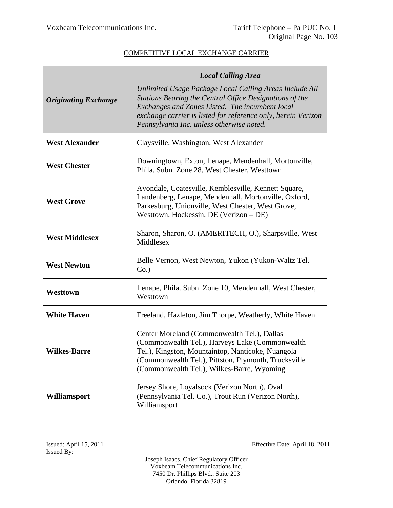|                             | <b>Local Calling Area</b>                                                                                                                                                                                                                                                           |
|-----------------------------|-------------------------------------------------------------------------------------------------------------------------------------------------------------------------------------------------------------------------------------------------------------------------------------|
| <b>Originating Exchange</b> | Unlimited Usage Package Local Calling Areas Include All<br>Stations Bearing the Central Office Designations of the<br>Exchanges and Zones Listed. The incumbent local<br>exchange carrier is listed for reference only, herein Verizon<br>Pennsylvania Inc. unless otherwise noted. |
| <b>West Alexander</b>       | Claysville, Washington, West Alexander                                                                                                                                                                                                                                              |
| <b>West Chester</b>         | Downingtown, Exton, Lenape, Mendenhall, Mortonville,<br>Phila. Subn. Zone 28, West Chester, Westtown                                                                                                                                                                                |
| <b>West Grove</b>           | Avondale, Coatesville, Kemblesville, Kennett Square,<br>Landenberg, Lenape, Mendenhall, Mortonville, Oxford,<br>Parkesburg, Unionville, West Chester, West Grove,<br>Westtown, Hockessin, DE (Verizon - DE)                                                                         |
| <b>West Middlesex</b>       | Sharon, Sharon, O. (AMERITECH, O.), Sharpsville, West<br>Middlesex                                                                                                                                                                                                                  |
| <b>West Newton</b>          | Belle Vernon, West Newton, Yukon (Yukon-Waltz Tel.)<br>Co.                                                                                                                                                                                                                          |
| Westtown                    | Lenape, Phila. Subn. Zone 10, Mendenhall, West Chester,<br>Westtown                                                                                                                                                                                                                 |
| <b>White Haven</b>          | Freeland, Hazleton, Jim Thorpe, Weatherly, White Haven                                                                                                                                                                                                                              |
| <b>Wilkes-Barre</b>         | Center Moreland (Commonwealth Tel.), Dallas<br>(Commonwealth Tel.), Harveys Lake (Commonwealth<br>Tel.), Kingston, Mountaintop, Nanticoke, Nuangola<br>(Commonwealth Tel.), Pittston, Plymouth, Trucksville<br>(Commonwealth Tel.), Wilkes-Barre, Wyoming                           |
| Williamsport                | Jersey Shore, Loyalsock (Verizon North), Oval<br>(Pennsylvania Tel. Co.), Trout Run (Verizon North),<br>Williamsport                                                                                                                                                                |

Issued: April 15, 2011 Effective Date: April 18, 2011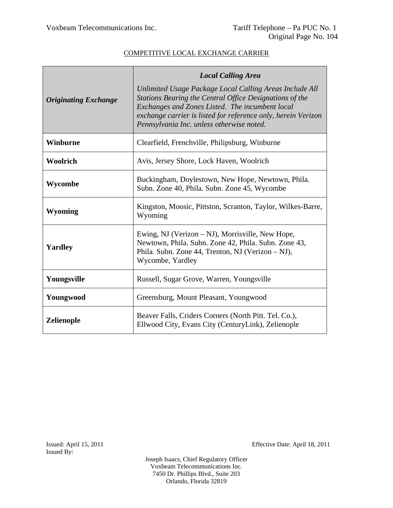|                             | <b>Local Calling Area</b>                                                                                                                                                                                                                                                           |
|-----------------------------|-------------------------------------------------------------------------------------------------------------------------------------------------------------------------------------------------------------------------------------------------------------------------------------|
| <b>Originating Exchange</b> | Unlimited Usage Package Local Calling Areas Include All<br>Stations Bearing the Central Office Designations of the<br>Exchanges and Zones Listed. The incumbent local<br>exchange carrier is listed for reference only, herein Verizon<br>Pennsylvania Inc. unless otherwise noted. |
| Winburne                    | Clearfield, Frenchville, Philipsburg, Winburne                                                                                                                                                                                                                                      |
| Woolrich                    | Avis, Jersey Shore, Lock Haven, Woolrich                                                                                                                                                                                                                                            |
| Wycombe                     | Buckingham, Doylestown, New Hope, Newtown, Phila.<br>Subn. Zone 40, Phila. Subn. Zone 45, Wycombe                                                                                                                                                                                   |
| <b>Wyoming</b>              | Kingston, Moosic, Pittston, Scranton, Taylor, Wilkes-Barre,<br>Wyoming                                                                                                                                                                                                              |
| <b>Yardley</b>              | Ewing, NJ (Verizon – NJ), Morrisville, New Hope,<br>Newtown, Phila. Subn. Zone 42, Phila. Subn. Zone 43,<br>Phila. Subn. Zone 44, Trenton, NJ (Verizon – NJ),<br>Wycombe, Yardley                                                                                                   |
| Youngsville                 | Russell, Sugar Grove, Warren, Youngsville                                                                                                                                                                                                                                           |
| Youngwood                   | Greensburg, Mount Pleasant, Youngwood                                                                                                                                                                                                                                               |
| <b>Zelienople</b>           | Beaver Falls, Criders Corners (North Pitt. Tel. Co.),<br>Ellwood City, Evans City (CenturyLink), Zelienople                                                                                                                                                                         |

Issued By:

Issued: April 15, 2011 Effective Date: April 18, 2011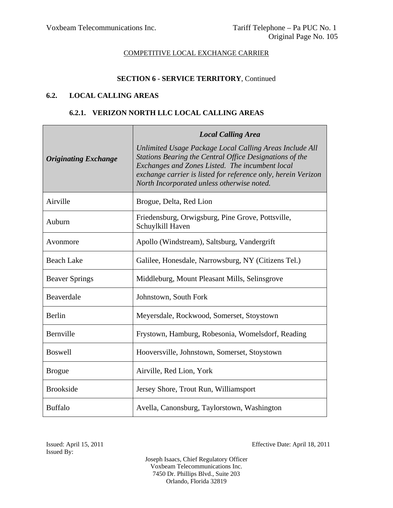### **SECTION 6 - SERVICE TERRITORY**, Continued

### **6.2. LOCAL CALLING AREAS**

### **6.2.1. VERIZON NORTH LLC LOCAL CALLING AREAS**

|                             | <b>Local Calling Area</b>                                                                                                                                                                                                                                                            |
|-----------------------------|--------------------------------------------------------------------------------------------------------------------------------------------------------------------------------------------------------------------------------------------------------------------------------------|
| <b>Originating Exchange</b> | Unlimited Usage Package Local Calling Areas Include All<br>Stations Bearing the Central Office Designations of the<br>Exchanges and Zones Listed. The incumbent local<br>exchange carrier is listed for reference only, herein Verizon<br>North Incorporated unless otherwise noted. |
| Airville                    | Brogue, Delta, Red Lion                                                                                                                                                                                                                                                              |
| Auburn                      | Friedensburg, Orwigsburg, Pine Grove, Pottsville,<br>Schuylkill Haven                                                                                                                                                                                                                |
| Avonmore                    | Apollo (Windstream), Saltsburg, Vandergrift                                                                                                                                                                                                                                          |
| <b>Beach Lake</b>           | Galilee, Honesdale, Narrowsburg, NY (Citizens Tel.)                                                                                                                                                                                                                                  |
| <b>Beaver Springs</b>       | Middleburg, Mount Pleasant Mills, Selinsgrove                                                                                                                                                                                                                                        |
| Beaverdale                  | Johnstown, South Fork                                                                                                                                                                                                                                                                |
| Berlin                      | Meyersdale, Rockwood, Somerset, Stoystown                                                                                                                                                                                                                                            |
| Bernville                   | Frystown, Hamburg, Robesonia, Womelsdorf, Reading                                                                                                                                                                                                                                    |
| <b>Boswell</b>              | Hooversville, Johnstown, Somerset, Stoystown                                                                                                                                                                                                                                         |
| <b>Brogue</b>               | Airville, Red Lion, York                                                                                                                                                                                                                                                             |
| <b>Brookside</b>            | Jersey Shore, Trout Run, Williamsport                                                                                                                                                                                                                                                |
| <b>Buffalo</b>              | Avella, Canonsburg, Taylorstown, Washington                                                                                                                                                                                                                                          |

Issued: April 15, 2011 Effective Date: April 18, 2011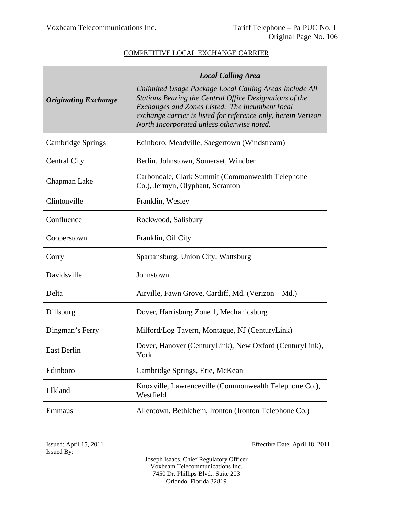|                             | <b>Local Calling Area</b>                                                                                                                                                                                                                                                            |
|-----------------------------|--------------------------------------------------------------------------------------------------------------------------------------------------------------------------------------------------------------------------------------------------------------------------------------|
| <b>Originating Exchange</b> | Unlimited Usage Package Local Calling Areas Include All<br>Stations Bearing the Central Office Designations of the<br>Exchanges and Zones Listed. The incumbent local<br>exchange carrier is listed for reference only, herein Verizon<br>North Incorporated unless otherwise noted. |
| Cambridge Springs           | Edinboro, Meadville, Saegertown (Windstream)                                                                                                                                                                                                                                         |
| <b>Central City</b>         | Berlin, Johnstown, Somerset, Windber                                                                                                                                                                                                                                                 |
| Chapman Lake                | Carbondale, Clark Summit (Commonwealth Telephone<br>Co.), Jermyn, Olyphant, Scranton                                                                                                                                                                                                 |
| Clintonville                | Franklin, Wesley                                                                                                                                                                                                                                                                     |
| Confluence                  | Rockwood, Salisbury                                                                                                                                                                                                                                                                  |
| Cooperstown                 | Franklin, Oil City                                                                                                                                                                                                                                                                   |
| Corry                       | Spartansburg, Union City, Wattsburg                                                                                                                                                                                                                                                  |
| Davidsville                 | Johnstown                                                                                                                                                                                                                                                                            |
| Delta                       | Airville, Fawn Grove, Cardiff, Md. (Verizon – Md.)                                                                                                                                                                                                                                   |
| Dillsburg                   | Dover, Harrisburg Zone 1, Mechanicsburg                                                                                                                                                                                                                                              |
| Dingman's Ferry             | Milford/Log Tavern, Montague, NJ (CenturyLink)                                                                                                                                                                                                                                       |
| East Berlin                 | Dover, Hanover (CenturyLink), New Oxford (CenturyLink),<br>York                                                                                                                                                                                                                      |
| Edinboro                    | Cambridge Springs, Erie, McKean                                                                                                                                                                                                                                                      |
| Elkland                     | Knoxville, Lawrenceville (Commonwealth Telephone Co.),<br>Westfield                                                                                                                                                                                                                  |
| Emmaus                      | Allentown, Bethlehem, Ironton (Ironton Telephone Co.)                                                                                                                                                                                                                                |

Issued: April 15, 2011 Effective Date: April 18, 2011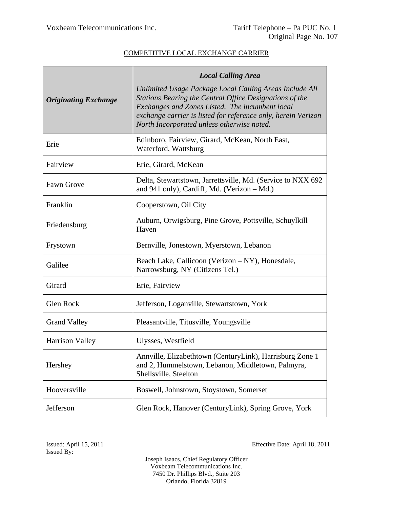|                             | <b>Local Calling Area</b>                                                                                                                                                                                                                                                            |
|-----------------------------|--------------------------------------------------------------------------------------------------------------------------------------------------------------------------------------------------------------------------------------------------------------------------------------|
| <b>Originating Exchange</b> | Unlimited Usage Package Local Calling Areas Include All<br>Stations Bearing the Central Office Designations of the<br>Exchanges and Zones Listed. The incumbent local<br>exchange carrier is listed for reference only, herein Verizon<br>North Incorporated unless otherwise noted. |
| Erie                        | Edinboro, Fairview, Girard, McKean, North East,<br>Waterford, Wattsburg                                                                                                                                                                                                              |
| Fairview                    | Erie, Girard, McKean                                                                                                                                                                                                                                                                 |
| Fawn Grove                  | Delta, Stewartstown, Jarrettsville, Md. (Service to NXX 692)<br>and 941 only), Cardiff, Md. (Verizon – Md.)                                                                                                                                                                          |
| Franklin                    | Cooperstown, Oil City                                                                                                                                                                                                                                                                |
| Friedensburg                | Auburn, Orwigsburg, Pine Grove, Pottsville, Schuylkill<br>Haven                                                                                                                                                                                                                      |
| Frystown                    | Bernville, Jonestown, Myerstown, Lebanon                                                                                                                                                                                                                                             |
| Galilee                     | Beach Lake, Callicoon (Verizon – NY), Honesdale,<br>Narrowsburg, NY (Citizens Tel.)                                                                                                                                                                                                  |
| Girard                      | Erie, Fairview                                                                                                                                                                                                                                                                       |
| Glen Rock                   | Jefferson, Loganville, Stewartstown, York                                                                                                                                                                                                                                            |
| <b>Grand Valley</b>         | Pleasantville, Titusville, Youngsville                                                                                                                                                                                                                                               |
| <b>Harrison Valley</b>      | Ulysses, Westfield                                                                                                                                                                                                                                                                   |
| Hershey                     | Annville, Elizabethtown (CenturyLink), Harrisburg Zone 1<br>and 2, Hummelstown, Lebanon, Middletown, Palmyra,<br>Shellsville, Steelton                                                                                                                                               |
| Hooversville                | Boswell, Johnstown, Stoystown, Somerset                                                                                                                                                                                                                                              |
| Jefferson                   | Glen Rock, Hanover (CenturyLink), Spring Grove, York                                                                                                                                                                                                                                 |

Issued: April 15, 2011 Effective Date: April 18, 2011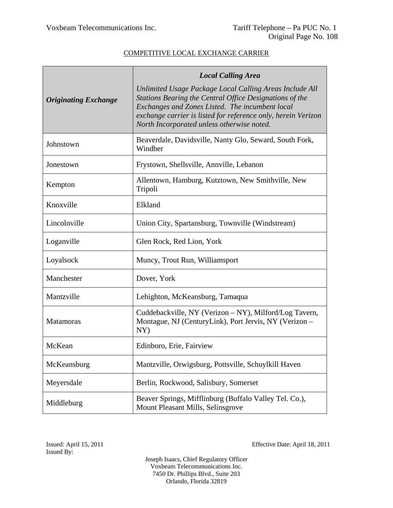|                             | <b>Local Calling Area</b>                                                                                                                                                                                                                                                            |
|-----------------------------|--------------------------------------------------------------------------------------------------------------------------------------------------------------------------------------------------------------------------------------------------------------------------------------|
| <b>Originating Exchange</b> | Unlimited Usage Package Local Calling Areas Include All<br>Stations Bearing the Central Office Designations of the<br>Exchanges and Zones Listed. The incumbent local<br>exchange carrier is listed for reference only, herein Verizon<br>North Incorporated unless otherwise noted. |
| Johnstown                   | Beaverdale, Davidsville, Nanty Glo, Seward, South Fork,<br>Windber                                                                                                                                                                                                                   |
| Jonestown                   | Frystown, Shellsville, Annville, Lebanon                                                                                                                                                                                                                                             |
| Kempton                     | Allentown, Hamburg, Kutztown, New Smithville, New<br>Tripoli                                                                                                                                                                                                                         |
| Knoxville                   | Elkland                                                                                                                                                                                                                                                                              |
| Lincolnville                | Union City, Spartansburg, Townville (Windstream)                                                                                                                                                                                                                                     |
| Loganville                  | Glen Rock, Red Lion, York                                                                                                                                                                                                                                                            |
| Loyalsock                   | Muncy, Trout Run, Williamsport                                                                                                                                                                                                                                                       |
| Manchester                  | Dover, York                                                                                                                                                                                                                                                                          |
| Mantzville                  | Lehighton, McKeansburg, Tamaqua                                                                                                                                                                                                                                                      |
| <b>Matamoras</b>            | Cuddebackville, NY (Verizon – NY), Milford/Log Tavern,<br>Montague, NJ (CenturyLink), Port Jervis, NY (Verizon –<br>NY)                                                                                                                                                              |
| McKean                      | Edinboro, Erie, Fairview                                                                                                                                                                                                                                                             |
| McKeansburg                 | Mantzville, Orwigsburg, Pottsville, Schuylkill Haven                                                                                                                                                                                                                                 |
| Meyersdale                  | Berlin, Rockwood, Salisbury, Somerset                                                                                                                                                                                                                                                |
| Middleburg                  | Beaver Springs, Mifflinburg (Buffalo Valley Tel. Co.),<br>Mount Pleasant Mills, Selinsgrove                                                                                                                                                                                          |

Issued: April 15, 2011 Effective Date: April 18, 2011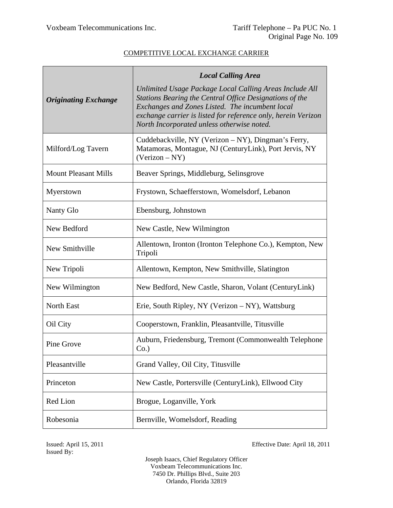|                             | <b>Local Calling Area</b>                                                                                                                                                                                                                                                            |
|-----------------------------|--------------------------------------------------------------------------------------------------------------------------------------------------------------------------------------------------------------------------------------------------------------------------------------|
| <b>Originating Exchange</b> | Unlimited Usage Package Local Calling Areas Include All<br>Stations Bearing the Central Office Designations of the<br>Exchanges and Zones Listed. The incumbent local<br>exchange carrier is listed for reference only, herein Verizon<br>North Incorporated unless otherwise noted. |
| Milford/Log Tavern          | Cuddebackville, NY (Verizon – NY), Dingman's Ferry,<br>Matamoras, Montague, NJ (CenturyLink), Port Jervis, NY<br>$(Verizon - NY)$                                                                                                                                                    |
| <b>Mount Pleasant Mills</b> | Beaver Springs, Middleburg, Selinsgrove                                                                                                                                                                                                                                              |
| Myerstown                   | Frystown, Schaefferstown, Womelsdorf, Lebanon                                                                                                                                                                                                                                        |
| Nanty Glo                   | Ebensburg, Johnstown                                                                                                                                                                                                                                                                 |
| New Bedford                 | New Castle, New Wilmington                                                                                                                                                                                                                                                           |
| New Smithville              | Allentown, Ironton (Ironton Telephone Co.), Kempton, New<br>Tripoli                                                                                                                                                                                                                  |
| New Tripoli                 | Allentown, Kempton, New Smithville, Slatington                                                                                                                                                                                                                                       |
| New Wilmington              | New Bedford, New Castle, Sharon, Volant (CenturyLink)                                                                                                                                                                                                                                |
| North East                  | Erie, South Ripley, NY (Verizon – NY), Wattsburg                                                                                                                                                                                                                                     |
| Oil City                    | Cooperstown, Franklin, Pleasantville, Titusville                                                                                                                                                                                                                                     |
| Pine Grove                  | Auburn, Friedensburg, Tremont (Commonwealth Telephone<br>$Co.$ )                                                                                                                                                                                                                     |
| Pleasantville               | Grand Valley, Oil City, Titusville                                                                                                                                                                                                                                                   |
| Princeton                   | New Castle, Portersville (CenturyLink), Ellwood City                                                                                                                                                                                                                                 |
| Red Lion                    | Brogue, Loganville, York                                                                                                                                                                                                                                                             |
| Robesonia                   | Bernville, Womelsdorf, Reading                                                                                                                                                                                                                                                       |

Issued By:

Issued: April 15, 2011 Effective Date: April 18, 2011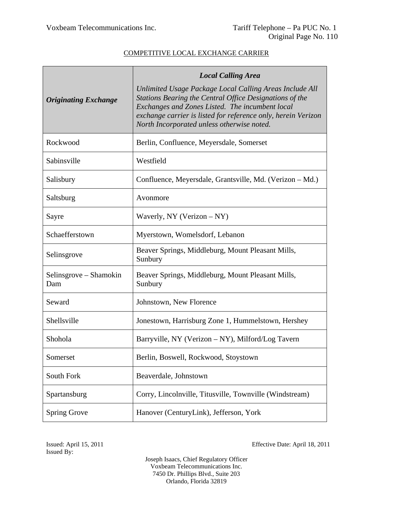|                               | <b>Local Calling Area</b>                                                                                                                                                                                                                                                            |
|-------------------------------|--------------------------------------------------------------------------------------------------------------------------------------------------------------------------------------------------------------------------------------------------------------------------------------|
| <b>Originating Exchange</b>   | Unlimited Usage Package Local Calling Areas Include All<br>Stations Bearing the Central Office Designations of the<br>Exchanges and Zones Listed. The incumbent local<br>exchange carrier is listed for reference only, herein Verizon<br>North Incorporated unless otherwise noted. |
| Rockwood                      | Berlin, Confluence, Meyersdale, Somerset                                                                                                                                                                                                                                             |
| Sabinsville                   | Westfield                                                                                                                                                                                                                                                                            |
| Salisbury                     | Confluence, Meyersdale, Grantsville, Md. (Verizon – Md.)                                                                                                                                                                                                                             |
| Saltsburg                     | Avonmore                                                                                                                                                                                                                                                                             |
| Sayre                         | Waverly, NY (Verizon $-NY$ )                                                                                                                                                                                                                                                         |
| Schaefferstown                | Myerstown, Womelsdorf, Lebanon                                                                                                                                                                                                                                                       |
| Selinsgrove                   | Beaver Springs, Middleburg, Mount Pleasant Mills,<br>Sunbury                                                                                                                                                                                                                         |
| Selinsgrove – Shamokin<br>Dam | Beaver Springs, Middleburg, Mount Pleasant Mills,<br>Sunbury                                                                                                                                                                                                                         |
| Seward                        | Johnstown, New Florence                                                                                                                                                                                                                                                              |
| Shellsville                   | Jonestown, Harrisburg Zone 1, Hummelstown, Hershey                                                                                                                                                                                                                                   |
| Shohola                       | Barryville, NY (Verizon – NY), Milford/Log Tavern                                                                                                                                                                                                                                    |
| Somerset                      | Berlin, Boswell, Rockwood, Stoystown                                                                                                                                                                                                                                                 |
| South Fork                    | Beaverdale, Johnstown                                                                                                                                                                                                                                                                |
| Spartansburg                  | Corry, Lincolnville, Titusville, Townville (Windstream)                                                                                                                                                                                                                              |
| <b>Spring Grove</b>           | Hanover (CenturyLink), Jefferson, York                                                                                                                                                                                                                                               |

Issued By:

Issued: April 15, 2011 Effective Date: April 18, 2011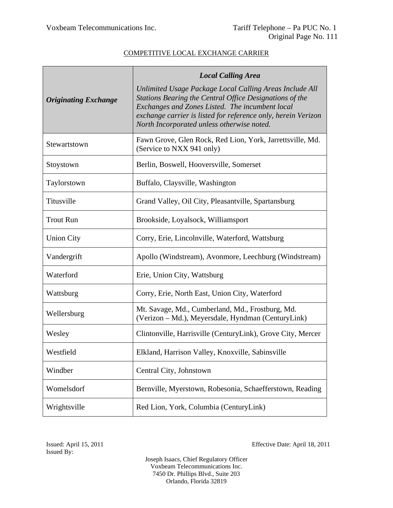|                             | <b>Local Calling Area</b>                                                                                                                                                                                                                                                            |
|-----------------------------|--------------------------------------------------------------------------------------------------------------------------------------------------------------------------------------------------------------------------------------------------------------------------------------|
| <b>Originating Exchange</b> | Unlimited Usage Package Local Calling Areas Include All<br>Stations Bearing the Central Office Designations of the<br>Exchanges and Zones Listed. The incumbent local<br>exchange carrier is listed for reference only, herein Verizon<br>North Incorporated unless otherwise noted. |
| Stewartstown                | Fawn Grove, Glen Rock, Red Lion, York, Jarrettsville, Md.<br>(Service to NXX 941 only)                                                                                                                                                                                               |
| Stoystown                   | Berlin, Boswell, Hooversville, Somerset                                                                                                                                                                                                                                              |
| Taylorstown                 | Buffalo, Claysville, Washington                                                                                                                                                                                                                                                      |
| Titusville                  | Grand Valley, Oil City, Pleasantville, Spartansburg                                                                                                                                                                                                                                  |
| <b>Trout Run</b>            | Brookside, Loyalsock, Williamsport                                                                                                                                                                                                                                                   |
| <b>Union City</b>           | Corry, Erie, Lincolnville, Waterford, Wattsburg                                                                                                                                                                                                                                      |
| Vandergrift                 | Apollo (Windstream), Avonmore, Leechburg (Windstream)                                                                                                                                                                                                                                |
| Waterford                   | Erie, Union City, Wattsburg                                                                                                                                                                                                                                                          |
| Wattsburg                   | Corry, Erie, North East, Union City, Waterford                                                                                                                                                                                                                                       |
| Wellersburg                 | Mt. Savage, Md., Cumberland, Md., Frostburg, Md.<br>(Verizon – Md.), Meyersdale, Hyndman (CenturyLink)                                                                                                                                                                               |
| Wesley                      | Clintonville, Harrisville (CenturyLink), Grove City, Mercer                                                                                                                                                                                                                          |
| Westfield                   | Elkland, Harrison Valley, Knoxville, Sabinsville                                                                                                                                                                                                                                     |
| Windber                     | Central City, Johnstown                                                                                                                                                                                                                                                              |
| Womelsdorf                  | Bernville, Myerstown, Robesonia, Schaefferstown, Reading                                                                                                                                                                                                                             |
| Wrightsville                | Red Lion, York, Columbia (CenturyLink)                                                                                                                                                                                                                                               |

Issued: April 15, 2011 Effective Date: April 18, 2011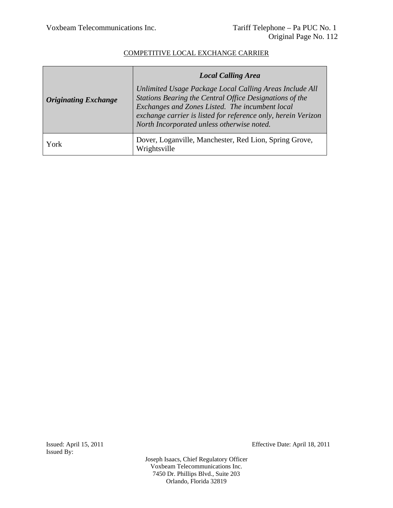|                             | <b>Local Calling Area</b>                                                                                                                                                                                                                                                            |
|-----------------------------|--------------------------------------------------------------------------------------------------------------------------------------------------------------------------------------------------------------------------------------------------------------------------------------|
| <b>Originating Exchange</b> | Unlimited Usage Package Local Calling Areas Include All<br>Stations Bearing the Central Office Designations of the<br>Exchanges and Zones Listed. The incumbent local<br>exchange carrier is listed for reference only, herein Verizon<br>North Incorporated unless otherwise noted. |
| York                        | Dover, Loganville, Manchester, Red Lion, Spring Grove,<br>Wrightsville                                                                                                                                                                                                               |

Issued By:

Issued: April 15, 2011 Effective Date: April 18, 2011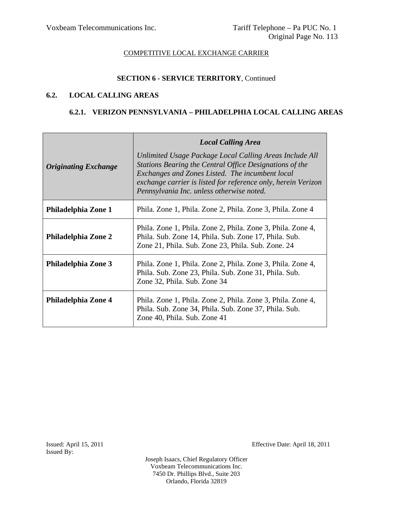# **SECTION 6 - SERVICE TERRITORY**, Continued

#### **6.2. LOCAL CALLING AREAS**

#### **6.2.1. VERIZON PENNSYLVANIA – PHILADELPHIA LOCAL CALLING AREAS**

| <b>Originating Exchange</b> | <b>Local Calling Area</b><br>Unlimited Usage Package Local Calling Areas Include All<br>Stations Bearing the Central Office Designations of the<br>Exchanges and Zones Listed. The incumbent local<br>exchange carrier is listed for reference only, herein Verizon<br>Pennsylvania Inc. unless otherwise noted. |  |
|-----------------------------|------------------------------------------------------------------------------------------------------------------------------------------------------------------------------------------------------------------------------------------------------------------------------------------------------------------|--|
| Philadelphia Zone 1         | Phila. Zone 1, Phila. Zone 2, Phila. Zone 3, Phila. Zone 4                                                                                                                                                                                                                                                       |  |
| <b>Philadelphia Zone 2</b>  | Phila. Zone 1, Phila. Zone 2, Phila. Zone 3, Phila. Zone 4,<br>Phila. Sub. Zone 14, Phila. Sub. Zone 17, Phila. Sub.<br>Zone 21, Phila. Sub. Zone 23, Phila. Sub. Zone. 24                                                                                                                                       |  |
| Philadelphia Zone 3         | Phila. Zone 1, Phila. Zone 2, Phila. Zone 3, Phila. Zone 4,<br>Phila. Sub. Zone 23, Phila. Sub. Zone 31, Phila. Sub.<br>Zone 32, Phila. Sub. Zone 34                                                                                                                                                             |  |
| Philadelphia Zone 4         | Phila. Zone 1, Phila. Zone 2, Phila. Zone 3, Phila. Zone 4,<br>Phila. Sub. Zone 34, Phila. Sub. Zone 37, Phila. Sub.<br>Zone 40, Phila. Sub. Zone 41                                                                                                                                                             |  |

Issued: April 15, 2011 Effective Date: April 18, 2011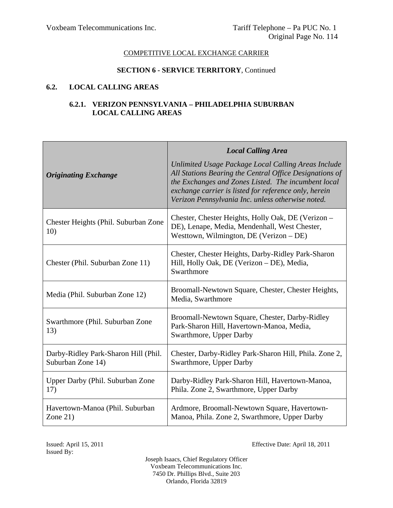#### **SECTION 6 - SERVICE TERRITORY**, Continued

## **6.2. LOCAL CALLING AREAS**

#### **6.2.1. VERIZON PENNSYLVANIA – PHILADELPHIA SUBURBAN LOCAL CALLING AREAS**

|                                                           | <b>Local Calling Area</b>                                                                                                                                                                                                                                                           |
|-----------------------------------------------------------|-------------------------------------------------------------------------------------------------------------------------------------------------------------------------------------------------------------------------------------------------------------------------------------|
| <b>Originating Exchange</b>                               | Unlimited Usage Package Local Calling Areas Include<br>All Stations Bearing the Central Office Designations of<br>the Exchanges and Zones Listed. The incumbent local<br>exchange carrier is listed for reference only, herein<br>Verizon Pennsylvania Inc. unless otherwise noted. |
| Chester Heights (Phil. Suburban Zone<br>10)               | Chester, Chester Heights, Holly Oak, DE (Verizon -<br>DE), Lenape, Media, Mendenhall, West Chester,<br>Westtown, Wilmington, DE (Verizon – DE)                                                                                                                                      |
| Chester (Phil. Suburban Zone 11)                          | Chester, Chester Heights, Darby-Ridley Park-Sharon<br>Hill, Holly Oak, DE (Verizon - DE), Media,<br>Swarthmore                                                                                                                                                                      |
| Media (Phil. Suburban Zone 12)                            | Broomall-Newtown Square, Chester, Chester Heights,<br>Media, Swarthmore                                                                                                                                                                                                             |
| Swarthmore (Phil. Suburban Zone)<br>13)                   | Broomall-Newtown Square, Chester, Darby-Ridley<br>Park-Sharon Hill, Havertown-Manoa, Media,<br>Swarthmore, Upper Darby                                                                                                                                                              |
| Darby-Ridley Park-Sharon Hill (Phil.<br>Suburban Zone 14) | Chester, Darby-Ridley Park-Sharon Hill, Phila. Zone 2,<br>Swarthmore, Upper Darby                                                                                                                                                                                                   |
| Upper Darby (Phil. Suburban Zone<br>17)                   | Darby-Ridley Park-Sharon Hill, Havertown-Manoa,<br>Phila. Zone 2, Swarthmore, Upper Darby                                                                                                                                                                                           |
| Havertown-Manoa (Phil. Suburban<br>Zone $21$ )            | Ardmore, Broomall-Newtown Square, Havertown-<br>Manoa, Phila. Zone 2, Swarthmore, Upper Darby                                                                                                                                                                                       |

Issued By:

Issued: April 15, 2011 Effective Date: April 18, 2011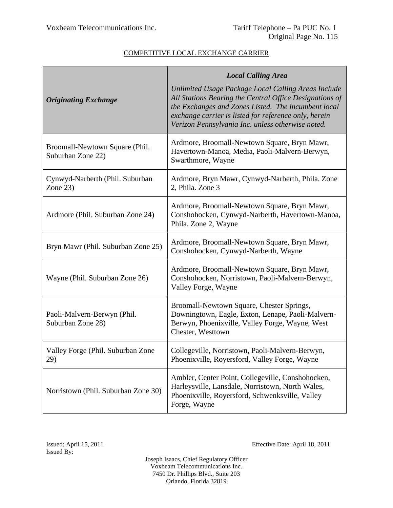|                                                     | <b>Local Calling Area</b>                                                                                                                                                                                                                                                           |
|-----------------------------------------------------|-------------------------------------------------------------------------------------------------------------------------------------------------------------------------------------------------------------------------------------------------------------------------------------|
| <b>Originating Exchange</b>                         | Unlimited Usage Package Local Calling Areas Include<br>All Stations Bearing the Central Office Designations of<br>the Exchanges and Zones Listed. The incumbent local<br>exchange carrier is listed for reference only, herein<br>Verizon Pennsylvania Inc. unless otherwise noted. |
| Broomall-Newtown Square (Phil.<br>Suburban Zone 22) | Ardmore, Broomall-Newtown Square, Bryn Mawr,<br>Havertown-Manoa, Media, Paoli-Malvern-Berwyn,<br>Swarthmore, Wayne                                                                                                                                                                  |
| Cynwyd-Narberth (Phil. Suburban<br>Zone $23)$       | Ardmore, Bryn Mawr, Cynwyd-Narberth, Phila. Zone<br>2, Phila. Zone 3                                                                                                                                                                                                                |
| Ardmore (Phil. Suburban Zone 24)                    | Ardmore, Broomall-Newtown Square, Bryn Mawr,<br>Conshohocken, Cynwyd-Narberth, Havertown-Manoa,<br>Phila. Zone 2, Wayne                                                                                                                                                             |
| Bryn Mawr (Phil. Suburban Zone 25)                  | Ardmore, Broomall-Newtown Square, Bryn Mawr,<br>Conshohocken, Cynwyd-Narberth, Wayne                                                                                                                                                                                                |
| Wayne (Phil. Suburban Zone 26)                      | Ardmore, Broomall-Newtown Square, Bryn Mawr,<br>Conshohocken, Norristown, Paoli-Malvern-Berwyn,<br>Valley Forge, Wayne                                                                                                                                                              |
| Paoli-Malvern-Berwyn (Phil.<br>Suburban Zone 28)    | Broomall-Newtown Square, Chester Springs,<br>Downingtown, Eagle, Exton, Lenape, Paoli-Malvern-<br>Berwyn, Phoenixville, Valley Forge, Wayne, West<br>Chester, Westtown                                                                                                              |
| Valley Forge (Phil. Suburban Zone<br>29)            | Collegeville, Norristown, Paoli-Malvern-Berwyn,<br>Phoenixville, Royersford, Valley Forge, Wayne                                                                                                                                                                                    |
| Norristown (Phil. Suburban Zone 30)                 | Ambler, Center Point, Collegeville, Conshohocken,<br>Harleysville, Lansdale, Norristown, North Wales,<br>Phoenixville, Royersford, Schwenksville, Valley<br>Forge, Wayne                                                                                                            |

Issued By:

Issued: April 15, 2011 Effective Date: April 18, 2011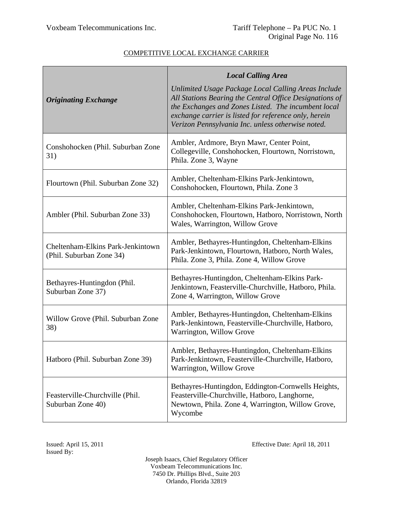|                                                               | <b>Local Calling Area</b>                                                                                                                                                                                                                                                           |
|---------------------------------------------------------------|-------------------------------------------------------------------------------------------------------------------------------------------------------------------------------------------------------------------------------------------------------------------------------------|
| <b>Originating Exchange</b>                                   | Unlimited Usage Package Local Calling Areas Include<br>All Stations Bearing the Central Office Designations of<br>the Exchanges and Zones Listed. The incumbent local<br>exchange carrier is listed for reference only, herein<br>Verizon Pennsylvania Inc. unless otherwise noted. |
| Conshohocken (Phil. Suburban Zone<br>31)                      | Ambler, Ardmore, Bryn Mawr, Center Point,<br>Collegeville, Conshohocken, Flourtown, Norristown,<br>Phila. Zone 3, Wayne                                                                                                                                                             |
| Flourtown (Phil. Suburban Zone 32)                            | Ambler, Cheltenham-Elkins Park-Jenkintown,<br>Conshohocken, Flourtown, Phila. Zone 3                                                                                                                                                                                                |
| Ambler (Phil. Suburban Zone 33)                               | Ambler, Cheltenham-Elkins Park-Jenkintown,<br>Conshohocken, Flourtown, Hatboro, Norristown, North<br>Wales, Warrington, Willow Grove                                                                                                                                                |
| Cheltenham-Elkins Park-Jenkintown<br>(Phil. Suburban Zone 34) | Ambler, Bethayres-Huntingdon, Cheltenham-Elkins<br>Park-Jenkintown, Flourtown, Hatboro, North Wales,<br>Phila. Zone 3, Phila. Zone 4, Willow Grove                                                                                                                                  |
| Bethayres-Huntingdon (Phil.<br>Suburban Zone 37)              | Bethayres-Huntingdon, Cheltenham-Elkins Park-<br>Jenkintown, Feasterville-Churchville, Hatboro, Phila.<br>Zone 4, Warrington, Willow Grove                                                                                                                                          |
| Willow Grove (Phil. Suburban Zone<br>38)                      | Ambler, Bethayres-Huntingdon, Cheltenham-Elkins<br>Park-Jenkintown, Feasterville-Churchville, Hatboro,<br>Warrington, Willow Grove                                                                                                                                                  |
| Hatboro (Phil. Suburban Zone 39)                              | Ambler, Bethayres-Huntingdon, Cheltenham-Elkins<br>Park-Jenkintown, Feasterville-Churchville, Hatboro,<br>Warrington, Willow Grove                                                                                                                                                  |
| Feasterville-Churchville (Phil.<br>Suburban Zone 40)          | Bethayres-Huntingdon, Eddington-Cornwells Heights,<br>Feasterville-Churchville, Hatboro, Langhorne,<br>Newtown, Phila. Zone 4, Warrington, Willow Grove,<br>Wycombe                                                                                                                 |

Issued By:

Issued: April 15, 2011 Effective Date: April 18, 2011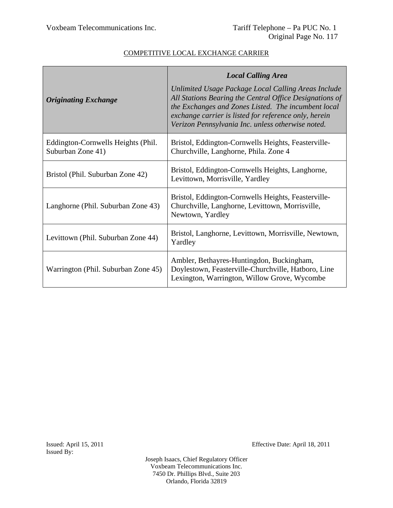|                                                         | <b>Local Calling Area</b>                                                                                                                                                                                                                                                           |
|---------------------------------------------------------|-------------------------------------------------------------------------------------------------------------------------------------------------------------------------------------------------------------------------------------------------------------------------------------|
| <b>Originating Exchange</b>                             | Unlimited Usage Package Local Calling Areas Include<br>All Stations Bearing the Central Office Designations of<br>the Exchanges and Zones Listed. The incumbent local<br>exchange carrier is listed for reference only, herein<br>Verizon Pennsylvania Inc. unless otherwise noted. |
| Eddington-Cornwells Heights (Phil.<br>Suburban Zone 41) | Bristol, Eddington-Cornwells Heights, Feasterville-<br>Churchville, Langhorne, Phila. Zone 4                                                                                                                                                                                        |
| Bristol (Phil. Suburban Zone 42)                        | Bristol, Eddington-Cornwells Heights, Langhorne,<br>Levittown, Morrisville, Yardley                                                                                                                                                                                                 |
| Langhorne (Phil. Suburban Zone 43)                      | Bristol, Eddington-Cornwells Heights, Feasterville-<br>Churchville, Langhorne, Levittown, Morrisville,<br>Newtown, Yardley                                                                                                                                                          |
| Levittown (Phil. Suburban Zone 44)                      | Bristol, Langhorne, Levittown, Morrisville, Newtown,<br>Yardley                                                                                                                                                                                                                     |
| Warrington (Phil. Suburban Zone 45)                     | Ambler, Bethayres-Huntingdon, Buckingham,<br>Doylestown, Feasterville-Churchville, Hatboro, Line<br>Lexington, Warrington, Willow Grove, Wycombe                                                                                                                                    |

Issued By:

Issued: April 15, 2011 Effective Date: April 18, 2011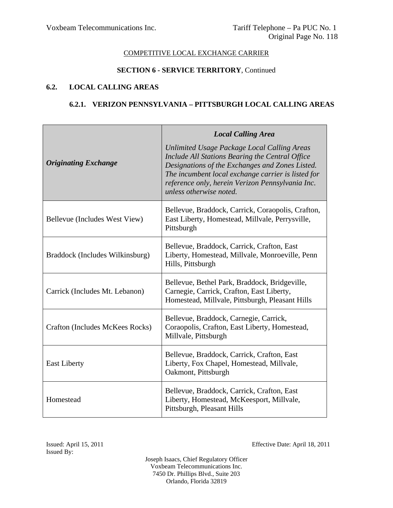#### **SECTION 6 - SERVICE TERRITORY**, Continued

#### **6.2. LOCAL CALLING AREAS**

#### **6.2.1. VERIZON PENNSYLVANIA – PITTSBURGH LOCAL CALLING AREAS**

| <b>Originating Exchange</b>     | <b>Local Calling Area</b><br>Unlimited Usage Package Local Calling Areas<br>Include All Stations Bearing the Central Office<br>Designations of the Exchanges and Zones Listed.<br>The incumbent local exchange carrier is listed for<br>reference only, herein Verizon Pennsylvania Inc.<br>unless otherwise noted. |
|---------------------------------|---------------------------------------------------------------------------------------------------------------------------------------------------------------------------------------------------------------------------------------------------------------------------------------------------------------------|
| Bellevue (Includes West View)   | Bellevue, Braddock, Carrick, Coraopolis, Crafton,<br>East Liberty, Homestead, Millvale, Perrysville,<br>Pittsburgh                                                                                                                                                                                                  |
| Braddock (Includes Wilkinsburg) | Bellevue, Braddock, Carrick, Crafton, East<br>Liberty, Homestead, Millvale, Monroeville, Penn<br>Hills, Pittsburgh                                                                                                                                                                                                  |
| Carrick (Includes Mt. Lebanon)  | Bellevue, Bethel Park, Braddock, Bridgeville,<br>Carnegie, Carrick, Crafton, East Liberty,<br>Homestead, Millvale, Pittsburgh, Pleasant Hills                                                                                                                                                                       |
| Crafton (Includes McKees Rocks) | Bellevue, Braddock, Carnegie, Carrick,<br>Coraopolis, Crafton, East Liberty, Homestead,<br>Millvale, Pittsburgh                                                                                                                                                                                                     |
| <b>East Liberty</b>             | Bellevue, Braddock, Carrick, Crafton, East<br>Liberty, Fox Chapel, Homestead, Millvale,<br>Oakmont, Pittsburgh                                                                                                                                                                                                      |
| Homestead                       | Bellevue, Braddock, Carrick, Crafton, East<br>Liberty, Homestead, McKeesport, Millvale,<br>Pittsburgh, Pleasant Hills                                                                                                                                                                                               |

Issued: April 15, 2011 Effective Date: April 18, 2011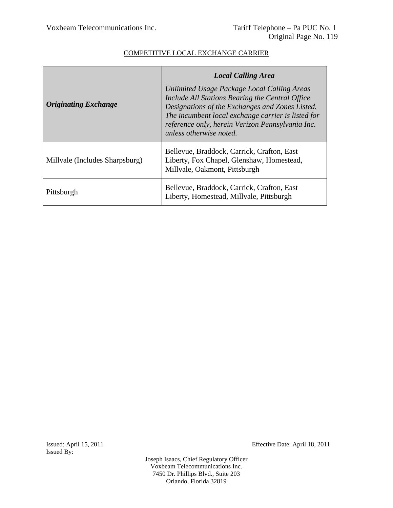|                                | <b>Local Calling Area</b>                                                                                                                                                                                                                                                              |
|--------------------------------|----------------------------------------------------------------------------------------------------------------------------------------------------------------------------------------------------------------------------------------------------------------------------------------|
| <b>Originating Exchange</b>    | Unlimited Usage Package Local Calling Areas<br>Include All Stations Bearing the Central Office<br>Designations of the Exchanges and Zones Listed.<br>The incumbent local exchange carrier is listed for<br>reference only, herein Verizon Pennsylvania Inc.<br>unless otherwise noted. |
| Millvale (Includes Sharpsburg) | Bellevue, Braddock, Carrick, Crafton, East<br>Liberty, Fox Chapel, Glenshaw, Homestead,<br>Millvale, Oakmont, Pittsburgh                                                                                                                                                               |
| Pittsburgh                     | Bellevue, Braddock, Carrick, Crafton, East<br>Liberty, Homestead, Millvale, Pittsburgh                                                                                                                                                                                                 |

Issued By:

Issued: April 15, 2011 Effective Date: April 18, 2011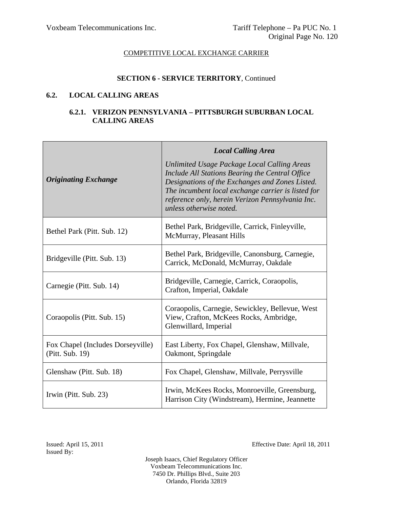# **SECTION 6 - SERVICE TERRITORY**, Continued

#### **6.2. LOCAL CALLING AREAS**

#### **6.2.1. VERIZON PENNSYLVANIA – PITTSBURGH SUBURBAN LOCAL CALLING AREAS**

|                                                      | <b>Local Calling Area</b>                                                                                                                                                                                                                                                              |
|------------------------------------------------------|----------------------------------------------------------------------------------------------------------------------------------------------------------------------------------------------------------------------------------------------------------------------------------------|
| <b>Originating Exchange</b>                          | Unlimited Usage Package Local Calling Areas<br>Include All Stations Bearing the Central Office<br>Designations of the Exchanges and Zones Listed.<br>The incumbent local exchange carrier is listed for<br>reference only, herein Verizon Pennsylvania Inc.<br>unless otherwise noted. |
| Bethel Park (Pitt. Sub. 12)                          | Bethel Park, Bridgeville, Carrick, Finleyville,<br>McMurray, Pleasant Hills                                                                                                                                                                                                            |
| Bridgeville (Pitt. Sub. 13)                          | Bethel Park, Bridgeville, Canonsburg, Carnegie,<br>Carrick, McDonald, McMurray, Oakdale                                                                                                                                                                                                |
| Carnegie (Pitt. Sub. 14)                             | Bridgeville, Carnegie, Carrick, Coraopolis,<br>Crafton, Imperial, Oakdale                                                                                                                                                                                                              |
| Coraopolis (Pitt. Sub. 15)                           | Coraopolis, Carnegie, Sewickley, Bellevue, West<br>View, Crafton, McKees Rocks, Ambridge,<br>Glenwillard, Imperial                                                                                                                                                                     |
| Fox Chapel (Includes Dorseyville)<br>(Pitt. Sub. 19) | East Liberty, Fox Chapel, Glenshaw, Millvale,<br>Oakmont, Springdale                                                                                                                                                                                                                   |
| Glenshaw (Pitt. Sub. 18)                             | Fox Chapel, Glenshaw, Millvale, Perrysville                                                                                                                                                                                                                                            |
| Irwin (Pitt. Sub. 23)                                | Irwin, McKees Rocks, Monroeville, Greensburg,<br>Harrison City (Windstream), Hermine, Jeannette                                                                                                                                                                                        |

Issued: April 15, 2011 Effective Date: April 18, 2011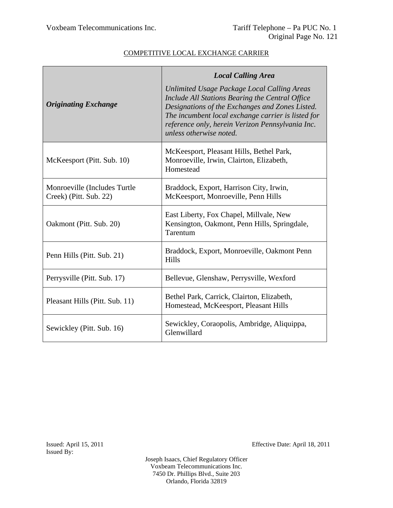| <b>Originating Exchange</b>                             | <b>Local Calling Area</b><br>Unlimited Usage Package Local Calling Areas<br>Include All Stations Bearing the Central Office<br>Designations of the Exchanges and Zones Listed.<br>The incumbent local exchange carrier is listed for<br>reference only, herein Verizon Pennsylvania Inc.<br>unless otherwise noted. |
|---------------------------------------------------------|---------------------------------------------------------------------------------------------------------------------------------------------------------------------------------------------------------------------------------------------------------------------------------------------------------------------|
| McKeesport (Pitt. Sub. 10)                              | McKeesport, Pleasant Hills, Bethel Park,<br>Monroeville, Irwin, Clairton, Elizabeth,<br>Homestead                                                                                                                                                                                                                   |
| Monroeville (Includes Turtle)<br>Creek) (Pitt. Sub. 22) | Braddock, Export, Harrison City, Irwin,<br>McKeesport, Monroeville, Penn Hills                                                                                                                                                                                                                                      |
| Oakmont (Pitt. Sub. 20)                                 | East Liberty, Fox Chapel, Millvale, New<br>Kensington, Oakmont, Penn Hills, Springdale,<br>Tarentum                                                                                                                                                                                                                 |
| Penn Hills (Pitt. Sub. 21)                              | Braddock, Export, Monroeville, Oakmont Penn<br><b>Hills</b>                                                                                                                                                                                                                                                         |
| Perrysville (Pitt. Sub. 17)                             | Bellevue, Glenshaw, Perrysville, Wexford                                                                                                                                                                                                                                                                            |
| Pleasant Hills (Pitt. Sub. 11)                          | Bethel Park, Carrick, Clairton, Elizabeth,<br>Homestead, McKeesport, Pleasant Hills                                                                                                                                                                                                                                 |
| Sewickley (Pitt. Sub. 16)                               | Sewickley, Coraopolis, Ambridge, Aliquippa,<br>Glenwillard                                                                                                                                                                                                                                                          |

Issued: April 15, 2011 Effective Date: April 18, 2011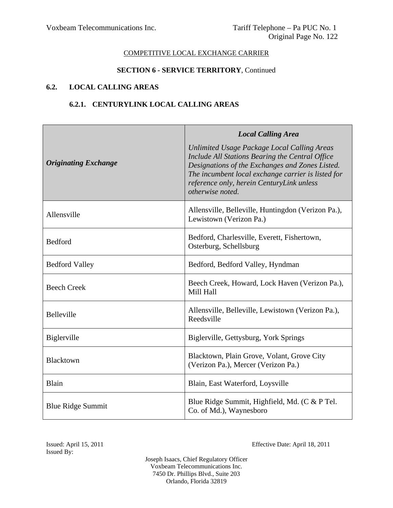#### **SECTION 6 - SERVICE TERRITORY**, Continued

# **6.2. LOCAL CALLING AREAS**

# **6.2.1. CENTURYLINK LOCAL CALLING AREAS**

| <b>Originating Exchange</b> | <b>Local Calling Area</b><br>Unlimited Usage Package Local Calling Areas<br>Include All Stations Bearing the Central Office<br>Designations of the Exchanges and Zones Listed.<br>The incumbent local exchange carrier is listed for<br>reference only, herein CenturyLink unless<br>otherwise noted. |
|-----------------------------|-------------------------------------------------------------------------------------------------------------------------------------------------------------------------------------------------------------------------------------------------------------------------------------------------------|
| Allensville                 | Allensville, Belleville, Huntingdon (Verizon Pa.),<br>Lewistown (Verizon Pa.)                                                                                                                                                                                                                         |
| Bedford                     | Bedford, Charlesville, Everett, Fishertown,<br>Osterburg, Schellsburg                                                                                                                                                                                                                                 |
| <b>Bedford Valley</b>       | Bedford, Bedford Valley, Hyndman                                                                                                                                                                                                                                                                      |
| <b>Beech Creek</b>          | Beech Creek, Howard, Lock Haven (Verizon Pa.),<br>Mill Hall                                                                                                                                                                                                                                           |
| <b>Belleville</b>           | Allensville, Belleville, Lewistown (Verizon Pa.),<br>Reedsville                                                                                                                                                                                                                                       |
| Biglerville                 | Biglerville, Gettysburg, York Springs                                                                                                                                                                                                                                                                 |
| Blacktown                   | Blacktown, Plain Grove, Volant, Grove City<br>(Verizon Pa.), Mercer (Verizon Pa.)                                                                                                                                                                                                                     |
| Blain                       | Blain, East Waterford, Loysville                                                                                                                                                                                                                                                                      |
| <b>Blue Ridge Summit</b>    | Blue Ridge Summit, Highfield, Md. (C & P Tel.<br>Co. of Md.), Waynesboro                                                                                                                                                                                                                              |

Issued By:

Issued: April 15, 2011 Effective Date: April 18, 2011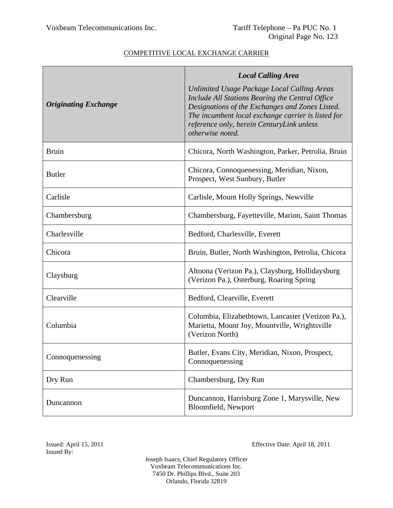|                             | <b>Local Calling Area</b>                                                                                                                                                                                                                                                |
|-----------------------------|--------------------------------------------------------------------------------------------------------------------------------------------------------------------------------------------------------------------------------------------------------------------------|
| <b>Originating Exchange</b> | Unlimited Usage Package Local Calling Areas<br>Include All Stations Bearing the Central Office<br>Designations of the Exchanges and Zones Listed.<br>The incumbent local exchange carrier is listed for<br>reference only, herein CenturyLink unless<br>otherwise noted. |
| <b>Bruin</b>                | Chicora, North Washington, Parker, Petrolia, Bruin                                                                                                                                                                                                                       |
| <b>Butler</b>               | Chicora, Connoquenessing, Meridian, Nixon,<br>Prospect, West Sunbury, Butler                                                                                                                                                                                             |
| Carlisle                    | Carlisle, Mount Holly Springs, Newville                                                                                                                                                                                                                                  |
| Chambersburg                | Chambersburg, Fayetteville, Marion, Saint Thomas                                                                                                                                                                                                                         |
| Charlesville                | Bedford, Charlesville, Everett                                                                                                                                                                                                                                           |
| Chicora                     | Bruin, Butler, North Washington, Petrolia, Chicora                                                                                                                                                                                                                       |
| Claysburg                   | Altoona (Verizon Pa.), Claysburg, Hollidaysburg<br>(Verizon Pa.), Osterburg, Roaring Spring                                                                                                                                                                              |
| Clearville                  | Bedford, Clearville, Everett                                                                                                                                                                                                                                             |
| Columbia                    | Columbia, Elizabethtown, Lancaster (Verizon Pa.),<br>Marietta, Mount Joy, Mountville, Wrightsville<br>(Verizon North)                                                                                                                                                    |
| Connoquenessing             | Butler, Evans City, Meridian, Nixon, Prospect,<br>Connoquenessing                                                                                                                                                                                                        |
| Dry Run                     | Chambersburg, Dry Run                                                                                                                                                                                                                                                    |
| Duncannon                   | Duncannon, Harrisburg Zone 1, Marysville, New<br>Bloomfield, Newport                                                                                                                                                                                                     |

Issued By:

Issued: April 15, 2011 Effective Date: April 18, 2011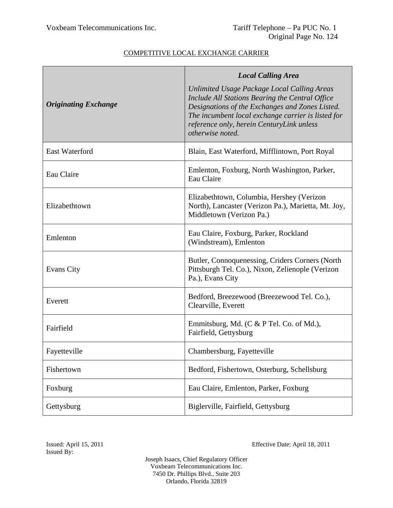| <b>Originating Exchange</b> | <b>Local Calling Area</b><br>Unlimited Usage Package Local Calling Areas<br>Include All Stations Bearing the Central Office<br>Designations of the Exchanges and Zones Listed.<br>The incumbent local exchange carrier is listed for<br>reference only, herein CenturyLink unless<br>otherwise noted. |
|-----------------------------|-------------------------------------------------------------------------------------------------------------------------------------------------------------------------------------------------------------------------------------------------------------------------------------------------------|
| <b>East Waterford</b>       | Blain, East Waterford, Mifflintown, Port Royal                                                                                                                                                                                                                                                        |
| Eau Claire                  | Emlenton, Foxburg, North Washington, Parker,<br>Eau Claire                                                                                                                                                                                                                                            |
| Elizabethtown               | Elizabethtown, Columbia, Hershey (Verizon<br>North), Lancaster (Verizon Pa.), Marietta, Mt. Joy,<br>Middletown (Verizon Pa.)                                                                                                                                                                          |
| Emlenton                    | Eau Claire, Foxburg, Parker, Rockland<br>(Windstream), Emlenton                                                                                                                                                                                                                                       |
| <b>Evans City</b>           | Butler, Connoquenessing, Criders Corners (North<br>Pittsburgh Tel. Co.), Nixon, Zelienople (Verizon<br>Pa.), Evans City                                                                                                                                                                               |
| Everett                     | Bedford, Breezewood (Breezewood Tel. Co.),<br>Clearville, Everett                                                                                                                                                                                                                                     |
| Fairfield                   | Emmitsburg, Md. (C & P Tel. Co. of Md.),<br>Fairfield, Gettysburg                                                                                                                                                                                                                                     |
| Fayetteville                | Chambersburg, Fayetteville                                                                                                                                                                                                                                                                            |
| Fishertown                  | Bedford, Fishertown, Osterburg, Schellsburg                                                                                                                                                                                                                                                           |
| Foxburg                     | Eau Claire, Emlenton, Parker, Foxburg                                                                                                                                                                                                                                                                 |
| Gettysburg                  | Biglerville, Fairfield, Gettysburg                                                                                                                                                                                                                                                                    |

Issued: April 15, 2011 Effective Date: April 18, 2011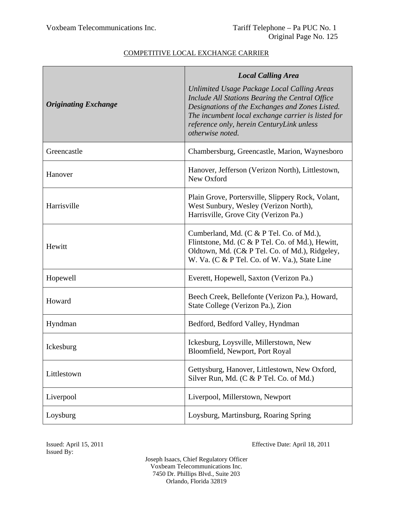| <b>Originating Exchange</b> | <b>Local Calling Area</b><br>Unlimited Usage Package Local Calling Areas<br>Include All Stations Bearing the Central Office<br>Designations of the Exchanges and Zones Listed.<br>The incumbent local exchange carrier is listed for<br>reference only, herein CenturyLink unless<br>otherwise noted. |
|-----------------------------|-------------------------------------------------------------------------------------------------------------------------------------------------------------------------------------------------------------------------------------------------------------------------------------------------------|
| Greencastle                 | Chambersburg, Greencastle, Marion, Waynesboro                                                                                                                                                                                                                                                         |
| Hanover                     | Hanover, Jefferson (Verizon North), Littlestown,<br>New Oxford                                                                                                                                                                                                                                        |
| Harrisville                 | Plain Grove, Portersville, Slippery Rock, Volant,<br>West Sunbury, Wesley (Verizon North),<br>Harrisville, Grove City (Verizon Pa.)                                                                                                                                                                   |
| Hewitt                      | Cumberland, Md. (C & P Tel. Co. of Md.),<br>Flintstone, Md. (C & P Tel. Co. of Md.), Hewitt,<br>Oldtown, Md. (C& P Tel. Co. of Md.), Ridgeley,<br>W. Va. (C & P Tel. Co. of W. Va.), State Line                                                                                                       |
| Hopewell                    | Everett, Hopewell, Saxton (Verizon Pa.)                                                                                                                                                                                                                                                               |
| Howard                      | Beech Creek, Bellefonte (Verizon Pa.), Howard,<br>State College (Verizon Pa.), Zion                                                                                                                                                                                                                   |
| Hyndman                     | Bedford, Bedford Valley, Hyndman                                                                                                                                                                                                                                                                      |
| Ickesburg                   | Ickesburg, Loysville, Millerstown, New<br>Bloomfield, Newport, Port Royal                                                                                                                                                                                                                             |
| Littlestown                 | Gettysburg, Hanover, Littlestown, New Oxford,<br>Silver Run, Md. (C & P Tel. Co. of Md.)                                                                                                                                                                                                              |
| Liverpool                   | Liverpool, Millerstown, Newport                                                                                                                                                                                                                                                                       |
| Loysburg                    | Loysburg, Martinsburg, Roaring Spring                                                                                                                                                                                                                                                                 |

Issued By:

Issued: April 15, 2011 Effective Date: April 18, 2011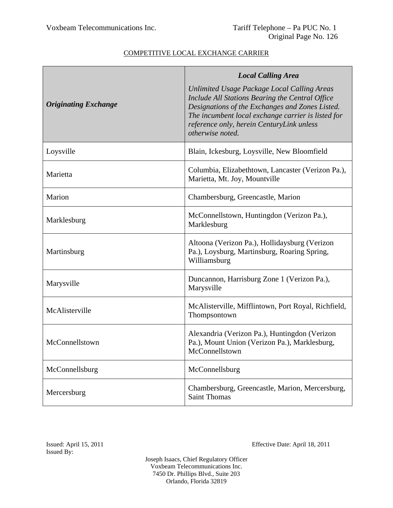| <b>Originating Exchange</b> | <b>Local Calling Area</b><br>Unlimited Usage Package Local Calling Areas<br>Include All Stations Bearing the Central Office<br>Designations of the Exchanges and Zones Listed.<br>The incumbent local exchange carrier is listed for<br>reference only, herein CenturyLink unless<br>otherwise noted. |
|-----------------------------|-------------------------------------------------------------------------------------------------------------------------------------------------------------------------------------------------------------------------------------------------------------------------------------------------------|
| Loysville                   | Blain, Ickesburg, Loysville, New Bloomfield                                                                                                                                                                                                                                                           |
| Marietta                    | Columbia, Elizabethtown, Lancaster (Verizon Pa.),<br>Marietta, Mt. Joy, Mountville                                                                                                                                                                                                                    |
| Marion                      | Chambersburg, Greencastle, Marion                                                                                                                                                                                                                                                                     |
| Marklesburg                 | McConnellstown, Huntingdon (Verizon Pa.),<br>Marklesburg                                                                                                                                                                                                                                              |
| Martinsburg                 | Altoona (Verizon Pa.), Hollidaysburg (Verizon<br>Pa.), Loysburg, Martinsburg, Roaring Spring,<br>Williamsburg                                                                                                                                                                                         |
| Marysville                  | Duncannon, Harrisburg Zone 1 (Verizon Pa.),<br>Marysville                                                                                                                                                                                                                                             |
| McAlisterville              | McAlisterville, Mifflintown, Port Royal, Richfield,<br>Thompsontown                                                                                                                                                                                                                                   |
| McConnellstown              | Alexandria (Verizon Pa.), Huntingdon (Verizon<br>Pa.), Mount Union (Verizon Pa.), Marklesburg,<br>McConnellstown                                                                                                                                                                                      |
| McConnellsburg              | McConnellsburg                                                                                                                                                                                                                                                                                        |
| Mercersburg                 | Chambersburg, Greencastle, Marion, Mercersburg,<br><b>Saint Thomas</b>                                                                                                                                                                                                                                |

Issued By:

Issued: April 15, 2011 Effective Date: April 18, 2011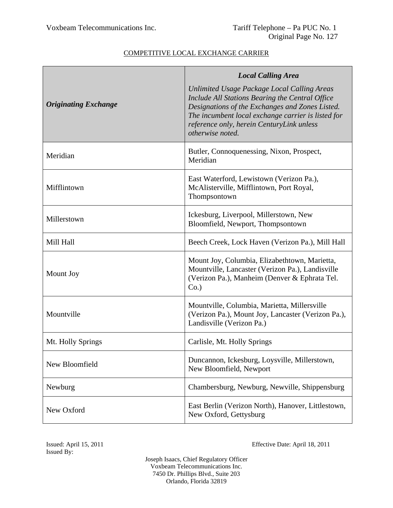|                             | <b>Local Calling Area</b>                                                                                                                                                                                                                                                |
|-----------------------------|--------------------------------------------------------------------------------------------------------------------------------------------------------------------------------------------------------------------------------------------------------------------------|
| <b>Originating Exchange</b> | Unlimited Usage Package Local Calling Areas<br>Include All Stations Bearing the Central Office<br>Designations of the Exchanges and Zones Listed.<br>The incumbent local exchange carrier is listed for<br>reference only, herein CenturyLink unless<br>otherwise noted. |
| Meridian                    | Butler, Connoquenessing, Nixon, Prospect,<br>Meridian                                                                                                                                                                                                                    |
| Mifflintown                 | East Waterford, Lewistown (Verizon Pa.),<br>McAlisterville, Mifflintown, Port Royal,<br>Thompsontown                                                                                                                                                                     |
| Millerstown                 | Ickesburg, Liverpool, Millerstown, New<br>Bloomfield, Newport, Thompsontown                                                                                                                                                                                              |
| Mill Hall                   | Beech Creek, Lock Haven (Verizon Pa.), Mill Hall                                                                                                                                                                                                                         |
| Mount Joy                   | Mount Joy, Columbia, Elizabethtown, Marietta,<br>Mountville, Lancaster (Verizon Pa.), Landisville<br>(Verizon Pa.), Manheim (Denver & Ephrata Tel.<br>$Co.$ )                                                                                                            |
| Mountville                  | Mountville, Columbia, Marietta, Millersville<br>(Verizon Pa.), Mount Joy, Lancaster (Verizon Pa.),<br>Landisville (Verizon Pa.)                                                                                                                                          |
| Mt. Holly Springs           | Carlisle, Mt. Holly Springs                                                                                                                                                                                                                                              |
| New Bloomfield              | Duncannon, Ickesburg, Loysville, Millerstown,<br>New Bloomfield, Newport                                                                                                                                                                                                 |
| Newburg                     | Chambersburg, Newburg, Newville, Shippensburg                                                                                                                                                                                                                            |
| New Oxford                  | East Berlin (Verizon North), Hanover, Littlestown,<br>New Oxford, Gettysburg                                                                                                                                                                                             |

Issued By:

Issued: April 15, 2011 Effective Date: April 18, 2011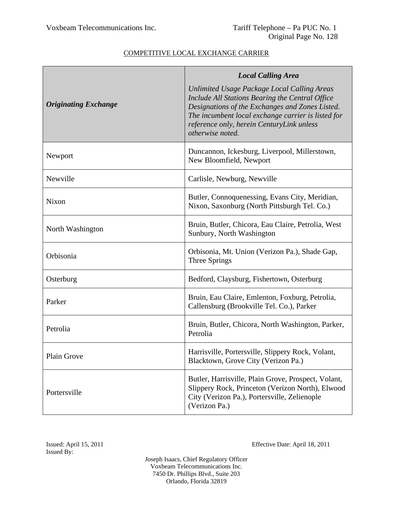|                             | <b>Local Calling Area</b>                                                                                                                                                                                                                                                |
|-----------------------------|--------------------------------------------------------------------------------------------------------------------------------------------------------------------------------------------------------------------------------------------------------------------------|
| <b>Originating Exchange</b> | Unlimited Usage Package Local Calling Areas<br>Include All Stations Bearing the Central Office<br>Designations of the Exchanges and Zones Listed.<br>The incumbent local exchange carrier is listed for<br>reference only, herein CenturyLink unless<br>otherwise noted. |
| Newport                     | Duncannon, Ickesburg, Liverpool, Millerstown,<br>New Bloomfield, Newport                                                                                                                                                                                                 |
| Newville                    | Carlisle, Newburg, Newville                                                                                                                                                                                                                                              |
| Nixon                       | Butler, Connoquenessing, Evans City, Meridian,<br>Nixon, Saxonburg (North Pittsburgh Tel. Co.)                                                                                                                                                                           |
| North Washington            | Bruin, Butler, Chicora, Eau Claire, Petrolia, West<br>Sunbury, North Washington                                                                                                                                                                                          |
| Orbisonia                   | Orbisonia, Mt. Union (Verizon Pa.), Shade Gap,<br>Three Springs                                                                                                                                                                                                          |
| Osterburg                   | Bedford, Claysburg, Fishertown, Osterburg                                                                                                                                                                                                                                |
| Parker                      | Bruin, Eau Claire, Emlenton, Foxburg, Petrolia,<br>Callensburg (Brookville Tel. Co.), Parker                                                                                                                                                                             |
| Petrolia                    | Bruin, Butler, Chicora, North Washington, Parker,<br>Petrolia                                                                                                                                                                                                            |
| Plain Grove                 | Harrisville, Portersville, Slippery Rock, Volant,<br>Blacktown, Grove City (Verizon Pa.)                                                                                                                                                                                 |
| Portersville                | Butler, Harrisville, Plain Grove, Prospect, Volant,<br>Slippery Rock, Princeton (Verizon North), Elwood<br>City (Verizon Pa.), Portersville, Zelienople<br>(Verizon Pa.)                                                                                                 |

Issued By:

Issued: April 15, 2011 Effective Date: April 18, 2011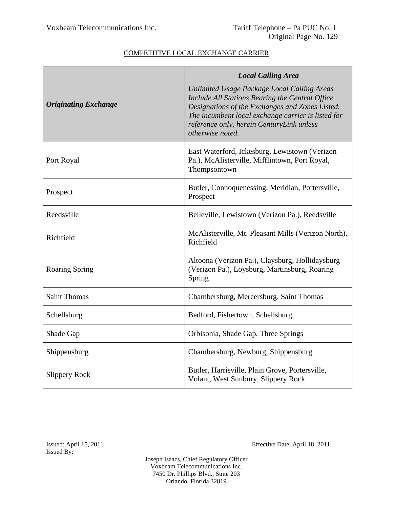|                             | <b>Local Calling Area</b>                                                                                                                                                                                                                                                |
|-----------------------------|--------------------------------------------------------------------------------------------------------------------------------------------------------------------------------------------------------------------------------------------------------------------------|
| <b>Originating Exchange</b> | Unlimited Usage Package Local Calling Areas<br>Include All Stations Bearing the Central Office<br>Designations of the Exchanges and Zones Listed.<br>The incumbent local exchange carrier is listed for<br>reference only, herein CenturyLink unless<br>otherwise noted. |
| Port Royal                  | East Waterford, Ickesburg, Lewistown (Verizon<br>Pa.), McAlisterville, Mifflintown, Port Royal,<br>Thompsontown                                                                                                                                                          |
| Prospect                    | Butler, Connoquenessing, Meridian, Portersville,<br>Prospect                                                                                                                                                                                                             |
| Reedsville                  | Belleville, Lewistown (Verizon Pa.), Reedsville                                                                                                                                                                                                                          |
| Richfield                   | McAlisterville, Mt. Pleasant Mills (Verizon North),<br>Richfield                                                                                                                                                                                                         |
| <b>Roaring Spring</b>       | Altoona (Verizon Pa.), Claysburg, Hollidaysburg<br>(Verizon Pa.), Loysburg, Martinsburg, Roaring<br>Spring                                                                                                                                                               |
| <b>Saint Thomas</b>         | Chambersburg, Mercersburg, Saint Thomas                                                                                                                                                                                                                                  |
| Schellsburg                 | Bedford, Fishertown, Schellsburg                                                                                                                                                                                                                                         |
| Shade Gap                   | Orbisonia, Shade Gap, Three Springs                                                                                                                                                                                                                                      |
| Shippensburg                | Chambersburg, Newburg, Shippensburg                                                                                                                                                                                                                                      |
| <b>Slippery Rock</b>        | Butler, Harrisville, Plain Grove, Portersville,<br>Volant, West Sunbury, Slippery Rock                                                                                                                                                                                   |

Issued By:

Issued: April 15, 2011 Effective Date: April 18, 2011